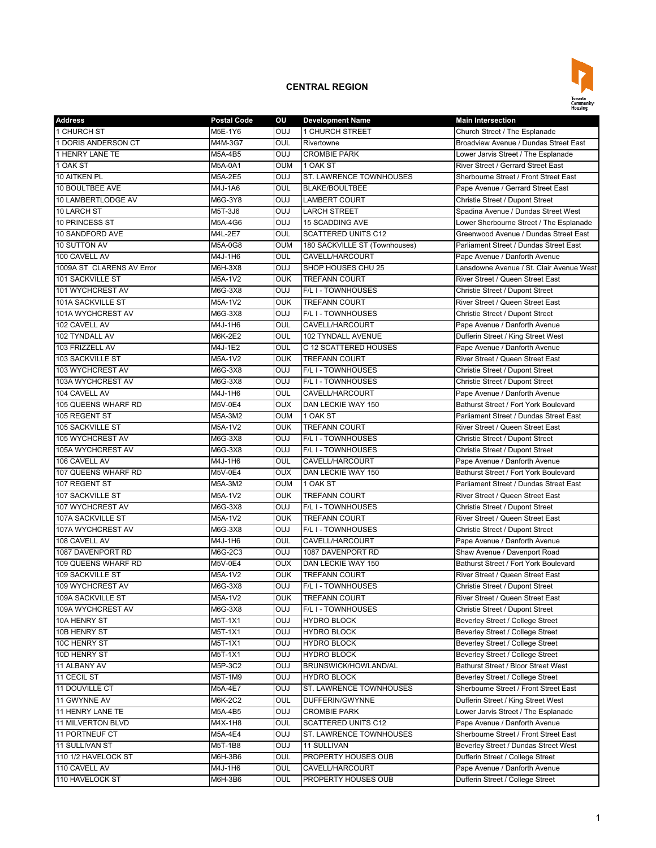

| <b>Address</b>            | Postal Code    | ου         | <b>Development Name</b>       | <b>Main Intersection</b>                                                |
|---------------------------|----------------|------------|-------------------------------|-------------------------------------------------------------------------|
| 1 CHURCH ST               | M5E-1Y6        | <b>OUJ</b> | 1 CHURCH STREET               | Church Street / The Esplanade                                           |
| 1 DORIS ANDERSON CT       | M4M-3G7        | OUL        | Rivertowne                    | Broadview Avenue / Dundas Street East                                   |
| 1 HENRY LANE TE           | M5A-4B5        | <b>OUJ</b> | <b>CROMBIE PARK</b>           | Lower Jarvis Street / The Esplanade                                     |
| 1 OAK ST                  | M5A-0A1        | <b>OUM</b> | 1 OAK ST                      | River Street / Gerrard Street East                                      |
| 10 AITKEN PL              | M5A-2E5        | <b>OUJ</b> | ST. LAWRENCE TOWNHOUSES       | Sherbourne Street / Front Street East                                   |
| 10 BOULTBEE AVE           | M4J-1A6        | OUL        | <b>BLAKE/BOULTBEE</b>         | Pape Avenue / Gerrard Street East                                       |
| 10 LAMBERTLODGE AV        | M6G-3Y8        | OUJ        | <b>LAMBERT COURT</b>          | Christie Street / Dupont Street                                         |
| 10 LARCH ST               | M5T-3J6        | <b>OUJ</b> | <b>LARCH STREET</b>           | Spadina Avenue / Dundas Street West                                     |
| 10 PRINCESS ST            | M5A-4G6        | <b>OUJ</b> | <b>15 SCADDING AVE</b>        | Lower Sherbourne Street / The Esplanade                                 |
| 10 SANDFORD AVE           | M4L-2E7        | OUL        | <b>SCATTERED UNITS C12</b>    | Greenwood Avenue / Dundas Street East                                   |
| 10 SUTTON AV              | M5A-0G8        | <b>OUM</b> | 180 SACKVILLE ST (Townhouses) | Parliament Street / Dundas Street East                                  |
| 100 CAVELL AV             | M4J-1H6        | OUL        | CAVELL/HARCOURT               | Pape Avenue / Danforth Avenue                                           |
| 1009A ST CLARENS AV Error | M6H-3X8        | <b>OUJ</b> | SHOP HOUSES CHU 25            | Lansdowne Avenue / St. Clair Avenue West                                |
| 101 SACKVILLE ST          | M5A-1V2        | <b>OUK</b> | <b>TREFANN COURT</b>          | River Street / Queen Street East                                        |
| 101 WYCHCREST AV          | M6G-3X8        | OUJ        | F/L I - TOWNHOUSES            | Christie Street / Dupont Street                                         |
| 101A SACKVILLE ST         | M5A-1V2        | <b>OUK</b> | <b>TREFANN COURT</b>          | River Street / Queen Street East                                        |
| 101A WYCHCREST AV         | M6G-3X8        | <b>OUJ</b> | F/L I - TOWNHOUSES            | Christie Street / Dupont Street                                         |
| 102 CAVELL AV             | M4J-1H6        | OUL        | CAVELL/HARCOURT               | Pape Avenue / Danforth Avenue                                           |
| 102 TYNDALL AV            | M6K-2E2        | OUL        | 102 TYNDALL AVENUE            | Dufferin Street / King Street West                                      |
| 103 FRIZZELL AV           | M4J-1E2        | OUL        | C 12 SCATTERED HOUSES         | Pape Avenue / Danforth Avenue                                           |
| 103 SACKVILLE ST          | M5A-1V2        | <b>OUK</b> | <b>TREFANN COURT</b>          | River Street / Queen Street East                                        |
| 103 WYCHCREST AV          | M6G-3X8        | OUJ        | F/L I - TOWNHOUSES            | Christie Street / Dupont Street                                         |
| 103A WYCHCREST AV         | M6G-3X8        | OUJ        | F/L I - TOWNHOUSES            | Christie Street / Dupont Street                                         |
| 104 CAVELL AV             | M4J-1H6        | OUL        | CAVELL/HARCOURT               | Pape Avenue / Danforth Avenue                                           |
| 105 QUEENS WHARF RD       | <b>M5V-0E4</b> | <b>OUX</b> | DAN LECKIE WAY 150            | Bathurst Street / Fort York Boulevard                                   |
| 105 REGENT ST             | M5A-3M2        | <b>OUM</b> | 1 OAK ST                      | Parliament Street / Dundas Street East                                  |
| 105 SACKVILLE ST          | M5A-1V2        | <b>OUK</b> | <b>TREFANN COURT</b>          | River Street / Queen Street East                                        |
| 105 WYCHCREST AV          | M6G-3X8        | OUJ        | F/L I - TOWNHOUSES            | Christie Street / Dupont Street                                         |
| 105A WYCHCREST AV         | M6G-3X8        | <b>OUJ</b> | F/L I - TOWNHOUSES            | Christie Street / Dupont Street                                         |
| 106 CAVELL AV             | M4J-1H6        | <b>OUL</b> | CAVELL/HARCOURT               | Pape Avenue / Danforth Avenue                                           |
| 107 QUEENS WHARF RD       | M5V-0E4        | <b>OUX</b> | DAN LECKIE WAY 150            | Bathurst Street / Fort York Boulevard                                   |
| 107 REGENT ST             | M5A-3M2        | <b>OUM</b> | 1 OAK ST                      | Parliament Street / Dundas Street East                                  |
| 107 SACKVILLE ST          | M5A-1V2        | <b>OUK</b> | <b>TREFANN COURT</b>          | River Street / Queen Street East                                        |
| 107 WYCHCREST AV          | M6G-3X8        | <b>OUJ</b> | F/L I - TOWNHOUSES            | Christie Street / Dupont Street                                         |
| 107A SACKVILLE ST         | M5A-1V2        | <b>OUK</b> | <b>TREFANN COURT</b>          | River Street / Queen Street East                                        |
| 107A WYCHCREST AV         | M6G-3X8        | OUJ        | F/L I - TOWNHOUSES            | Christie Street / Dupont Street                                         |
| 108 CAVELL AV             | M4J-1H6        | OUL        | CAVELL/HARCOURT               | Pape Avenue / Danforth Avenue                                           |
| 1087 DAVENPORT RD         | M6G-2C3        | OUJ        | 1087 DAVENPORT RD             | Shaw Avenue / Davenport Road                                            |
| 109 QUEENS WHARF RD       | M5V-0E4        | <b>OUX</b> | DAN LECKIE WAY 150            | Bathurst Street / Fort York Boulevard                                   |
| <b>109 SACKVILLE ST</b>   | M5A-1V2        | <b>OUK</b> | <b>TREFANN COURT</b>          | River Street / Queen Street East                                        |
| 109 WYCHCREST AV          | M6G-3X8        | <b>OUJ</b> | F/L I - TOWNHOUSES            | Christie Street / Dupont Street                                         |
| 109A SACKVILLE ST         | M5A-1V2        | <b>OUK</b> | <b>TREFANN COURT</b>          | River Street / Queen Street East                                        |
| 109A WYCHCREST AV         | M6G-3X8        | <b>CUO</b> | F/L I - TOWNHOUSES            | Christie Street / Dupont Street                                         |
| 10A HENRY ST              | M5T-1X1        | <b>CUO</b> | <b>HYDRO BLOCK</b>            | Beverley Street / College Street                                        |
| 10B HENRY ST              | M5T-1X1        | <b>CUO</b> | <b>HYDRO BLOCK</b>            | Beverley Street / College Street                                        |
| 10C HENRY ST              | M5T-1X1        | <b>OUJ</b> | <b>HYDRO BLOCK</b>            | Beverley Street / College Street                                        |
|                           |                | <b>OUJ</b> | <b>HYDRO BLOCK</b>            |                                                                         |
| 10D HENRY ST              | M5T-1X1        |            | BRUNSWICK/HOWLAND/AL          | Beverley Street / College Street<br>Bathurst Street / Bloor Street West |
| 11 ALBANY AV              | M5P-3C2        | OUJ        |                               |                                                                         |
| 11 CECIL ST               | M5T-1M9        | <b>OUJ</b> | HYDRO BLOCK                   | Beverley Street / College Street                                        |
| 11 DOUVILLE CT            | M5A-4E7        | <b>OUJ</b> | ST. LAWRENCE TOWNHOUSES       | Sherbourne Street / Front Street East                                   |
| 11 GWYNNE AV              | M6K-2C2        | OUL        | DUFFERIN/GWYNNE               | Dufferin Street / King Street West                                      |
| 11 HENRY LANE TE          | M5A-4B5        | OUJ        | <b>CROMBIE PARK</b>           | Lower Jarvis Street / The Esplanade                                     |
| 11 MILVERTON BLVD         | M4X-1H8        | OUL        | <b>SCATTERED UNITS C12</b>    | Pape Avenue / Danforth Avenue                                           |
| 11 PORTNEUF CT            | M5A-4E4        | <b>OUJ</b> | ST. LAWRENCE TOWNHOUSES       | Sherbourne Street / Front Street East                                   |
| 11 SULLIVAN ST            | M5T-1B8        | <b>OUJ</b> | 11 SULLIVAN                   | Beverley Street / Dundas Street West                                    |
| 110 1/2 HAVELOCK ST       | M6H-3B6        | OUL        | PROPERTY HOUSES OUB           | Dufferin Street / College Street                                        |
| 110 CAVELL AV             | M4J-1H6        | OUL        | CAVELL/HARCOURT               | Pape Avenue / Danforth Avenue                                           |
| 110 HAVELOCK ST           | M6H-3B6        | OUL        | PROPERTY HOUSES OUB           | Dufferin Street / College Street                                        |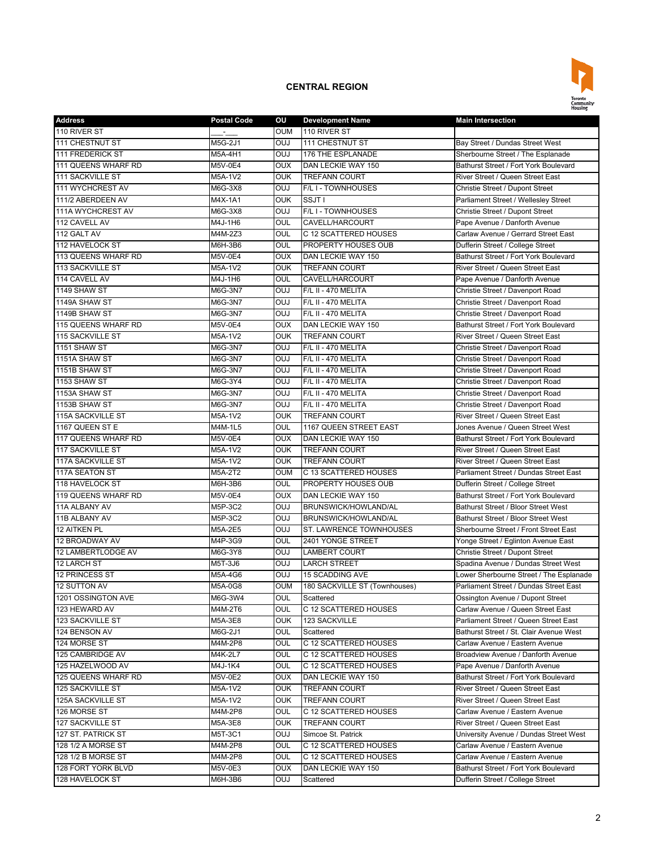

| <b>Address</b>           | <b>Postal Code</b> | ου                | <b>Development Name</b>       | <b>Main Intersection</b>                                                          |
|--------------------------|--------------------|-------------------|-------------------------------|-----------------------------------------------------------------------------------|
| 110 RIVER ST             |                    | <b>OUM</b>        | 110 RIVER ST                  |                                                                                   |
| 111 CHESTNUT ST          | M5G-2J1            | <b>OUJ</b>        | 111 CHESTNUT ST               | Bay Street / Dundas Street West                                                   |
| 111 FREDERICK ST         | M5A-4H1            | <b>OUJ</b>        | 176 THE ESPLANADE             | Sherbourne Street / The Esplanade                                                 |
| 111 QUEENS WHARF RD      | M5V-0E4            | <b>OUX</b>        | DAN LECKIE WAY 150            | Bathurst Street / Fort York Boulevard                                             |
| <b>111 SACKVILLE ST</b>  | M5A-1V2            | <b>OUK</b>        | <b>TREFANN COURT</b>          | River Street / Queen Street East                                                  |
| 111 WYCHCREST AV         | M6G-3X8            | <b>OUJ</b>        | F/L I - TOWNHOUSES            | Christie Street / Dupont Street                                                   |
| 111/2 ABERDEEN AV        | M4X-1A1            | <b>OUK</b>        | SSJT I                        | Parliament Street / Wellesley Street                                              |
| 111A WYCHCREST AV        | M6G-3X8            | <b>OUJ</b>        | F/L I - TOWNHOUSES            | Christie Street / Dupont Street                                                   |
| 112 CAVELL AV            | M4J-1H6            | OUL               | CAVELL/HARCOURT               | Pape Avenue / Danforth Avenue                                                     |
| 112 GALT AV              | M4M-2Z3            | OUL               | C 12 SCATTERED HOUSES         | Carlaw Avenue / Gerrard Street East                                               |
| 112 HAVELOCK ST          | M6H-3B6            | OUL               | PROPERTY HOUSES OUB           | Dufferin Street / College Street                                                  |
| 113 QUEENS WHARF RD      |                    | <b>OUX</b>        | DAN LECKIE WAY 150            | Bathurst Street / Fort York Boulevard                                             |
|                          | M5V-0E4            | <b>OUK</b>        | <b>TREFANN COURT</b>          | River Street / Queen Street East                                                  |
| 113 SACKVILLE ST         | M5A-1V2            |                   |                               |                                                                                   |
| 114 CAVELL AV            | M4J-1H6            | OUL               | CAVELL/HARCOURT               | Pape Avenue / Danforth Avenue                                                     |
| 1149 SHAW ST             | M6G-3N7            | <b>OUJ</b>        | F/L II - 470 MELITA           | Christie Street / Davenport Road                                                  |
| 1149A SHAW ST            | M6G-3N7            | <b>OUJ</b>        | F/L II - 470 MELITA           | Christie Street / Davenport Road                                                  |
| 1149B SHAW ST            | M6G-3N7            | <b>OUJ</b>        | F/L II - 470 MELITA           | Christie Street / Davenport Road                                                  |
| 115 QUEENS WHARF RD      | M5V-0E4            | <b>OUX</b>        | DAN LECKIE WAY 150            | Bathurst Street / Fort York Boulevard                                             |
| 115 SACKVILLE ST         | M5A-1V2            | <b>OUK</b>        | <b>TREFANN COURT</b>          | River Street / Queen Street East                                                  |
| 1151 SHAW ST             | M6G-3N7            | <b>OUJ</b>        | F/L II - 470 MELITA           | Christie Street / Davenport Road                                                  |
| 1151A SHAW ST            | M6G-3N7            | <b>OUJ</b>        | F/L II - 470 MELITA           | Christie Street / Davenport Road                                                  |
| 1151B SHAW ST            | M6G-3N7            | <b>OUJ</b>        | F/L II - 470 MELITA           | Christie Street / Davenport Road                                                  |
| 1153 SHAW ST             | M6G-3Y4            | <b>OUJ</b>        | F/L II - 470 MELITA           | Christie Street / Davenport Road                                                  |
| 1153A SHAW ST            | M6G-3N7            | <b>OUJ</b>        | F/L II - 470 MELITA           | Christie Street / Davenport Road                                                  |
| 1153B SHAW ST            | M6G-3N7            | <b>OUJ</b>        | F/L II - 470 MELITA           | Christie Street / Davenport Road                                                  |
| <b>115A SACKVILLE ST</b> | M5A-1V2            | <b>OUK</b>        | <b>TREFANN COURT</b>          | River Street / Queen Street East                                                  |
| 1167 QUEEN ST E          | M4M-1L5            | OUL               | 1167 QUEEN STREET EAST        | Jones Avenue / Queen Street West                                                  |
| 117 QUEENS WHARF RD      | M5V-0E4            | <b>OUX</b>        | DAN LECKIE WAY 150            | Bathurst Street / Fort York Boulevard                                             |
| <b>117 SACKVILLE ST</b>  | M5A-1V2            | <b>OUK</b>        | <b>TREFANN COURT</b>          | River Street / Queen Street East                                                  |
| <b>117A SACKVILLE ST</b> | M5A-1V2            | <b>OUK</b>        | <b>TREFANN COURT</b>          | River Street / Queen Street East                                                  |
| 117A SEATON ST           | M5A-2T2            | <b>OUM</b>        | C 13 SCATTERED HOUSES         | Parliament Street / Dundas Street East                                            |
| 118 HAVELOCK ST          | M6H-3B6            | OUL               | PROPERTY HOUSES OUB           | Dufferin Street / College Street                                                  |
| 119 QUEENS WHARF RD      | M5V-0E4            | <b>OUX</b>        | DAN LECKIE WAY 150            | Bathurst Street / Fort York Boulevard                                             |
| 11A ALBANY AV            | M5P-3C2            | OUJ               | BRUNSWICK/HOWLAND/AL          | Bathurst Street / Bloor Street West                                               |
| 11B ALBANY AV            | M5P-3C2            | <b>OUJ</b>        | BRUNSWICK/HOWLAND/AL          | Bathurst Street / Bloor Street West                                               |
| 12 AITKEN PL             | M5A-2E5            | <b>OUJ</b>        | ST. LAWRENCE TOWNHOUSES       | Sherbourne Street / Front Street East                                             |
| 12 BROADWAY AV           | M4P-3G9            | OUL               | 2401 YONGE STREET             | Yonge Street / Eglinton Avenue East                                               |
| 12 LAMBERTLODGE AV       | M6G-3Y8            | <b>OUJ</b>        | <b>LAMBERT COURT</b>          | Christie Street / Dupont Street                                                   |
| 12 LARCH ST              | M5T-3J6            | <b>OUJ</b>        | <b>LARCH STREET</b>           | Spadina Avenue / Dundas Street West                                               |
| <b>12 PRINCESS ST</b>    |                    |                   | <b>15 SCADDING AVE</b>        |                                                                                   |
| <b>12 SUTTON AV</b>      | M5A-4G6            | OUJ<br><b>OUM</b> |                               | Lower Sherbourne Street / The Esplanade<br>Parliament Street / Dundas Street East |
|                          | M5A-0G8            |                   | 180 SACKVILLE ST (Townhouses) |                                                                                   |
| 1201 OSSINGTON AVE       | M6G-3W4            | <b>OUL</b>        | Scattered                     | Ossington Avenue / Dupont Street                                                  |
| 123 HEWARD AV            | M4M-2T6            | OUL               | C 12 SCATTERED HOUSES         | Carlaw Avenue / Queen Street East                                                 |
| 123 SACKVILLE ST         | M5A-3E8            | <b>OUK</b>        | 123 SACKVILLE                 | Parliament Street / Queen Street East                                             |
| 124 BENSON AV            | M6G-2J1            | OUL               | Scattered                     | Bathurst Street / St. Clair Avenue West                                           |
| 124 MORSE ST             | M4M-2P8            | OUL               | C 12 SCATTERED HOUSES         | Carlaw Avenue / Eastern Avenue                                                    |
| 125 CAMBRIDGE AV         | M4K-2L7            | OUL               | C 12 SCATTERED HOUSES         | Broadview Avenue / Danforth Avenue                                                |
| 125 HAZELWOOD AV         | M4J-1K4            | OUL               | C 12 SCATTERED HOUSES         | Pape Avenue / Danforth Avenue                                                     |
| 125 QUEENS WHARF RD      | M5V-0E2            | OUX               | DAN LECKIE WAY 150            | Bathurst Street / Fort York Boulevard                                             |
| 125 SACKVILLE ST         | M5A-1V2            | <b>OUK</b>        | TREFANN COURT                 | River Street / Queen Street East                                                  |
| <b>125A SACKVILLE ST</b> | M5A-1V2            | <b>OUK</b>        | TREFANN COURT                 | River Street / Queen Street East                                                  |
| 126 MORSE ST             | M4M-2P8            | OUL               | C 12 SCATTERED HOUSES         | Carlaw Avenue / Eastern Avenue                                                    |
| <b>127 SACKVILLE ST</b>  | M5A-3E8            | <b>OUK</b>        | <b>TREFANN COURT</b>          | River Street / Queen Street East                                                  |
| 127 ST. PATRICK ST       | M5T-3C1            | <b>LUO</b>        | Simcoe St. Patrick            | University Avenue / Dundas Street West                                            |
| 128 1/2 A MORSE ST       | M4M-2P8            | OUL               | C 12 SCATTERED HOUSES         | Carlaw Avenue / Eastern Avenue                                                    |
| 128 1/2 B MORSE ST       | M4M-2P8            | <b>OUL</b>        | C 12 SCATTERED HOUSES         | Carlaw Avenue / Eastern Avenue                                                    |
| 128 FORT YORK BLVD       | M5V-0E3            | <b>OUX</b>        | DAN LECKIE WAY 150            | Bathurst Street / Fort York Boulevard                                             |
| 128 HAVELOCK ST          | M6H-3B6            | <b>LUO</b>        | Scattered                     | Dufferin Street / College Street                                                  |
|                          |                    |                   |                               |                                                                                   |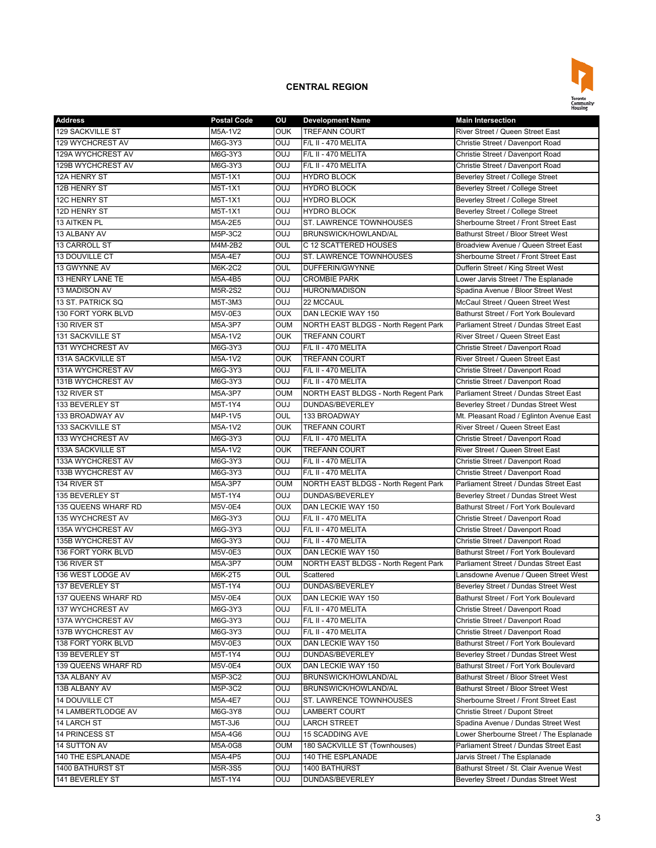

| <b>Address</b>        | <b>Postal Code</b> | ΟU         | <b>Development Name</b>                         | <b>Main Intersection</b>                   |
|-----------------------|--------------------|------------|-------------------------------------------------|--------------------------------------------|
| 129 SACKVILLE ST      | M5A-1V2            | <b>OUK</b> | <b>TREFANN COURT</b>                            | River Street / Queen Street East           |
| 129 WYCHCREST AV      | M6G-3Y3            | OUJ        | F/L II - 470 MELITA                             | Christie Street / Davenport Road           |
| 129A WYCHCREST AV     | M6G-3Y3            | OUJ        | F/L II - 470 MELITA                             | Christie Street / Davenport Road           |
| 129B WYCHCREST AV     | M6G-3Y3            | <b>OUJ</b> | F/L II - 470 MELITA                             | Christie Street / Davenport Road           |
| 12A HENRY ST          | M5T-1X1            | OUJ        | <b>HYDRO BLOCK</b>                              | Beverley Street / College Street           |
| 12B HENRY ST          | M5T-1X1            | OUJ        | <b>HYDRO BLOCK</b>                              | Beverley Street / College Street           |
| 12C HENRY ST          | M5T-1X1            | OUJ        | <b>HYDRO BLOCK</b>                              | Beverley Street / College Street           |
| 12D HENRY ST          | M5T-1X1            | OUJ        | <b>HYDRO BLOCK</b>                              | Beverley Street / College Street           |
| 13 AITKEN PL          | M5A-2E5            | OUJ        | ST. LAWRENCE TOWNHOUSES                         | Sherbourne Street / Front Street East      |
| 13 ALBANY AV          | M5P-3C2            | OUJ        | BRUNSWICK/HOWLAND/AL                            | <b>Bathurst Street / Bloor Street West</b> |
| 13 CARROLL ST         | M4M-2B2            | OUL        | C 12 SCATTERED HOUSES                           | Broadview Avenue / Queen Street East       |
| <b>13 DOUVILLE CT</b> | M5A-4E7            | OUJ        | <b>ST. LAWRENCE TOWNHOUSES</b>                  | Sherbourne Street / Front Street East      |
| 13 GWYNNE AV          | M6K-2C2            | OUL        | DUFFERIN/GWYNNE                                 | Dufferin Street / King Street West         |
| 13 HENRY LANE TE      | M5A-4B5            | OUJ        | <b>CROMBIE PARK</b>                             | Lower Jarvis Street / The Esplanade        |
|                       |                    |            |                                                 |                                            |
| 13 MADISON AV         | M5R-2S2            | OUJ        | <b>HURON/MADISON</b>                            | Spadina Avenue / Bloor Street West         |
| 13 ST. PATRICK SQ     | M5T-3M3            | OUJ        | 22 MCCAUL                                       | McCaul Street / Queen Street West          |
| 130 FORT YORK BLVD    | M5V-0E3            | <b>OUX</b> | DAN LECKIE WAY 150                              | Bathurst Street / Fort York Boulevard      |
| 130 RIVER ST          | M5A-3P7            | <b>OUM</b> | NORTH EAST BLDGS - North Regent Park            | Parliament Street / Dundas Street East     |
| 131 SACKVILLE ST      | M5A-1V2            | <b>OUK</b> | <b>TREFANN COURT</b>                            | River Street / Queen Street East           |
| 131 WYCHCREST AV      | M6G-3Y3            | OUJ        | F/L II - 470 MELITA                             | Christie Street / Davenport Road           |
| 131A SACKVILLE ST     | M5A-1V2            | <b>OUK</b> | <b>TREFANN COURT</b>                            | River Street / Queen Street East           |
| 131A WYCHCREST AV     | M6G-3Y3            | OUJ        | F/L II - 470 MELITA                             | Christie Street / Davenport Road           |
| 131B WYCHCREST AV     | M6G-3Y3            | OUJ        | F/L II - 470 MELITA                             | Christie Street / Davenport Road           |
| 132 RIVER ST          | M5A-3P7            | <b>OUM</b> | NORTH EAST BLDGS - North Regent Park            | Parliament Street / Dundas Street East     |
| 133 BEVERLEY ST       | M5T-1Y4            | OUJ        | DUNDAS/BEVERLEY                                 | Beverley Street / Dundas Street West       |
| 133 BROADWAY AV       | M4P-1V5            | OUL        | 133 BROADWAY                                    | Mt. Pleasant Road / Eglinton Avenue East   |
| 133 SACKVILLE ST      | M5A-1V2            | <b>OUK</b> | <b>TREFANN COURT</b>                            | River Street / Queen Street East           |
| 133 WYCHCREST AV      | M6G-3Y3            | OUJ        | F/L II - 470 MELITA                             | Christie Street / Davenport Road           |
| 133A SACKVILLE ST     | M5A-1V2            | <b>OUK</b> | <b>TREFANN COURT</b>                            | River Street / Queen Street East           |
| 133A WYCHCREST AV     | M6G-3Y3            | OUJ        | F/L II - 470 MELITA                             | Christie Street / Davenport Road           |
| 133B WYCHCREST AV     | M6G-3Y3            | <b>OUJ</b> | F/L II - 470 MELITA                             | Christie Street / Davenport Road           |
| 134 RIVER ST          | M5A-3P7            | <b>OUM</b> | NORTH EAST BLDGS - North Regent Park            | Parliament Street / Dundas Street East     |
| 135 BEVERLEY ST       | M5T-1Y4            | OUJ        | DUNDAS/BEVERLEY                                 | Beverley Street / Dundas Street West       |
| 135 QUEENS WHARF RD   | M5V-0E4            | OUX        | DAN LECKIE WAY 150                              | Bathurst Street / Fort York Boulevard      |
| 135 WYCHCREST AV      | M6G-3Y3            | OUJ        | F/L II - 470 MELITA                             | Christie Street / Davenport Road           |
| 135A WYCHCREST AV     | M6G-3Y3            | OUJ        | F/L II - 470 MELITA                             | Christie Street / Davenport Road           |
| 135B WYCHCREST AV     | M6G-3Y3            | OUJ        | F/L II - 470 MELITA                             | Christie Street / Davenport Road           |
| 136 FORT YORK BLVD    | M5V-0E3            | <b>OUX</b> | DAN LECKIE WAY 150                              | Bathurst Street / Fort York Boulevard      |
| 136 RIVER ST          | M5A-3P7            | <b>OUM</b> | NORTH EAST BLDGS - North Regent Park            | Parliament Street / Dundas Street East     |
| 136 WEST LODGE AV     | M6K-2T5            | OUL        | Scattered                                       | Lansdowne Avenue / Queen Street West       |
| 137 BEVERLEY ST       | M5T-1Y4            | OUJ        | DUNDAS/BEVERLEY                                 | Beverley Street / Dundas Street West       |
| 137 QUEENS WHARF RD   | M5V-0E4            | OUX        | DAN LECKIE WAY 150                              | Bathurst Street / Fort York Boulevard      |
| 137 WYCHCREST AV      | M6G-3Y3            | OUJ        | F/L II - 470 MELITA                             | Christie Street / Davenport Road           |
| 137A WYCHCREST AV     | M6G-3Y3            | <b>DUO</b> | F/L II - 470 MELITA                             | Christie Street / Davenport Road           |
| 137B WYCHCREST AV     | M6G-3Y3            | <b>DUO</b> | F/L II - 470 MELITA                             | Christie Street / Davenport Road           |
| 138 FORT YORK BLVD    | M5V-0E3            | <b>OUX</b> | DAN LECKIE WAY 150                              | Bathurst Street / Fort York Boulevard      |
| 139 BEVERLEY ST       | M5T-1Y4            | OUJ        | DUNDAS/BEVERLEY                                 | Beverley Street / Dundas Street West       |
| 139 QUEENS WHARF RD   | M5V-0E4            | OUX        | DAN LECKIE WAY 150                              | Bathurst Street / Fort York Boulevard      |
| 13A ALBANY AV         | M5P-3C2            | OUJ        | BRUNSWICK/HOWLAND/AL                            | Bathurst Street / Bloor Street West        |
|                       | M5P-3C2            | <b>OUJ</b> |                                                 | Bathurst Street / Bloor Street West        |
| 13B ALBANY AV         |                    | OUJ        | BRUNSWICK/HOWLAND/AL<br>ST. LAWRENCE TOWNHOUSES | Sherbourne Street / Front Street East      |
| 14 DOUVILLE CT        | M5A-4E7            |            |                                                 |                                            |
| 14 LAMBERTLODGE AV    | M6G-3Y8            | OUJ        | LAMBERT COURT                                   | Christie Street / Dupont Street            |
| 14 LARCH ST           | M5T-3J6            | <b>OUJ</b> | <b>LARCH STREET</b>                             | Spadina Avenue / Dundas Street West        |
| 14 PRINCESS ST        | M5A-4G6            | OUJ        | 15 SCADDING AVE                                 | Lower Sherbourne Street / The Esplanade    |
| 14 SUTTON AV          | M5A-0G8            | OUM        | 180 SACKVILLE ST (Townhouses)                   | Parliament Street / Dundas Street East     |
| 140 THE ESPLANADE     | M5A-4P5            | OUJ        | 140 THE ESPLANADE                               | Jarvis Street / The Esplanade              |
| 1400 BATHURST ST      | M5R-3S5            | <b>OUJ</b> | 1400 BATHURST                                   | Bathurst Street / St. Clair Avenue West    |
| 141 BEVERLEY ST       | M5T-1Y4            | <b>OUJ</b> | DUNDAS/BEVERLEY                                 | Beverley Street / Dundas Street West       |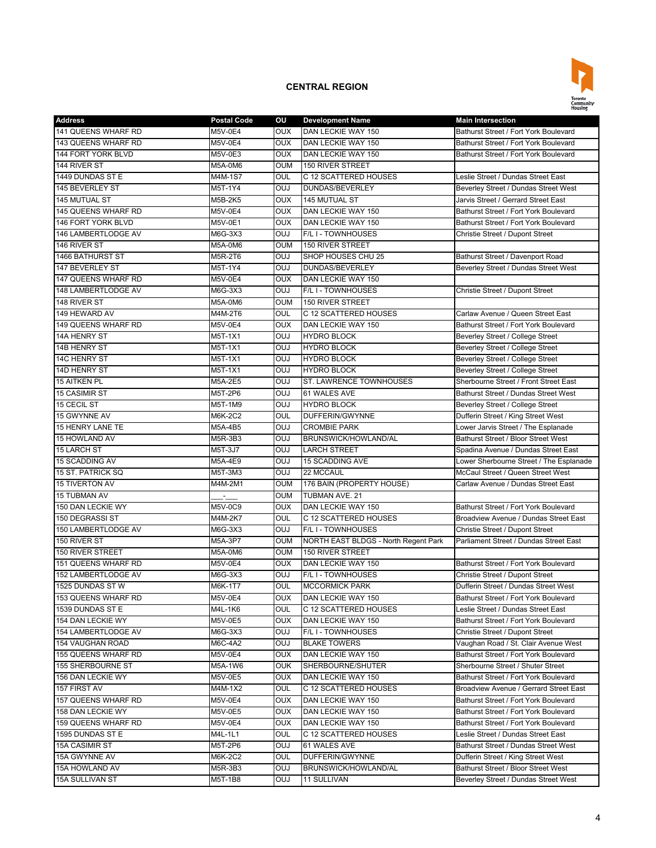

| <b>Address</b>             | <b>Postal Code</b> | ου         | <b>Development Name</b>              | <b>Main Intersection</b>                    |
|----------------------------|--------------------|------------|--------------------------------------|---------------------------------------------|
| 141 QUEENS WHARF RD        | M5V-0E4            | <b>OUX</b> | DAN LECKIE WAY 150                   | Bathurst Street / Fort York Boulevard       |
| 143 QUEENS WHARF RD        | M5V-0E4            | OUX        | DAN LECKIE WAY 150                   | Bathurst Street / Fort York Boulevard       |
| 144 FORT YORK BLVD         | M5V-0E3            | <b>OUX</b> | DAN LECKIE WAY 150                   | Bathurst Street / Fort York Boulevard       |
| 144 RIVER ST               | M5A-0M6            | <b>OUM</b> | <b>150 RIVER STREET</b>              |                                             |
| 1449 DUNDAS ST E           | M4M-1S7            | OUL        | C 12 SCATTERED HOUSES                | Leslie Street / Dundas Street East          |
| 145 BEVERLEY ST            | M5T-1Y4            | <b>OUJ</b> | DUNDAS/BEVERLEY                      | Beverley Street / Dundas Street West        |
| 145 MUTUAL ST              | M5B-2K5            | <b>OUX</b> | 145 MUTUAL ST                        | Jarvis Street / Gerrard Street East         |
| 145 QUEENS WHARF RD        | M5V-0E4            | <b>OUX</b> | DAN LECKIE WAY 150                   | Bathurst Street / Fort York Boulevard       |
| 146 FORT YORK BLVD         | M5V-0E1            | <b>OUX</b> | DAN LECKIE WAY 150                   | Bathurst Street / Fort York Boulevard       |
| 146 LAMBERTLODGE AV        | M6G-3X3            | <b>OUJ</b> | F/L I - TOWNHOUSES                   | Christie Street / Dupont Street             |
| 146 RIVER ST               | M5A-0M6            | <b>OUM</b> | 150 RIVER STREET                     |                                             |
| 1466 BATHURST ST           | M5R-2T6            | <b>OUJ</b> | SHOP HOUSES CHU 25                   | Bathurst Street / Davenport Road            |
| 147 BEVERLEY ST            | M5T-1Y4            | <b>OUJ</b> | DUNDAS/BEVERLEY                      | Beverley Street / Dundas Street West        |
| 147 QUEENS WHARF RD        | M5V-0E4            | <b>OUX</b> | DAN LECKIE WAY 150                   |                                             |
|                            |                    |            |                                      |                                             |
| 148 LAMBERTLODGE AV        | M6G-3X3            | <b>OUJ</b> | F/L I - TOWNHOUSES                   | Christie Street / Dupont Street             |
| 148 RIVER ST               | M5A-0M6            | <b>OUM</b> | 150 RIVER STREET                     |                                             |
| 149 HEWARD AV              | M4M-2T6            | OUL        | C 12 SCATTERED HOUSES                | Carlaw Avenue / Queen Street East           |
| 149 QUEENS WHARF RD        | <b>M5V-0E4</b>     | <b>OUX</b> | DAN LECKIE WAY 150                   | Bathurst Street / Fort York Boulevard       |
| 14A HENRY ST               | M5T-1X1            | <b>OUJ</b> | <b>HYDRO BLOCK</b>                   | Beverley Street / College Street            |
| 14B HENRY ST               | M5T-1X1            | <b>OUJ</b> | <b>HYDRO BLOCK</b>                   | Beverley Street / College Street            |
| 14C HENRY ST               | M5T-1X1            | <b>OUJ</b> | <b>HYDRO BLOCK</b>                   | Beverley Street / College Street            |
| 14D HENRY ST               | M5T-1X1            | <b>OUJ</b> | <b>HYDRO BLOCK</b>                   | Beverley Street / College Street            |
| <b>15 AITKEN PL</b>        | M5A-2E5            | <b>OUJ</b> | ST. LAWRENCE TOWNHOUSES              | Sherbourne Street / Front Street East       |
| 15 CASIMIR ST              | M5T-2P6            | <b>OUJ</b> | 61 WALES AVE                         | <b>Bathurst Street / Dundas Street West</b> |
| 15 CECIL ST                | M5T-1M9            | <b>OUJ</b> | <b>HYDRO BLOCK</b>                   | Beverley Street / College Street            |
| 15 GWYNNE AV               | M6K-2C2            | OUL        | <b>DUFFERIN/GWYNNE</b>               | Dufferin Street / King Street West          |
| 15 HENRY LANE TE           | M5A-4B5            | <b>OUJ</b> | <b>CROMBIE PARK</b>                  | Lower Jarvis Street / The Esplanade         |
| 15 HOWLAND AV              | M5R-3B3            | <b>OUJ</b> | BRUNSWICK/HOWLAND/AL                 | Bathurst Street / Bloor Street West         |
| <b>15 LARCH ST</b>         | M5T-3J7            | <b>OUJ</b> | <b>LARCH STREET</b>                  | Spadina Avenue / Dundas Street East         |
| 15 SCADDING AV             | M5A-4E9            | <b>OUJ</b> | <b>15 SCADDING AVE</b>               | Lower Sherbourne Street / The Esplanade     |
| 15 ST. PATRICK SQ          | M5T-3M3            | <b>OUJ</b> | 22 MCCAUL                            | McCaul Street / Queen Street West           |
| <b>15 TIVERTON AV</b>      | M4M-2M1            | <b>OUM</b> | 176 BAIN (PROPERTY HOUSE)            | Carlaw Avenue / Dundas Street East          |
| <b>15 TUBMAN AV</b>        |                    | OUM        | TUBMAN AVE. 21                       |                                             |
| 150 DAN LECKIE WY          | M5V-0C9            | OUX        | DAN LECKIE WAY 150                   | Bathurst Street / Fort York Boulevard       |
| 150 DEGRASSI ST            | M4M-2K7            | OUL        | C 12 SCATTERED HOUSES                | Broadview Avenue / Dundas Street East       |
| 150 LAMBERTLODGE AV        | M6G-3X3            | <b>OUJ</b> | F/L I - TOWNHOUSES                   | Christie Street / Dupont Street             |
| 150 RIVER ST               | M5A-3P7            | <b>OUM</b> | NORTH EAST BLDGS - North Regent Park | Parliament Street / Dundas Street East      |
| 150 RIVER STREET           | M5A-0M6            | <b>OUM</b> | 150 RIVER STREET                     |                                             |
| <b>151 QUEENS WHARF RD</b> | M5V-0E4            | OUX        | DAN LECKIE WAY 150                   | Bathurst Street / Fort York Boulevard       |
| 152 LAMBERTLODGE AV        | M6G-3X3            | <b>OUJ</b> | F/L I - TOWNHOUSES                   | Christie Street / Dupont Street             |
| 1525 DUNDAS ST W           | M6K-1T7            | OUL        | <b>MCCORMICK PARK</b>                | Dufferin Street / Dundas Street West        |
| 153 QUEENS WHARF RD        | M5V-0E4            | <b>UUX</b> | DAN LECKIE WAY 150                   | Bathurst Street / Fort York Boulevard       |
| 1539 DUNDAS ST E           | M4L-1K6            | OUL        | C 12 SCATTERED HOUSES                | Leslie Street / Dundas Street East          |
| 154 DAN LECKIE WY          | M5V-0E5            | <b>OUX</b> | DAN LECKIE WAY 150                   | Bathurst Street / Fort York Boulevard       |
| 154 LAMBERTLODGE AV        | M6G-3X3            | <b>OUJ</b> | F/L I - TOWNHOUSES                   | Christie Street / Dupont Street             |
| <b>154 VAUGHAN ROAD</b>    | M6C-4A2            | <b>OUJ</b> | <b>BLAKE TOWERS</b>                  | Vaughan Road / St. Clair Avenue West        |
| 155 QUEENS WHARF RD        | M5V-0E4            | OUX        | DAN LECKIE WAY 150                   | Bathurst Street / Fort York Boulevard       |
| 155 SHERBOURNE ST          | M5A-1W6            | <b>OUK</b> | SHERBOURNE/SHUTER                    | Sherbourne Street / Shuter Street           |
| 156 DAN LECKIE WY          | M5V-0E5            | <b>OUX</b> |                                      | Bathurst Street / Fort York Boulevard       |
|                            |                    |            | DAN LECKIE WAY 150                   |                                             |
| 157 FIRST AV               | M4M-1X2            | OUL        | C 12 SCATTERED HOUSES                | Broadview Avenue / Gerrard Street East      |
| 157 QUEENS WHARF RD        | M5V-0E4            | <b>OUX</b> | DAN LECKIE WAY 150                   | Bathurst Street / Fort York Boulevard       |
| 158 DAN LECKIE WY          | M5V-0E5            | <b>OUX</b> | DAN LECKIE WAY 150                   | Bathurst Street / Fort York Boulevard       |
| 159 QUEENS WHARF RD        | M5V-0E4            | OUX        | DAN LECKIE WAY 150                   | Bathurst Street / Fort York Boulevard       |
| 1595 DUNDAS ST E           | M4L-1L1            | OUL        | C 12 SCATTERED HOUSES                | Leslie Street / Dundas Street East          |
| <b>15A CASIMIR ST</b>      | M5T-2P6            | <b>OUJ</b> | 61 WALES AVE                         | Bathurst Street / Dundas Street West        |
| 15A GWYNNE AV              | M6K-2C2            | OUL        | DUFFERIN/GWYNNE                      | Dufferin Street / King Street West          |
| 15A HOWLAND AV             | M5R-3B3            | <b>OUJ</b> | BRUNSWICK/HOWLAND/AL                 | Bathurst Street / Bloor Street West         |
| 15A SULLIVAN ST            | M5T-1B8            | <b>LUO</b> | 11 SULLIVAN                          | Beverley Street / Dundas Street West        |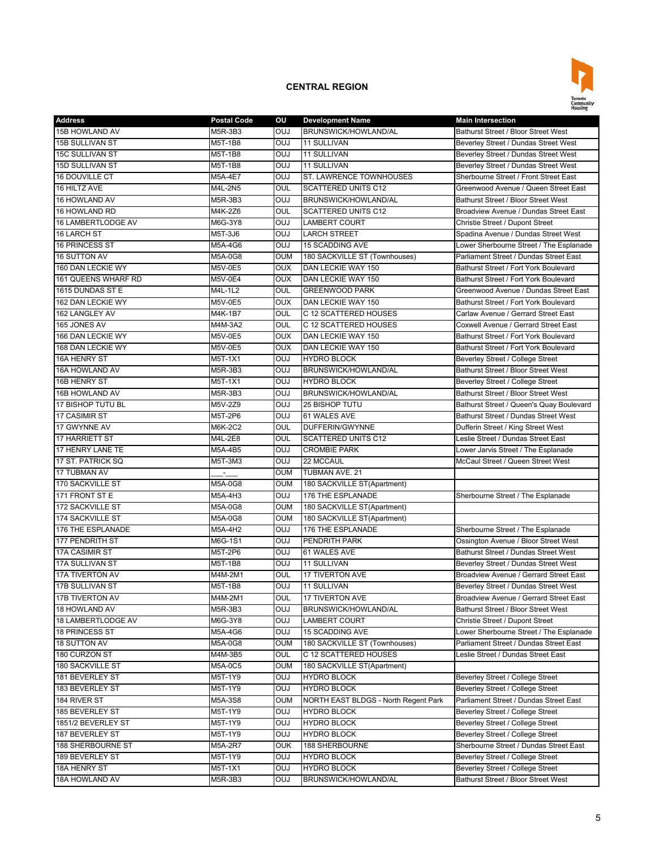

| <b>Address</b>          | <b>Postal Code</b> | ου         | <b>Development Name</b>              | <b>Main Intersection</b>                 |
|-------------------------|--------------------|------------|--------------------------------------|------------------------------------------|
| 15B HOWLAND AV          | M5R-3B3            | <b>OUJ</b> | BRUNSWICK/HOWLAND/AL                 | Bathurst Street / Bloor Street West      |
| <b>15B SULLIVAN ST</b>  | M5T-1B8            | OUJ        | 11 SULLIVAN                          | Beverley Street / Dundas Street West     |
| <b>15C SULLIVAN ST</b>  | M5T-1B8            | OUJ        | 11 SULLIVAN                          | Beverley Street / Dundas Street West     |
| 15D SULLIVAN ST         | M5T-1B8            | <b>CUO</b> | 11 SULLIVAN                          | Beverley Street / Dundas Street West     |
| 16 DOUVILLE CT          | M5A-4E7            | OUJ        | ST. LAWRENCE TOWNHOUSES              | Sherbourne Street / Front Street East    |
| 16 HILTZ AVE            | M4L-2N5            | OUL        | <b>SCATTERED UNITS C12</b>           | Greenwood Avenue / Queen Street East     |
| 16 HOWLAND AV           | M5R-3B3            | OUJ        | BRUNSWICK/HOWLAND/AL                 | Bathurst Street / Bloor Street West      |
| 16 HOWLAND RD           | M4K-2Z6            | OUL        | <b>SCATTERED UNITS C12</b>           | Broadview Avenue / Dundas Street East    |
| 16 LAMBERTLODGE AV      | M6G-3Y8            | OUJ        | <b>LAMBERT COURT</b>                 | Christie Street / Dupont Street          |
| 16 LARCH ST             | M5T-3J6            | <b>OUJ</b> | <b>LARCH STREET</b>                  | Spadina Avenue / Dundas Street West      |
| 16 PRINCESS ST          | M5A-4G6            | OUJ        | <b>15 SCADDING AVE</b>               | Lower Sherbourne Street / The Esplanade  |
| 16 SUTTON AV            | M5A-0G8            | <b>OUM</b> | 180 SACKVILLE ST (Townhouses)        | Parliament Street / Dundas Street East   |
| 160 DAN LECKIE WY       | M5V-0E5            | <b>OUX</b> | DAN LECKIE WAY 150                   | Bathurst Street / Fort York Boulevard    |
| 161 QUEENS WHARF RD     | M5V-0E4            | <b>OUX</b> | DAN LECKIE WAY 150                   | Bathurst Street / Fort York Boulevard    |
| 1615 DUNDAS ST E        | M4L-1L2            | OUL        | <b>GREENWOOD PARK</b>                | Greenwood Avenue / Dundas Street East    |
| 162 DAN LECKIE WY       | <b>M5V-0E5</b>     | <b>OUX</b> | DAN LECKIE WAY 150                   | Bathurst Street / Fort York Boulevard    |
| 162 LANGLEY AV          | M4K-1B7            | OUL        | C 12 SCATTERED HOUSES                | Carlaw Avenue / Gerrard Street East      |
| 165 JONES AV            | M4M-3A2            | OUL        | C 12 SCATTERED HOUSES                | Coxwell Avenue / Gerrard Street East     |
|                         |                    |            |                                      | Bathurst Street / Fort York Boulevard    |
| 166 DAN LECKIE WY       | M5V-0E5            | <b>OUX</b> | DAN LECKIE WAY 150                   |                                          |
| 168 DAN LECKIE WY       | <b>M5V-0E5</b>     | <b>OUX</b> | DAN LECKIE WAY 150                   | Bathurst Street / Fort York Boulevard    |
| <b>16A HENRY ST</b>     | M5T-1X1            | <b>OUJ</b> | <b>HYDRO BLOCK</b>                   | Beverley Street / College Street         |
| 16A HOWLAND AV          | M5R-3B3            | <b>OUJ</b> | BRUNSWICK/HOWLAND/AL                 | Bathurst Street / Bloor Street West      |
| 16B HENRY ST            | M5T-1X1            | OUJ        | <b>HYDRO BLOCK</b>                   | Beverley Street / College Street         |
| 16B HOWLAND AV          | M5R-3B3            | OUJ        | <b>BRUNSWICK/HOWLAND/AL</b>          | Bathurst Street / Bloor Street West      |
| 17 BISHOP TUTU BL       | M5V-2Z9            | OUJ        | <b>25 BISHOP TUTU</b>                | Bathurst Street / Queen's Quay Boulevard |
| 17 CASIMIR ST           | M5T-2P6            | <b>CUO</b> | 61 WALES AVE                         | Bathurst Street / Dundas Street West     |
| 17 GWYNNE AV            | M6K-2C2            | OUL        | DUFFERIN/GWYNNE                      | Dufferin Street / King Street West       |
| 17 HARRIETT ST          | M4L-2E8            | OUL        | <b>SCATTERED UNITS C12</b>           | Leslie Street / Dundas Street East       |
| 17 HENRY LANE TE        | M5A-4B5            | OUJ        | <b>CROMBIE PARK</b>                  | Lower Jarvis Street / The Esplanade      |
| 17 ST. PATRICK SQ       | M5T-3M3            | <b>CUO</b> | 22 MCCAUL                            | McCaul Street / Queen Street West        |
| <b>17 TUBMAN AV</b>     |                    | <b>OUM</b> | TUBMAN AVE. 21                       |                                          |
| 170 SACKVILLE ST        | M5A-0G8            | <b>OUM</b> | 180 SACKVILLE ST(Apartment)          |                                          |
| 171 FRONT ST E          | M5A-4H3            | OUJ        | 176 THE ESPLANADE                    | Sherbourne Street / The Esplanade        |
| 172 SACKVILLE ST        | M5A-0G8            | <b>OUM</b> | 180 SACKVILLE ST(Apartment)          |                                          |
| <b>174 SACKVILLE ST</b> | M5A-0G8            | <b>OUM</b> | 180 SACKVILLE ST(Apartment)          |                                          |
| 176 THE ESPLANADE       | M5A-4H2            | OUJ        | 176 THE ESPLANADE                    | Sherbourne Street / The Esplanade        |
| 177 PENDRITH ST         | M6G-1S1            | OUJ        | PENDRITH PARK                        | Ossington Avenue / Bloor Street West     |
| 17A CASIMIR ST          | M5T-2P6            | OUJ        | 61 WALES AVE                         | Bathurst Street / Dundas Street West     |
| <b>17A SULLIVAN ST</b>  | M5T-1B8            | OUJ        | 11 SULLIVAN                          | Beverley Street / Dundas Street West     |
| <b>17A TIVERTON AV</b>  | M4M-2M1            | OUL        | <b>17 TIVERTON AVE</b>               | Broadview Avenue / Gerrard Street East   |
| 17B SULLIVAN ST         | M5T-1B8            | <b>OUJ</b> | 11 SULLIVAN                          | Beverley Street / Dundas Street West     |
| 17B TIVERTON AV         | M4M-2M1            | OUL        | 17 TIVERTON AVE                      | Broadview Avenue / Gerrard Street East   |
| 18 HOWLAND AV           | M5R-3B3            | <b>DUO</b> | BRUNSWICK/HOWLAND/AL                 | Bathurst Street / Bloor Street West      |
| 18 LAMBERTLODGE AV      | M6G-3Y8            | <b>DUO</b> | LAMBERT COURT                        | Christie Street / Dupont Street          |
| 18 PRINCESS ST          | M5A-4G6            | <b>OUJ</b> | 15 SCADDING AVE                      | Lower Sherbourne Street / The Esplanade  |
| 18 SUTTON AV            | M5A-0G8            | <b>OUM</b> | 180 SACKVILLE ST (Townhouses)        | Parliament Street / Dundas Street East   |
| 180 CURZON ST           | M4M-3B5            | OUL        | C 12 SCATTERED HOUSES                | Leslie Street / Dundas Street East       |
| 180 SACKVILLE ST        | M5A-0C5            | OUM        | 180 SACKVILLE ST(Apartment)          |                                          |
| 181 BEVERLEY ST         | M5T-1Y9            | <b>OUJ</b> | <b>HYDRO BLOCK</b>                   | Beverley Street / College Street         |
| 183 BEVERLEY ST         | M5T-1Y9            | <b>DUO</b> | <b>HYDRO BLOCK</b>                   | Beverley Street / College Street         |
| 184 RIVER ST            | M5A-3S8            | <b>OUM</b> | NORTH EAST BLDGS - North Regent Park | Parliament Street / Dundas Street East   |
| 185 BEVERLEY ST         | M5T-1Y9            | <b>OUJ</b> | <b>HYDRO BLOCK</b>                   | Beverley Street / College Street         |
| 1851/2 BEVERLEY ST      | M5T-1Y9            | <b>OUJ</b> | <b>HYDRO BLOCK</b>                   | Beverley Street / College Street         |
| 187 BEVERLEY ST         | M5T-1Y9            | <b>OUJ</b> | <b>HYDRO BLOCK</b>                   | Beverley Street / College Street         |
| 188 SHERBOURNE ST       |                    | <b>OUK</b> | 188 SHERBOURNE                       | Sherbourne Street / Dundas Street East   |
| 189 BEVERLEY ST         | M5A-2R7            | <b>OUJ</b> |                                      |                                          |
|                         | M5T-1Y9            |            | <b>HYDRO BLOCK</b>                   | Beverley Street / College Street         |
| 18A HENRY ST            | M5T-1X1            | <b>OUJ</b> | <b>HYDRO BLOCK</b>                   | Beverley Street / College Street         |
| 18A HOWLAND AV          | M5R-3B3            | <b>OUJ</b> | BRUNSWICK/HOWLAND/AL                 | Bathurst Street / Bloor Street West      |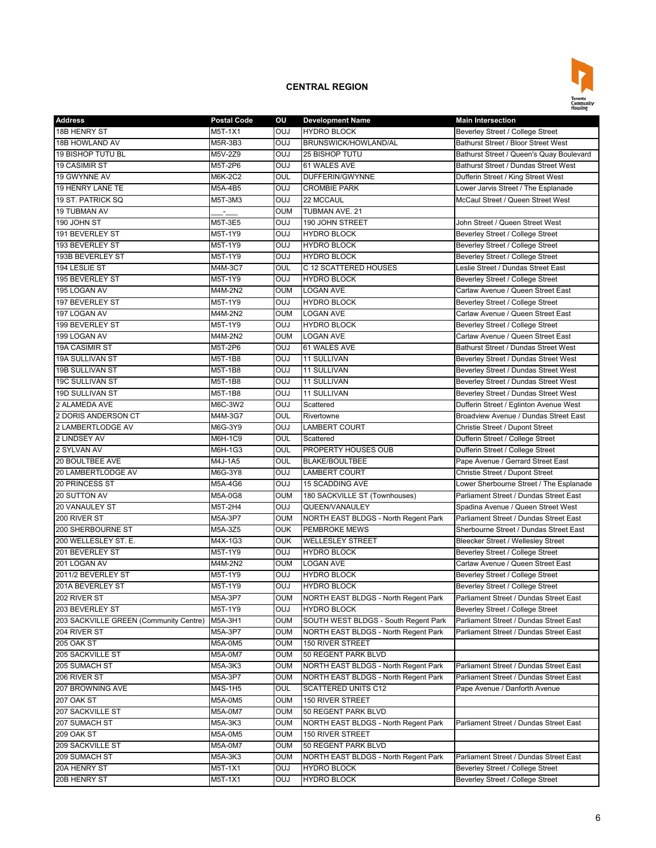

| <b>Address</b>                         | <b>Postal Code</b> | ου         | <b>Development Name</b>              | <b>Main Intersection</b>                  |
|----------------------------------------|--------------------|------------|--------------------------------------|-------------------------------------------|
| <b>18B HENRY ST</b>                    | M5T-1X1            | <b>OUJ</b> | <b>HYDRO BLOCK</b>                   | Beverley Street / College Street          |
| 18B HOWLAND AV                         | M5R-3B3            | <b>OUJ</b> | BRUNSWICK/HOWLAND/AL                 | Bathurst Street / Bloor Street West       |
| 19 BISHOP TUTU BL                      | M5V-2Z9            | <b>OUJ</b> | 25 BISHOP TUTU                       | Bathurst Street / Queen's Quay Boulevard  |
| <b>19 CASIMIR ST</b>                   | M5T-2P6            | <b>OUJ</b> | 61 WALES AVE                         | Bathurst Street / Dundas Street West      |
| 19 GWYNNE AV                           | M6K-2C2            | OUL        | DUFFERIN/GWYNNE                      | Dufferin Street / King Street West        |
| 19 HENRY LANE TE                       | M5A-4B5            | <b>OUJ</b> | <b>CROMBIE PARK</b>                  | Lower Jarvis Street / The Esplanade       |
| 19 ST. PATRICK SQ                      | M5T-3M3            | <b>OUJ</b> | 22 MCCAUL                            | McCaul Street / Queen Street West         |
| <b>19 TUBMAN AV</b>                    | ્રિ                | <b>OUM</b> | TUBMAN AVE. 21                       |                                           |
| 190 JOHN ST                            | M5T-3E5            | <b>OUJ</b> | 190 JOHN STREET                      | John Street / Queen Street West           |
| 191 BEVERLEY ST                        | M5T-1Y9            | <b>OUJ</b> | <b>HYDRO BLOCK</b>                   | Beverley Street / College Street          |
| 193 BEVERLEY ST                        | M5T-1Y9            | <b>OUJ</b> | <b>HYDRO BLOCK</b>                   | Beverley Street / College Street          |
| 193B BEVERLEY ST                       | M5T-1Y9            | <b>OUJ</b> | <b>HYDRO BLOCK</b>                   | Beverley Street / College Street          |
| 194 LESLIE ST                          | M4M-3C7            | <b>OUL</b> | C 12 SCATTERED HOUSES                | Leslie Street / Dundas Street East        |
| 195 BEVERLEY ST                        | M5T-1Y9            | <b>OUJ</b> | <b>HYDRO BLOCK</b>                   | Beverley Street / College Street          |
| 195 LOGAN AV                           | M4M-2N2            | <b>OUM</b> | <b>LOGAN AVE</b>                     | Carlaw Avenue / Queen Street East         |
| 197 BEVERLEY ST                        | M5T-1Y9            | <b>OUJ</b> | <b>HYDRO BLOCK</b>                   | Beverley Street / College Street          |
| 197 LOGAN AV                           | M4M-2N2            | <b>OUM</b> | <b>LOGAN AVE</b>                     | Carlaw Avenue / Queen Street East         |
| 199 BEVERLEY ST                        | M5T-1Y9            | <b>OUJ</b> | <b>HYDRO BLOCK</b>                   | Beverley Street / College Street          |
| 199 LOGAN AV                           | M4M-2N2            | <b>OUM</b> | <b>LOGAN AVE</b>                     | Carlaw Avenue / Queen Street East         |
| <b>19A CASIMIR ST</b>                  | M5T-2P6            | <b>OUJ</b> | 61 WALES AVE                         | Bathurst Street / Dundas Street West      |
| 19A SULLIVAN ST                        | M5T-1B8            | <b>OUJ</b> | 11 SULLIVAN                          | Beverley Street / Dundas Street West      |
| <b>19B SULLIVAN ST</b>                 | M5T-1B8            | <b>OUJ</b> | <b>11 SULLIVAN</b>                   | Beverley Street / Dundas Street West      |
| <b>19C SULLIVAN ST</b>                 | M5T-1B8            | <b>OUJ</b> | <b>11 SULLIVAN</b>                   | Beverley Street / Dundas Street West      |
| 19D SULLIVAN ST                        | M5T-1B8            | <b>OUJ</b> | <b>11 SULLIVAN</b>                   | Beverley Street / Dundas Street West      |
| 2 ALAMEDA AVE                          | M6C-3W2            | <b>OUJ</b> | Scattered                            |                                           |
| 2 DORIS ANDERSON CT                    |                    |            |                                      | Dufferin Street / Eglinton Avenue West    |
|                                        | M4M-3G7            | OUL        | Rivertowne                           | Broadview Avenue / Dundas Street East     |
| 2 LAMBERTLODGE AV                      | M6G-3Y9            | <b>OUJ</b> | <b>LAMBERT COURT</b>                 | Christie Street / Dupont Street           |
| 2 LINDSEY AV                           | M6H-1C9            | OUL        | Scattered                            | Dufferin Street / College Street          |
| 2 SYLVAN AV                            | M6H-1G3            | OUL        | PROPERTY HOUSES OUB                  | Dufferin Street / College Street          |
| 20 BOULTBEE AVE                        | M4J-1A5            | OUL        | <b>BLAKE/BOULTBEE</b>                | Pape Avenue / Gerrard Street East         |
| 20 LAMBERTLODGE AV                     | M6G-3Y8            | <b>OUJ</b> | <b>LAMBERT COURT</b>                 | Christie Street / Dupont Street           |
| 20 PRINCESS ST                         | M5A-4G6            | <b>OUJ</b> | <b>15 SCADDING AVE</b>               | Lower Sherbourne Street / The Esplanade   |
| 20 SUTTON AV                           | M5A-0G8            | <b>OUM</b> | 180 SACKVILLE ST (Townhouses)        | Parliament Street / Dundas Street East    |
| 20 VANAULEY ST                         | M5T-2H4            | <b>OUJ</b> | QUEEN/VANAULEY                       | Spadina Avenue / Queen Street West        |
| 200 RIVER ST                           | M5A-3P7            | <b>OUM</b> | NORTH EAST BLDGS - North Regent Park | Parliament Street / Dundas Street East    |
| 200 SHERBOURNE ST                      | M5A-3Z5            | <b>OUK</b> | <b>PEMBROKE MEWS</b>                 | Sherbourne Street / Dundas Street East    |
| 200 WELLESLEY ST. E.                   | M4X-1G3            | <b>OUK</b> | <b>WELLESLEY STREET</b>              | <b>Bleecker Street / Wellesley Street</b> |
| 201 BEVERLEY ST                        | M5T-1Y9            | <b>OUJ</b> | <b>HYDRO BLOCK</b>                   | Beverley Street / College Street          |
| 201 LOGAN AV                           | M4M-2N2            | OUM        | <b>LOGAN AVE</b>                     | Carlaw Avenue / Queen Street East         |
| 2011/2 BEVERLEY ST                     | M5T-1Y9            | <b>OUJ</b> | <b>HYDRO BLOCK</b>                   | Beverley Street / College Street          |
| 201A BEVERLEY ST                       | M5T-1Y9            | <b>CUO</b> | <b>HYDRO BLOCK</b>                   | Beverley Street / College Street          |
| 202 RIVER ST                           | M5A-3P7            | <b>OUM</b> | NORTH EAST BLDGS - North Regent Park | Parliament Street / Dundas Street East    |
| 203 BEVERLEY ST                        | M5T-1Y9            | <b>OUJ</b> | <b>HYDRO BLOCK</b>                   | Beverley Street / College Street          |
| 203 SACKVILLE GREEN (Community Centre) | M5A-3H1            | <b>OUM</b> | SOUTH WEST BLDGS - South Regent Park | Parliament Street / Dundas Street East    |
| 204 RIVER ST                           | M5A-3P7            | <b>OUM</b> | NORTH EAST BLDGS - North Regent Park | Parliament Street / Dundas Street East    |
| 205 OAK ST                             | M5A-0M5            | OUM        | 150 RIVER STREET                     |                                           |
| 205 SACKVILLE ST                       | M5A-0M7            | OUM        | 50 REGENT PARK BLVD                  |                                           |
| 205 SUMACH ST                          | M5A-3K3            | <b>OUM</b> | NORTH EAST BLDGS - North Regent Park | Parliament Street / Dundas Street East    |
| 206 RIVER ST                           | M5A-3P7            | OUM        | NORTH EAST BLDGS - North Regent Park | Parliament Street / Dundas Street East    |
| 207 BROWNING AVE                       | M4S-1H5            | OUL        | <b>SCATTERED UNITS C12</b>           | Pape Avenue / Danforth Avenue             |
| 207 OAK ST                             | M5A-0M5            | OUM        | 150 RIVER STREET                     |                                           |
| 207 SACKVILLE ST                       | M5A-0M7            | OUM        | 50 REGENT PARK BLVD                  |                                           |
| 207 SUMACH ST                          | M5A-3K3            | OUM        | NORTH EAST BLDGS - North Regent Park | Parliament Street / Dundas Street East    |
| 209 OAK ST                             | M5A-0M5            | <b>OUM</b> | 150 RIVER STREET                     |                                           |
| 209 SACKVILLE ST                       | M5A-0M7            | OUM        | 50 REGENT PARK BLVD                  |                                           |
| 209 SUMACH ST                          | M5A-3K3            | OUM        | NORTH EAST BLDGS - North Regent Park | Parliament Street / Dundas Street East    |
| 20A HENRY ST                           | M5T-1X1            | <b>OUJ</b> | <b>HYDRO BLOCK</b>                   | Beverley Street / College Street          |
| 20B HENRY ST                           | M5T-1X1            | <b>LUO</b> | <b>HYDRO BLOCK</b>                   | Beverley Street / College Street          |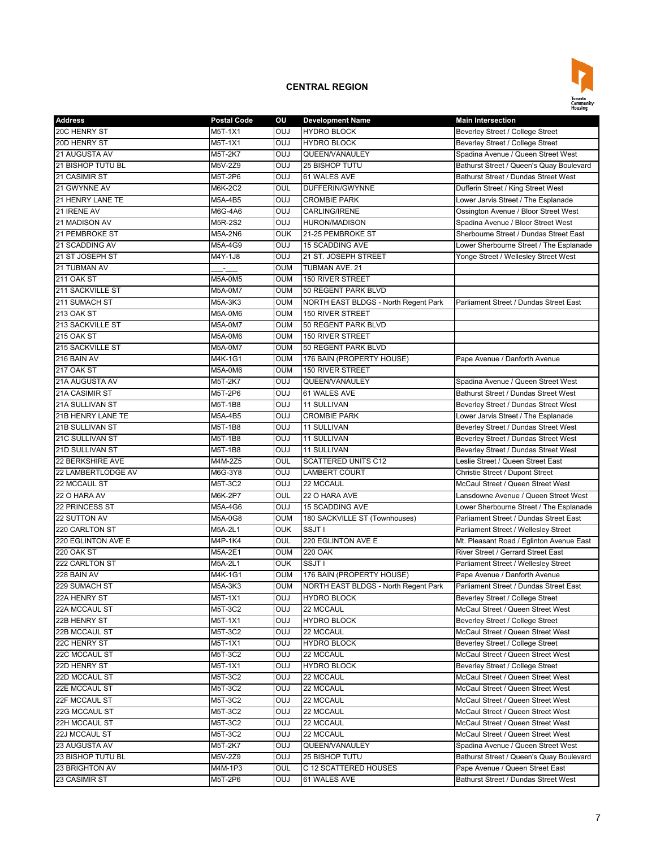

| 20C HENRY ST<br>OUJ<br><b>HYDRO BLOCK</b><br><b>Beverley Street / College Street</b><br>M5T-1X1<br>20D HENRY ST<br><b>OUJ</b><br>Beverley Street / College Street<br>M5T-1X1<br><b>HYDRO BLOCK</b><br>Spadina Avenue / Queen Street West<br>21 AUGUSTA AV<br><b>OUJ</b><br>QUEEN/VANAULEY<br>M5T-2K7<br>21 BISHOP TUTU BL<br><b>OUJ</b><br>Bathurst Street / Queen's Quay Boulevard<br>M5V-2Z9<br><b>25 BISHOP TUTU</b> |  |
|-------------------------------------------------------------------------------------------------------------------------------------------------------------------------------------------------------------------------------------------------------------------------------------------------------------------------------------------------------------------------------------------------------------------------|--|
|                                                                                                                                                                                                                                                                                                                                                                                                                         |  |
|                                                                                                                                                                                                                                                                                                                                                                                                                         |  |
|                                                                                                                                                                                                                                                                                                                                                                                                                         |  |
|                                                                                                                                                                                                                                                                                                                                                                                                                         |  |
| 21 CASIMIR ST<br><b>OUJ</b><br>61 WALES AVE<br>Bathurst Street / Dundas Street West<br>M5T-2P6                                                                                                                                                                                                                                                                                                                          |  |
| 21 GWYNNE AV<br>OUL<br>DUFFERIN/GWYNNE<br>Dufferin Street / King Street West<br>M6K-2C2                                                                                                                                                                                                                                                                                                                                 |  |
| 21 HENRY LANE TE<br><b>CROMBIE PARK</b><br>M5A-4B5<br><b>OUJ</b><br>Lower Jarvis Street / The Esplanade                                                                                                                                                                                                                                                                                                                 |  |
| <b>DUO</b><br>Ossington Avenue / Bloor Street West<br>21 IRENE AV<br>M6G-4A6<br><b>CARLING/IRENE</b>                                                                                                                                                                                                                                                                                                                    |  |
| 21 MADISON AV<br><b>OUJ</b><br><b>HURON/MADISON</b><br>Spadina Avenue / Bloor Street West<br>M5R-2S2                                                                                                                                                                                                                                                                                                                    |  |
| 21 PEMBROKE ST<br>21-25 PEMBROKE ST<br>Sherbourne Street / Dundas Street East<br>M5A-2N6<br><b>OUK</b>                                                                                                                                                                                                                                                                                                                  |  |
| 21 SCADDING AV<br><b>15 SCADDING AVE</b><br>Lower Sherbourne Street / The Esplanade<br>M5A-4G9<br><b>OUJ</b>                                                                                                                                                                                                                                                                                                            |  |
| 21 ST JOSEPH ST<br><b>OUJ</b><br>21 ST. JOSEPH STREET<br>Yonge Street / Wellesley Street West<br>M4Y-1J8                                                                                                                                                                                                                                                                                                                |  |
| 21 TUBMAN AV<br><b>OUM</b><br>TUBMAN AVE. 21                                                                                                                                                                                                                                                                                                                                                                            |  |
|                                                                                                                                                                                                                                                                                                                                                                                                                         |  |
| 211 OAK ST<br>M5A-0M5<br><b>OUM</b><br>150 RIVER STREET                                                                                                                                                                                                                                                                                                                                                                 |  |
| 211 SACKVILLE ST<br><b>OUM</b><br>50 REGENT PARK BLVD<br>M5A-0M7                                                                                                                                                                                                                                                                                                                                                        |  |
| 211 SUMACH ST<br>NORTH EAST BLDGS - North Regent Park<br>Parliament Street / Dundas Street East<br><b>OUM</b><br>M5A-3K3                                                                                                                                                                                                                                                                                                |  |
| <b>213 OAK ST</b><br><b>OUM</b><br>150 RIVER STREET<br>M5A-0M6                                                                                                                                                                                                                                                                                                                                                          |  |
| 213 SACKVILLE ST<br><b>OUM</b><br>50 REGENT PARK BLVD<br>M5A-0M7                                                                                                                                                                                                                                                                                                                                                        |  |
| <b>215 OAK ST</b><br>M5A-0M6<br><b>OUM</b><br><b>150 RIVER STREET</b>                                                                                                                                                                                                                                                                                                                                                   |  |
| 215 SACKVILLE ST<br>50 REGENT PARK BLVD<br><b>OUM</b><br><b>M5A-0M7</b>                                                                                                                                                                                                                                                                                                                                                 |  |
| 176 BAIN (PROPERTY HOUSE)<br>216 BAIN AV<br>M4K-1G1<br><b>OUM</b><br>Pape Avenue / Danforth Avenue                                                                                                                                                                                                                                                                                                                      |  |
| 217 OAK ST<br>M5A-0M6<br><b>OUM</b><br><b>150 RIVER STREET</b>                                                                                                                                                                                                                                                                                                                                                          |  |
| 21A AUGUSTA AV<br><b>OUJ</b><br>QUEEN/VANAULEY<br>Spadina Avenue / Queen Street West<br>M5T-2K7                                                                                                                                                                                                                                                                                                                         |  |
| 21A CASIMIR ST<br><b>OUJ</b><br>61 WALES AVE<br>Bathurst Street / Dundas Street West<br>M5T-2P6                                                                                                                                                                                                                                                                                                                         |  |
| <b>21A SULLIVAN ST</b><br><b>OUJ</b><br>M5T-1B8<br><b>11 SULLIVAN</b><br>Beverlev Street / Dundas Street West                                                                                                                                                                                                                                                                                                           |  |
| 21B HENRY LANE TE<br><b>OUJ</b><br><b>CROMBIE PARK</b><br>M5A-4B5<br>Lower Jarvis Street / The Esplanade                                                                                                                                                                                                                                                                                                                |  |
| <b>OUJ</b><br><b>21B SULLIVAN ST</b><br>M5T-1B8<br><b>11 SULLIVAN</b><br>Beverley Street / Dundas Street West                                                                                                                                                                                                                                                                                                           |  |
| 21C SULLIVAN ST<br><b>OUJ</b><br>M5T-1B8<br><b>11 SULLIVAN</b><br>Beverley Street / Dundas Street West                                                                                                                                                                                                                                                                                                                  |  |
| 21D SULLIVAN ST<br><b>OUJ</b><br>Beverley Street / Dundas Street West<br>M5T-1B8<br><b>11 SULLIVAN</b>                                                                                                                                                                                                                                                                                                                  |  |
| 22 BERKSHIRE AVE<br>OUL<br><b>SCATTERED UNITS C12</b><br>Leslie Street / Queen Street East<br>M4M-2Z5                                                                                                                                                                                                                                                                                                                   |  |
| 22 LAMBERTLODGE AV<br><b>CUO</b><br><b>LAMBERT COURT</b><br>Christie Street / Dupont Street<br>M6G-3Y8                                                                                                                                                                                                                                                                                                                  |  |
| <b>DUO</b><br>22 MCCAUL ST<br>M5T-3C2<br>22 MCCAUL<br>McCaul Street / Queen Street West                                                                                                                                                                                                                                                                                                                                 |  |
| 22 O HARA AVE<br>22 O HARA AV<br>OUL<br>Lansdowne Avenue / Queen Street West<br>M6K-2P7                                                                                                                                                                                                                                                                                                                                 |  |
| 22 PRINCESS ST<br><b>OUJ</b><br><b>15 SCADDING AVE</b><br>M5A-4G6<br>Lower Sherbourne Street / The Esplanade                                                                                                                                                                                                                                                                                                            |  |
| 22 SUTTON AV<br>M5A-0G8<br><b>OUM</b><br>180 SACKVILLE ST (Townhouses)<br>Parliament Street / Dundas Street East                                                                                                                                                                                                                                                                                                        |  |
| 220 CARLTON ST<br><b>OUK</b><br>SSJT I<br>M5A-2L1<br>Parliament Street / Wellesley Street                                                                                                                                                                                                                                                                                                                               |  |
| 220 EGLINTON AVE E<br>220 EGLINTON AVE E<br>Mt. Pleasant Road / Eglinton Avenue East<br>M4P-1K4<br>OUL                                                                                                                                                                                                                                                                                                                  |  |
| 220 OAK<br>River Street / Gerrard Street East<br>220 OAK ST<br>M5A-2E1<br><b>OUM</b>                                                                                                                                                                                                                                                                                                                                    |  |
| <b>OUK</b><br>SSJT I<br>222 CARLTON ST<br>M5A-2L1<br>Parliament Street / Wellesley Street                                                                                                                                                                                                                                                                                                                               |  |
| 228 BAIN AV<br><b>OUM</b><br>176 BAIN (PROPERTY HOUSE)<br>Pape Avenue / Danforth Avenue<br>M4K-1G1                                                                                                                                                                                                                                                                                                                      |  |
| 229 SUMACH ST<br>NORTH EAST BLDGS - North Regent Park<br>Parliament Street / Dundas Street East<br>M5A-3K3<br>oum                                                                                                                                                                                                                                                                                                       |  |
| 22A HENRY ST<br>Beverley Street / College Street                                                                                                                                                                                                                                                                                                                                                                        |  |
| M5T-1X1<br><b>OUJ</b><br><b>HYDRO BLOCK</b><br><b>OUJ</b>                                                                                                                                                                                                                                                                                                                                                               |  |
| M5T-3C2<br>22A MCCAUL ST<br>22 MCCAUL<br>McCaul Street / Queen Street West                                                                                                                                                                                                                                                                                                                                              |  |
| 22B HENRY ST<br><b>HYDRO BLOCK</b><br>Beverley Street / College Street<br>M5T-1X1<br><b>OUJ</b>                                                                                                                                                                                                                                                                                                                         |  |
| 22B MCCAUL ST<br>McCaul Street / Queen Street West<br>M5T-3C2<br><b>OUJ</b><br>22 MCCAUL                                                                                                                                                                                                                                                                                                                                |  |
| Beverley Street / College Street<br>22C HENRY ST<br>M5T-1X1<br><b>OUJ</b><br><b>HYDRO BLOCK</b>                                                                                                                                                                                                                                                                                                                         |  |
| McCaul Street / Queen Street West<br>22 MCCAUL<br>22C MCCAUL ST<br>M5T-3C2<br><b>OUJ</b>                                                                                                                                                                                                                                                                                                                                |  |
| 22D HENRY ST<br>M5T-1X1<br><b>OUJ</b><br><b>HYDRO BLOCK</b><br>Beverley Street / College Street                                                                                                                                                                                                                                                                                                                         |  |
| 22D MCCAUL ST<br>M5T-3C2<br>McCaul Street / Queen Street West<br><b>OUJ</b><br>22 MCCAUL                                                                                                                                                                                                                                                                                                                                |  |
| McCaul Street / Queen Street West<br>22E MCCAUL ST<br>M5T-3C2<br><b>OUJ</b><br>22 MCCAUL                                                                                                                                                                                                                                                                                                                                |  |
| 22F MCCAUL ST<br>M5T-3C2<br><b>OUJ</b><br>22 MCCAUL<br>McCaul Street / Queen Street West                                                                                                                                                                                                                                                                                                                                |  |
| 22G MCCAUL ST<br>M5T-3C2<br><b>OUJ</b><br>22 MCCAUL<br>McCaul Street / Queen Street West                                                                                                                                                                                                                                                                                                                                |  |
| 22H MCCAUL ST<br>M5T-3C2<br><b>OUJ</b><br>22 MCCAUL<br>McCaul Street / Queen Street West                                                                                                                                                                                                                                                                                                                                |  |
| 22J MCCAUL ST<br>M5T-3C2<br><b>OUJ</b><br>22 MCCAUL<br>McCaul Street / Queen Street West                                                                                                                                                                                                                                                                                                                                |  |
| Spadina Avenue / Queen Street West<br>23 AUGUSTA AV<br>M5T-2K7<br><b>DUO</b><br>QUEEN/VANAULEY                                                                                                                                                                                                                                                                                                                          |  |
| 23 BISHOP TUTU BL<br>Bathurst Street / Queen's Quay Boulevard<br>M5V-2Z9<br><b>OUJ</b><br>25 BISHOP TUTU                                                                                                                                                                                                                                                                                                                |  |
| 23 BRIGHTON AV<br>C 12 SCATTERED HOUSES<br>Pape Avenue / Queen Street East<br>M4M-1P3<br>OUL                                                                                                                                                                                                                                                                                                                            |  |
| 61 WALES AVE<br>23 CASIMIR ST<br>M5T-2P6<br><b>LUO</b><br>Bathurst Street / Dundas Street West                                                                                                                                                                                                                                                                                                                          |  |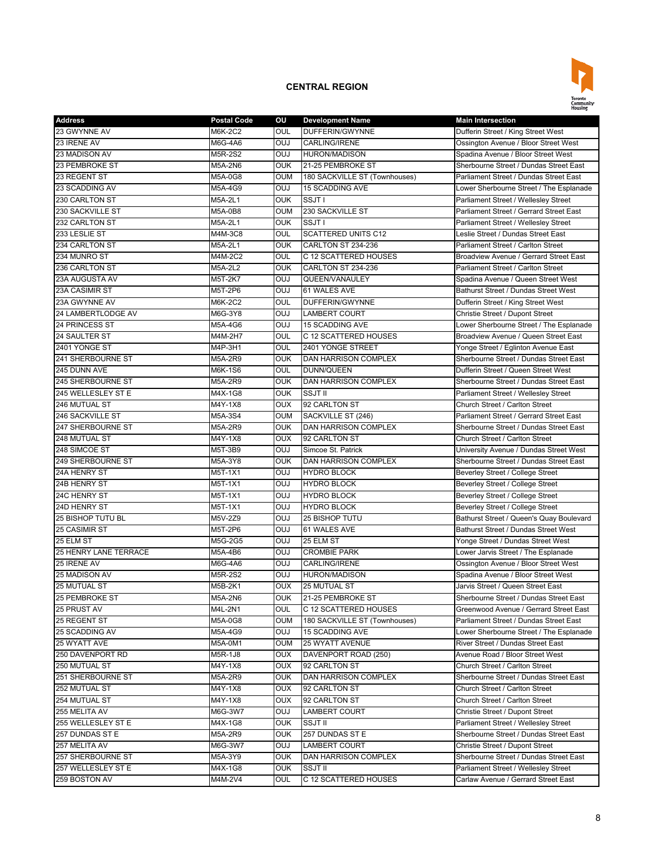

| <b>Address</b>                            | <b>Postal Code</b> | ου         | <b>Development Name</b>          | <b>Main Intersection</b>                                                    |
|-------------------------------------------|--------------------|------------|----------------------------------|-----------------------------------------------------------------------------|
| 23 GWYNNE AV                              | M6K-2C2            | OUL        | DUFFERIN/GWYNNE                  | Dufferin Street / King Street West                                          |
| 23 IRENE AV                               | M6G-4A6            | <b>OUJ</b> | <b>CARLING/IRENE</b>             | Ossington Avenue / Bloor Street West                                        |
| 23 MADISON AV                             | M5R-2S2            | <b>OUJ</b> | <b>HURON/MADISON</b>             | Spadina Avenue / Bloor Street West                                          |
| 23 PEMBROKE ST                            | M5A-2N6            | <b>OUK</b> | 21-25 PEMBROKE ST                | Sherbourne Street / Dundas Street East                                      |
| 23 REGENT ST                              | M5A-0G8            | <b>OUM</b> | 180 SACKVILLE ST (Townhouses)    | Parliament Street / Dundas Street East                                      |
| 23 SCADDING AV                            | M5A-4G9            | <b>OUJ</b> | <b>15 SCADDING AVE</b>           | Lower Sherbourne Street / The Esplanade                                     |
| 230 CARLTON ST                            | M5A-2L1            | <b>OUK</b> | SSJT I                           | Parliament Street / Wellesley Street                                        |
| 230 SACKVILLE ST                          | M5A-0B8            | <b>OUM</b> | 230 SACKVILLE ST                 | Parliament Street / Gerrard Street East                                     |
| 232 CARLTON ST                            | M5A-2L1            | OUK        | SSJT I                           | Parliament Street / Wellesley Street                                        |
| 233 LESLIE ST                             | M4M-3C8            | OUL        | <b>SCATTERED UNITS C12</b>       | Leslie Street / Dundas Street East                                          |
| 234 CARLTON ST                            | M5A-2L1            | <b>OUK</b> | CARLTON ST 234-236               | Parliament Street / Carlton Street                                          |
| 234 MUNRO ST                              | M4M-2C2            | OUL        | C 12 SCATTERED HOUSES            | Broadview Avenue / Gerrard Street East                                      |
| 236 CARLTON ST                            | M5A-2L2            | <b>OUK</b> | CARLTON ST 234-236               | Parliament Street / Carlton Street                                          |
| 23A AUGUSTA AV                            | M5T-2K7            | <b>OUJ</b> | QUEEN/VANAULEY                   | Spadina Avenue / Queen Street West                                          |
| 23A CASIMIR ST                            | M5T-2P6            | <b>OUJ</b> | 61 WALES AVE                     | Bathurst Street / Dundas Street West                                        |
| 23A GWYNNE AV                             | M6K-2C2            | OUL        | DUFFERIN/GWYNNE                  | Dufferin Street / King Street West                                          |
| 24 LAMBERTLODGE AV                        | M6G-3Y8            | <b>OUJ</b> | <b>LAMBERT COURT</b>             | Christie Street / Dupont Street                                             |
| 24 PRINCESS ST                            | M5A-4G6            | <b>OUJ</b> | <b>15 SCADDING AVE</b>           | Lower Sherbourne Street / The Esplanade                                     |
| 24 SAULTER ST                             | M4M-2H7            | OUL        | C 12 SCATTERED HOUSES            | Broadview Avenue / Queen Street East                                        |
| 2401 YONGE ST                             | M4P-3H1            | OUL        | 2401 YONGE STREET                | Yonge Street / Eglinton Avenue East                                         |
| 241 SHERBOURNE ST                         | M5A-2R9            | <b>OUK</b> | <b>DAN HARRISON COMPLEX</b>      | Sherbourne Street / Dundas Street East                                      |
| 245 DUNN AVE                              | M6K-1S6            | OUL        | DUNN/QUEEN                       | Dufferin Street / Queen Street West                                         |
| 245 SHERBOURNE ST                         | M5A-2R9            | <b>OUK</b> | DAN HARRISON COMPLEX             | Sherbourne Street / Dundas Street East                                      |
| 245 WELLESLEY ST E                        | M4X-1G8            | <b>OUK</b> | <b>SSJT II</b>                   | Parliament Street / Wellesley Street                                        |
| 246 MUTUAL ST                             | M4Y-1X8            | <b>OUX</b> | 92 CARLTON ST                    | Church Street / Carlton Street                                              |
| 246 SACKVILLE ST                          | M5A-3S4            | OUM        | SACKVILLE ST (246)               | Parliament Street / Gerrard Street East                                     |
| 247 SHERBOURNE ST                         | M5A-2R9            | <b>OUK</b> | DAN HARRISON COMPLEX             | Sherbourne Street / Dundas Street East                                      |
| 248 MUTUAL ST                             | M4Y-1X8            | <b>OUX</b> | 92 CARLTON ST                    | Church Street / Carlton Street                                              |
| 248 SIMCOE ST                             | M5T-3B9            | <b>OUJ</b> | Simcoe St. Patrick               | University Avenue / Dundas Street West                                      |
| 249 SHERBOURNE ST                         | M5A-3Y8            | <b>OUK</b> | <b>DAN HARRISON COMPLEX</b>      | Sherbourne Street / Dundas Street East                                      |
| 24A HENRY ST                              | M5T-1X1            | <b>OUJ</b> | <b>HYDRO BLOCK</b>               | Beverley Street / College Street                                            |
| 24B HENRY ST                              | M5T-1X1            | <b>OUJ</b> | <b>HYDRO BLOCK</b>               | Beverley Street / College Street                                            |
| 24C HENRY ST                              | M5T-1X1            | <b>OUJ</b> | <b>HYDRO BLOCK</b>               | Beverley Street / College Street                                            |
| 24D HENRY ST                              |                    | <b>OUJ</b> | <b>HYDRO BLOCK</b>               | Beverley Street / College Street                                            |
| 25 BISHOP TUTU BL                         | M5T-1X1<br>M5V-2Z9 | <b>OUJ</b> | 25 BISHOP TUTU                   | Bathurst Street / Queen's Quay Boulevard                                    |
| 25 CASIMIR ST                             |                    | <b>OUJ</b> | 61 WALES AVE                     | Bathurst Street / Dundas Street West                                        |
|                                           | M5T-2P6<br>M5G-2G5 |            |                                  |                                                                             |
| 25 ELM ST<br><b>25 HENRY LANE TERRACE</b> |                    | <b>OUJ</b> | 25 ELM ST<br><b>CROMBIE PARK</b> | Yonge Street / Dundas Street West                                           |
|                                           | M5A-4B6            | OUJ        |                                  | Lower Jarvis Street / The Esplanade<br>Ossington Avenue / Bloor Street West |
| 25 IRENE AV                               | M6G-4A6            | <b>OUJ</b> | <b>CARLING/IRENE</b>             |                                                                             |
| 25 MADISON AV                             | M5R-2S2            | <b>OUJ</b> | <b>HURON/MADISON</b>             | Spadina Avenue / Bloor Street West                                          |
| <b>25 MUTUAL ST</b>                       | M5B-2K1            | <b>OUX</b> | <b>25 MUTUAL ST</b>              | Jarvis Street / Queen Street East                                           |
| 25 PEMBROKE ST                            | M5A-2N6            | OUK        | 21-25 PEMBROKE ST                | Sherbourne Street / Dundas Street East                                      |
| 25 PRUST AV                               | M4L-2N1            | OUL        | C 12 SCATTERED HOUSES            | Greenwood Avenue / Gerrard Street East                                      |
| 25 REGENT ST                              | M5A-0G8            | OUM        | 180 SACKVILLE ST (Townhouses)    | Parliament Street / Dundas Street East                                      |
| 25 SCADDING AV                            | M5A-4G9            | <b>OUJ</b> | 15 SCADDING AVE                  | Lower Sherbourne Street / The Esplanade                                     |
| 25 WYATT AVE                              | M5A-0M1            | OUM        | <b>25 WYATT AVENUE</b>           | River Street / Dundas Street East                                           |
| 250 DAVENPORT RD                          | M5R-1J8            | <b>OUX</b> | DAVENPORT ROAD (250)             | Avenue Road / Bloor Street West                                             |
| 250 MUTUAL ST                             | M4Y-1X8            | <b>OUX</b> | 92 CARLTON ST                    | Church Street / Carlton Street                                              |
| 251 SHERBOURNE ST                         | M5A-2R9            | <b>OUK</b> | DAN HARRISON COMPLEX             | Sherbourne Street / Dundas Street East                                      |
| 252 MUTUAL ST                             | M4Y-1X8            | <b>OUX</b> | 92 CARLTON ST                    | Church Street / Carlton Street                                              |
| 254 MUTUAL ST                             | M4Y-1X8            | <b>OUX</b> | 92 CARLTON ST                    | Church Street / Carlton Street                                              |
| 255 MELITA AV                             | M6G-3W7            | <b>OUJ</b> | <b>LAMBERT COURT</b>             | Christie Street / Dupont Street                                             |
| 255 WELLESLEY ST E                        | M4X-1G8            | <b>OUK</b> | SSJT II                          | Parliament Street / Wellesley Street                                        |
| 257 DUNDAS ST E                           | M5A-2R9            | <b>OUK</b> | 257 DUNDAS ST E                  | Sherbourne Street / Dundas Street East                                      |
| 257 MELITA AV                             | M6G-3W7            | <b>OUJ</b> | <b>LAMBERT COURT</b>             | Christie Street / Dupont Street                                             |
| 257 SHERBOURNE ST                         | M5A-3Y9            | <b>OUK</b> | DAN HARRISON COMPLEX             | Sherbourne Street / Dundas Street East                                      |
| 257 WELLESLEY ST E                        | M4X-1G8            | <b>OUK</b> | SSJT II                          | Parliament Street / Wellesley Street                                        |
| 259 BOSTON AV                             | M4M-2V4            | OUL        | C 12 SCATTERED HOUSES            | Carlaw Avenue / Gerrard Street East                                         |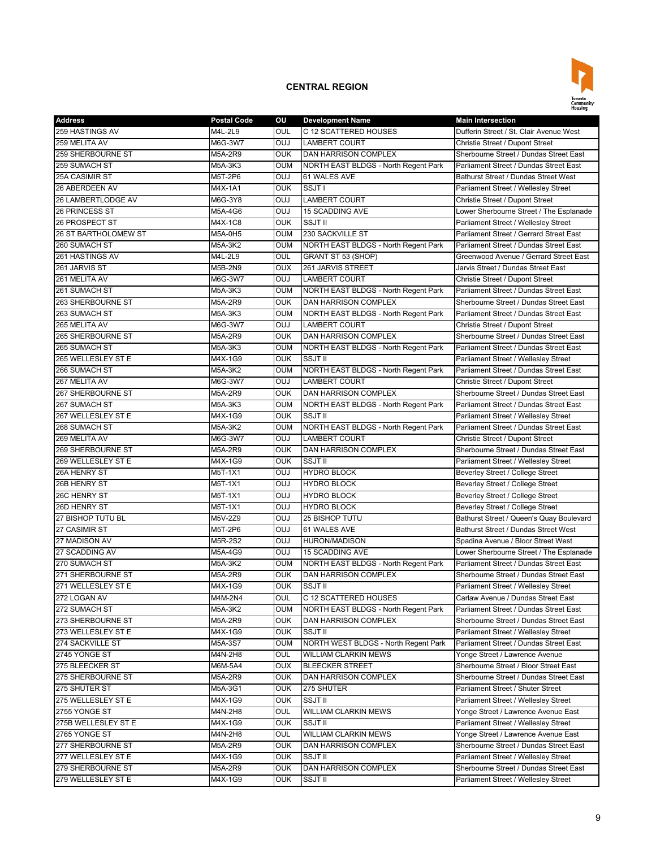

| <b>Address</b>              | <b>Postal Code</b> | ΟU         | <b>Development Name</b>                                             | <b>Main Intersection</b>                    |
|-----------------------------|--------------------|------------|---------------------------------------------------------------------|---------------------------------------------|
| 259 HASTINGS AV             | M4L-2L9            | OUL        | C 12 SCATTERED HOUSES                                               | Dufferin Street / St. Clair Avenue West     |
| 259 MELITA AV               | M6G-3W7            | OUJ        | <b>LAMBERT COURT</b>                                                | Christie Street / Dupont Street             |
| 259 SHERBOURNE ST           | M5A-2R9            | OUK        | DAN HARRISON COMPLEX                                                | Sherbourne Street / Dundas Street East      |
| 259 SUMACH ST               | M5A-3K3            | OUM        | NORTH EAST BLDGS - North Regent Park                                | Parliament Street / Dundas Street East      |
| <b>25A CASIMIR ST</b>       | M5T-2P6            | <b>DUO</b> | 61 WALES AVE                                                        | Bathurst Street / Dundas Street West        |
| 26 ABERDEEN AV              | M4X-1A1            | OUK        | SSJT I                                                              | Parliament Street / Wellesley Street        |
| 26 LAMBERTLODGE AV          | M6G-3Y8            | <b>OUJ</b> | <b>LAMBERT COURT</b>                                                | Christie Street / Dupont Street             |
| 26 PRINCESS ST              | M5A-4G6            | OUJ        | <b>15 SCADDING AVE</b>                                              | Lower Sherbourne Street / The Esplanade     |
| 26 PROSPECT ST              | M4X-1C8            | <b>OUK</b> | <b>SSJT II</b>                                                      | Parliament Street / Wellesley Street        |
| <b>26 ST BARTHOLOMEW ST</b> | M5A-0H5            | oum        | 230 SACKVILLE ST                                                    | Parliament Street / Gerrard Street East     |
| 260 SUMACH ST               | M5A-3K2            | oum        | NORTH EAST BLDGS - North Regent Park                                | Parliament Street / Dundas Street East      |
| 261 HASTINGS AV             | M4L-2L9            | OUL        | GRANT ST 53 (SHOP)                                                  | Greenwood Avenue / Gerrard Street East      |
| 261 JARVIS ST               | M5B-2N9            | OUX        | 261 JARVIS STREET                                                   | Jarvis Street / Dundas Street East          |
| 261 MELITA AV               | M6G-3W7            | <b>DUO</b> | <b>LAMBERT COURT</b>                                                | Christie Street / Dupont Street             |
| 261 SUMACH ST               |                    | oum        |                                                                     | Parliament Street / Dundas Street East      |
| 263 SHERBOURNE ST           | M5A-3K3            | <b>OUK</b> | NORTH EAST BLDGS - North Regent Park<br><b>DAN HARRISON COMPLEX</b> | Sherbourne Street / Dundas Street East      |
|                             | M5A-2R9            |            |                                                                     |                                             |
| 263 SUMACH ST               | M5A-3K3            | OUM        | NORTH EAST BLDGS - North Regent Park                                | Parliament Street / Dundas Street East      |
| 265 MELITA AV               | M6G-3W7            | <b>DUO</b> | <b>LAMBERT COURT</b>                                                | Christie Street / Dupont Street             |
| 265 SHERBOURNE ST           | M5A-2R9            | OUK        | DAN HARRISON COMPLEX                                                | Sherbourne Street / Dundas Street East      |
| 265 SUMACH ST               | M5A-3K3            | oum        | NORTH EAST BLDGS - North Regent Park                                | Parliament Street / Dundas Street East      |
| 265 WELLESLEY ST E          | M4X-1G9            | OUK        | SSJT II                                                             | Parliament Street / Wellesley Street        |
| 266 SUMACH ST               | M5A-3K2            | oum        | NORTH EAST BLDGS - North Regent Park                                | Parliament Street / Dundas Street East      |
| 267 MELITA AV               | M6G-3W7            | OUJ        | <b>LAMBERT COURT</b>                                                | Christie Street / Dupont Street             |
| 267 SHERBOURNE ST           | M5A-2R9            | OUK        | DAN HARRISON COMPLEX                                                | Sherbourne Street / Dundas Street East      |
| 267 SUMACH ST               | M5A-3K3            | OUM        | NORTH EAST BLDGS - North Regent Park                                | Parliament Street / Dundas Street East      |
| 267 WELLESLEY ST E          | M4X-1G9            | OUK        | <b>SSJT II</b>                                                      | <b>Parliament Street / Wellesley Street</b> |
| 268 SUMACH ST               | M5A-3K2            | oum        | NORTH EAST BLDGS - North Regent Park                                | Parliament Street / Dundas Street East      |
| 269 MELITA AV               | M6G-3W7            | OUJ        | <b>LAMBERT COURT</b>                                                | Christie Street / Dupont Street             |
| 269 SHERBOURNE ST           | M5A-2R9            | OUK        | DAN HARRISON COMPLEX                                                | Sherbourne Street / Dundas Street East      |
| 269 WELLESLEY ST E          | M4X-1G9            | OUK        | <b>SSJT II</b>                                                      | Parliament Street / Wellesley Street        |
| 26A HENRY ST                | M5T-1X1            | <b>DUO</b> | <b>HYDRO BLOCK</b>                                                  | Beverley Street / College Street            |
| 26B HENRY ST                | M5T-1X1            | OUJ        | <b>HYDRO BLOCK</b>                                                  | Beverley Street / College Street            |
| 26C HENRY ST                | M5T-1X1            | OUJ        | <b>HYDRO BLOCK</b>                                                  | <b>Beverley Street / College Street</b>     |
| 26D HENRY ST                | M5T-1X1            | OUJ        | <b>HYDRO BLOCK</b>                                                  | Beverley Street / College Street            |
| 27 BISHOP TUTU BL           | M5V-2Z9            | <b>DUO</b> | <b>25 BISHOP TUTU</b>                                               | Bathurst Street / Queen's Quay Boulevard    |
| 27 CASIMIR ST               | M5T-2P6            | LUO        | 61 WALES AVE                                                        | Bathurst Street / Dundas Street West        |
| 27 MADISON AV               | M5R-2S2            | LUO        | <b>HURON/MADISON</b>                                                | Spadina Avenue / Bloor Street West          |
| 27 SCADDING AV              | M5A-4G9            | <b>DUO</b> | <b>15 SCADDING AVE</b>                                              | Lower Sherbourne Street / The Esplanade     |
| 270 SUMACH ST               | M5A-3K2            | OUM        | NORTH EAST BLDGS - North Regent Park                                | Parliament Street / Dundas Street East      |
| 271 SHERBOURNE ST           | M5A-2R9            | OUK        | <b>DAN HARRISON COMPLEX</b>                                         | Sherbourne Street / Dundas Street East      |
| 271 WELLESLEY ST E          | M4X-1G9            | OUK        | SSJT II                                                             | Parliament Street / Wellesley Street        |
| 272 LOGAN AV                | M4M-2N4            | OUL        | C 12 SCATTERED HOUSES                                               | Carlaw Avenue / Dundas Street East          |
| 272 SUMACH ST               | M5A-3K2            | oum        | NORTH EAST BLDGS - North Regent Park                                | Parliament Street / Dundas Street East      |
| 273 SHERBOURNE ST           | M5A-2R9            | OUK        | DAN HARRISON COMPLEX                                                | Sherbourne Street / Dundas Street East      |
| 273 WELLESLEY ST E          | M4X-1G9            | OUK        | SSJT II                                                             | Parliament Street / Wellesley Street        |
| 274 SACKVILLE ST            | M5A-3S7            | oum        | NORTH WEST BLDGS - North Regent Park                                | Parliament Street / Dundas Street East      |
| 2745 YONGE ST               | M4N-2H8            | OUL        | WILLIAM CLARKIN MEWS                                                | Yonge Street / Lawrence Avenue              |
| 275 BLEECKER ST             | M6M-5A4            | OUX        | <b>BLEECKER STREET</b>                                              | Sherbourne Street / Bloor Street East       |
| 275 SHERBOURNE ST           | M5A-2R9            | OUK        | DAN HARRISON COMPLEX                                                | Sherbourne Street / Dundas Street East      |
| 275 SHUTER ST               | M5A-3G1            | OUK        | 275 SHUTER                                                          | Parliament Street / Shuter Street           |
| 275 WELLESLEY ST E          | M4X-1G9            | OUK        | SSJT II                                                             | Parliament Street / Wellesley Street        |
| 2755 YONGE ST               | M4N-2H8            | OUL        | WILLIAM CLARKIN MEWS                                                | Yonge Street / Lawrence Avenue East         |
| 275B WELLESLEY ST E         | M4X-1G9            | OUK        | SSJT II                                                             | Parliament Street / Wellesley Street        |
| 2765 YONGE ST               | M4N-2H8            | OUL        | WILLIAM CLARKIN MEWS                                                | Yonge Street / Lawrence Avenue East         |
| 277 SHERBOURNE ST           | M5A-2R9            | OUK        | DAN HARRISON COMPLEX                                                | Sherbourne Street / Dundas Street East      |
| 277 WELLESLEY ST E          | M4X-1G9            | OUK        | SSJT II                                                             | Parliament Street / Wellesley Street        |
| 279 SHERBOURNE ST           | M5A-2R9            | OUK        | DAN HARRISON COMPLEX                                                | Sherbourne Street / Dundas Street East      |
|                             |                    |            |                                                                     |                                             |
| 279 WELLESLEY ST E          | M4X-1G9            | OUK        | SSJT II                                                             | Parliament Street / Wellesley Street        |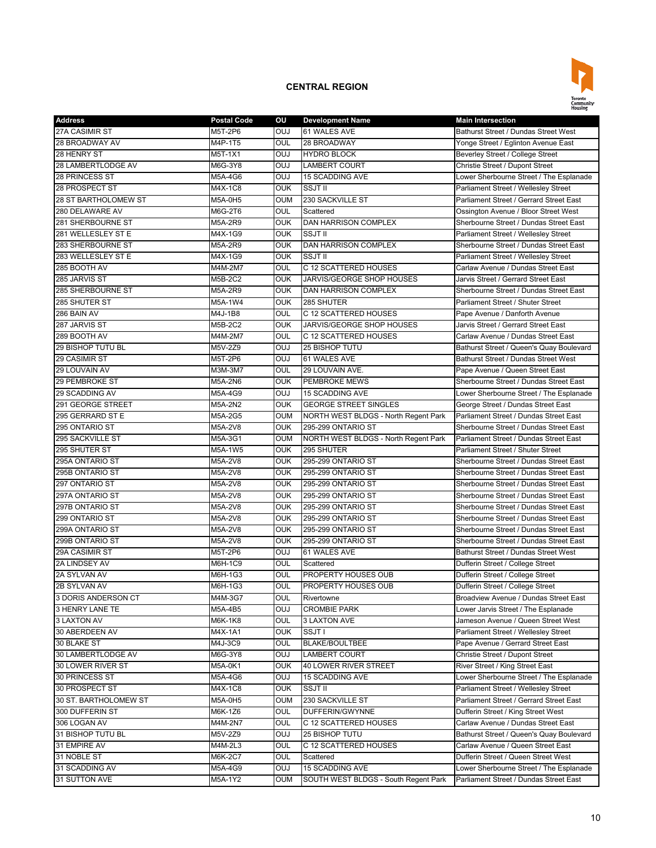

| <b>Address</b>        | <b>Postal Code</b> | ου         | <b>Development Name</b>              | <b>Main Intersection</b>                 |
|-----------------------|--------------------|------------|--------------------------------------|------------------------------------------|
| 27A CASIMIR ST        | M5T-2P6            | <b>OUJ</b> | 61 WALES AVE                         | Bathurst Street / Dundas Street West     |
| 28 BROADWAY AV        | M4P-1T5            | OUL        | 28 BROADWAY                          | Yonge Street / Eglinton Avenue East      |
| 28 HENRY ST           | M5T-1X1            | <b>OUJ</b> | <b>HYDRO BLOCK</b>                   | Beverley Street / College Street         |
| 28 LAMBERTLODGE AV    | M6G-3Y8            | <b>OUJ</b> | <b>LAMBERT COURT</b>                 | Christie Street / Dupont Street          |
| 28 PRINCESS ST        | M5A-4G6            | <b>OUJ</b> | <b>15 SCADDING AVE</b>               | Lower Sherbourne Street / The Esplanade  |
| 28 PROSPECT ST        | M4X-1C8            | <b>OUK</b> | <b>SSJT II</b>                       | Parliament Street / Wellesley Street     |
| 28 ST BARTHOLOMEW ST  | M5A-0H5            | <b>OUM</b> | 230 SACKVILLE ST                     | Parliament Street / Gerrard Street East  |
| 280 DELAWARE AV       | M6G-2T6            | OUL        | Scattered                            | Ossington Avenue / Bloor Street West     |
| 281 SHERBOURNE ST     | M5A-2R9            | <b>OUK</b> | <b>DAN HARRISON COMPLEX</b>          | Sherbourne Street / Dundas Street East   |
| 281 WELLESLEY ST E    | M4X-1G9            | <b>OUK</b> | <b>SSJT II</b>                       | Parliament Street / Wellesley Street     |
| 283 SHERBOURNE ST     | M5A-2R9            | <b>OUK</b> | DAN HARRISON COMPLEX                 | Sherbourne Street / Dundas Street East   |
| 283 WELLESLEY ST E    | M4X-1G9            | <b>OUK</b> | SSJT II                              | Parliament Street / Wellesley Street     |
| 285 BOOTH AV          | M4M-2M7            | OUL        | C 12 SCATTERED HOUSES                | Carlaw Avenue / Dundas Street East       |
| 285 JARVIS ST         |                    | <b>OUK</b> |                                      |                                          |
|                       | M5B-2C2            |            | JARVIS/GEORGE SHOP HOUSES            | Jarvis Street / Gerrard Street East      |
| 285 SHERBOURNE ST     | M5A-2R9            | <b>OUK</b> | DAN HARRISON COMPLEX                 | Sherbourne Street / Dundas Street East   |
| 285 SHUTER ST         | M5A-1W4            | <b>OUK</b> | 285 SHUTER                           | Parliament Street / Shuter Street        |
| 286 BAIN AV           | M4J-1B8            | OUL        | C 12 SCATTERED HOUSES                | Pape Avenue / Danforth Avenue            |
| 287 JARVIS ST         | M5B-2C2            | <b>OUK</b> | JARVIS/GEORGE SHOP HOUSES            | Jarvis Street / Gerrard Street East      |
| 289 BOOTH AV          | M4M-2M7            | OUL        | C 12 SCATTERED HOUSES                | Carlaw Avenue / Dundas Street East       |
| 29 BISHOP TUTU BL     | M5V-2Z9            | <b>OUJ</b> | 25 BISHOP TUTU                       | Bathurst Street / Queen's Quay Boulevard |
| 29 CASIMIR ST         | M5T-2P6            | <b>OUJ</b> | 61 WALES AVE                         | Bathurst Street / Dundas Street West     |
| 29 LOUVAIN AV         | M3M-3M7            | OUL        | 29 LOUVAIN AVE.                      | Pape Avenue / Queen Street East          |
| 29 PEMBROKE ST        | M5A-2N6            | <b>OUK</b> | PEMBROKE MEWS                        | Sherbourne Street / Dundas Street East   |
| 29 SCADDING AV        | M5A-4G9            | <b>OUJ</b> | <b>15 SCADDING AVE</b>               | Lower Sherbourne Street / The Esplanade  |
| 291 GEORGE STREET     | M5A-2N2            | <b>OUK</b> | <b>GEORGE STREET SINGLES</b>         | George Street / Dundas Street East       |
| 295 GERRARD ST E      | M5A-2G5            | OUM        | NORTH WEST BLDGS - North Regent Park | Parliament Street / Dundas Street East   |
| 295 ONTARIO ST        | M5A-2V8            | <b>OUK</b> | 295-299 ONTARIO ST                   | Sherbourne Street / Dundas Street East   |
| 295 SACKVILLE ST      | M5A-3G1            | <b>OUM</b> | NORTH WEST BLDGS - North Regent Park | Parliament Street / Dundas Street East   |
| 295 SHUTER ST         | M5A-1W5            | <b>OUK</b> | 295 SHUTER                           | Parliament Street / Shuter Street        |
| 295A ONTARIO ST       | M5A-2V8            | <b>OUK</b> | 295-299 ONTARIO ST                   | Sherbourne Street / Dundas Street East   |
| 295B ONTARIO ST       | M5A-2V8            | <b>OUK</b> | 295-299 ONTARIO ST                   | Sherbourne Street / Dundas Street East   |
| 297 ONTARIO ST        | M5A-2V8            | OUK        | 295-299 ONTARIO ST                   | Sherbourne Street / Dundas Street East   |
| 297A ONTARIO ST       | M5A-2V8            | OUK        | 295-299 ONTARIO ST                   | Sherbourne Street / Dundas Street East   |
| 297B ONTARIO ST       | M5A-2V8            | <b>OUK</b> | 295-299 ONTARIO ST                   | Sherbourne Street / Dundas Street East   |
| 299 ONTARIO ST        | M5A-2V8            | <b>OUK</b> | 295-299 ONTARIO ST                   | Sherbourne Street / Dundas Street East   |
| 299A ONTARIO ST       | M5A-2V8            | <b>OUK</b> | 295-299 ONTARIO ST                   | Sherbourne Street / Dundas Street East   |
| 299B ONTARIO ST       | M5A-2V8            | OUK        | 295-299 ONTARIO ST                   | Sherbourne Street / Dundas Street East   |
| 29A CASIMIR ST        | M5T-2P6            | <b>OUJ</b> | 61 WALES AVE                         | Bathurst Street / Dundas Street West     |
| 2A LINDSEY AV         | M6H-1C9            | OUL        | Scattered                            | Dufferin Street / College Street         |
| 2A SYLVAN AV          | M6H-1G3            | OUL        | PROPERTY HOUSES OUB                  | Dufferin Street / College Street         |
| 2B SYLVAN AV          | M6H-1G3            | OUL        | PROPERTY HOUSES OUB                  | Dufferin Street / College Street         |
|                       | M4M-3G7            |            |                                      |                                          |
| 3 DORIS ANDERSON CT   |                    | <b>OUL</b> | Rivertowne                           | Broadview Avenue / Dundas Street East    |
| 3 HENRY LANE TE       | M5A-4B5            | <b>OUJ</b> | <b>CROMBIE PARK</b>                  | Lower Jarvis Street / The Esplanade      |
| 3 LAXTON AV           | M6K-1K8            | OUL        | 3 LAXTON AVE                         | Jameson Avenue / Queen Street West       |
| 30 ABERDEEN AV        | M4X-1A1            | OUK        | SSJT I                               | Parliament Street / Wellesley Street     |
| 30 BLAKE ST           | M4J-3C9            | OUL        | BLAKE/BOULTBEE                       | Pape Avenue / Gerrard Street East        |
| 30 LAMBERTLODGE AV    | M6G-3Y8            | <b>DUO</b> | <b>LAMBERT COURT</b>                 | Christie Street / Dupont Street          |
| 30 LOWER RIVER ST     | M5A-0K1            | <b>OUK</b> | 40 LOWER RIVER STREET                | River Street / King Street East          |
| 30 PRINCESS ST        | M5A-4G6            | <b>OUJ</b> | 15 SCADDING AVE                      | Lower Sherbourne Street / The Esplanade  |
| 30 PROSPECT ST        | M4X-1C8            | <b>OUK</b> | SSJT II                              | Parliament Street / Wellesley Street     |
| 30 ST. BARTHOLOMEW ST | M5A-0H5            | OUM        | 230 SACKVILLE ST                     | Parliament Street / Gerrard Street East  |
| 300 DUFFERIN ST       | M6K-1Z6            | OUL        | DUFFERIN/GWYNNE                      | Dufferin Street / King Street West       |
| 306 LOGAN AV          | M4M-2N7            | OUL        | C 12 SCATTERED HOUSES                | Carlaw Avenue / Dundas Street East       |
| 31 BISHOP TUTU BL     | M5V-2Z9            | <b>OUJ</b> | 25 BISHOP TUTU                       | Bathurst Street / Queen's Quay Boulevard |
| 31 EMPIRE AV          | M4M-2L3            | OUL        | C 12 SCATTERED HOUSES                | Carlaw Avenue / Queen Street East        |
| 31 NOBLE ST           | M6K-2C7            | OUL        | Scattered                            | Dufferin Street / Queen Street West      |
| 31 SCADDING AV        | M5A-4G9            | <b>OUJ</b> | 15 SCADDING AVE                      | Lower Sherbourne Street / The Esplanade  |
| 31 SUTTON AVE         | M5A-1Y2            | OUM        | SOUTH WEST BLDGS - South Regent Park | Parliament Street / Dundas Street East   |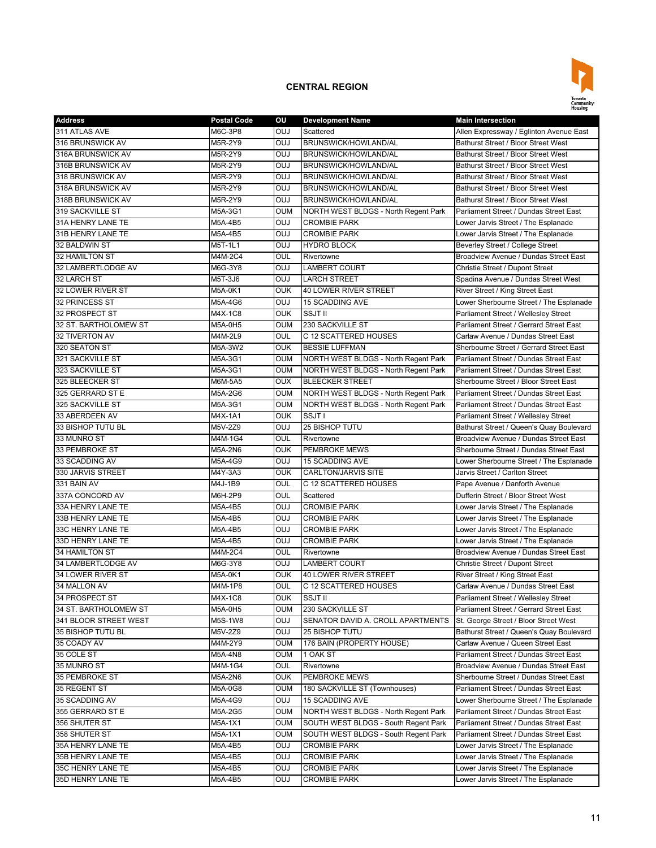

| <b>Address</b>        | <b>Postal Code</b> | ου         | <b>Development Name</b>              | <b>Main Intersection</b>                 |
|-----------------------|--------------------|------------|--------------------------------------|------------------------------------------|
| 311 ATLAS AVE         | M6C-3P8            | OUJ        | Scattered                            | Allen Expressway / Eglinton Avenue East  |
| 316 BRUNSWICK AV      | M5R-2Y9            | <b>OUJ</b> | BRUNSWICK/HOWLAND/AL                 | Bathurst Street / Bloor Street West      |
| 316A BRUNSWICK AV     | M5R-2Y9            | <b>OUJ</b> | <b>BRUNSWICK/HOWLAND/AL</b>          | Bathurst Street / Bloor Street West      |
| 316B BRUNSWICK AV     | M5R-2Y9            | <b>OUJ</b> | BRUNSWICK/HOWLAND/AL                 | Bathurst Street / Bloor Street West      |
| 318 BRUNSWICK AV      | M5R-2Y9            | <b>OUJ</b> | BRUNSWICK/HOWLAND/AL                 | Bathurst Street / Bloor Street West      |
| 318A BRUNSWICK AV     | M5R-2Y9            | <b>OUJ</b> | BRUNSWICK/HOWLAND/AL                 | Bathurst Street / Bloor Street West      |
| 318B BRUNSWICK AV     | M5R-2Y9            | OUJ        | BRUNSWICK/HOWLAND/AL                 | Bathurst Street / Bloor Street West      |
| 319 SACKVILLE ST      | M5A-3G1            | <b>OUM</b> | NORTH WEST BLDGS - North Regent Park | Parliament Street / Dundas Street East   |
| 31A HENRY LANE TE     | M5A-4B5            | OUJ        | <b>CROMBIE PARK</b>                  | Lower Jarvis Street / The Esplanade      |
| 31B HENRY LANE TE     | M5A-4B5            | <b>OUJ</b> | <b>CROMBIE PARK</b>                  | Lower Jarvis Street / The Esplanade      |
| 32 BALDWIN ST         | M5T-1L1            | <b>OUJ</b> | <b>HYDRO BLOCK</b>                   | Beverley Street / College Street         |
| 32 HAMILTON ST        | M4M-2C4            | OUL        | Rivertowne                           | Broadview Avenue / Dundas Street East    |
| 32 LAMBERTLODGE AV    | M6G-3Y8            | <b>OUJ</b> | <b>LAMBERT COURT</b>                 | Christie Street / Dupont Street          |
| 32 LARCH ST           | M5T-3J6            | OUJ        | <b>LARCH STREET</b>                  | Spadina Avenue / Dundas Street West      |
| 32 LOWER RIVER ST     |                    | <b>OUK</b> | <b>40 LOWER RIVER STREET</b>         |                                          |
| <b>32 PRINCESS ST</b> | M5A-0K1            | <b>OUJ</b> |                                      | River Street / King Street East          |
|                       | M5A-4G6            |            | <b>15 SCADDING AVE</b>               | Lower Sherbourne Street / The Esplanade  |
| 32 PROSPECT ST        | M4X-1C8            | <b>OUK</b> | <b>SSJT II</b>                       | Parliament Street / Wellesley Street     |
| 32 ST. BARTHOLOMEW ST | M5A-0H5            | <b>OUM</b> | 230 SACKVILLE ST                     | Parliament Street / Gerrard Street East  |
| 32 TIVERTON AV        | M4M-2L9            | OUL        | C 12 SCATTERED HOUSES                | Carlaw Avenue / Dundas Street East       |
| 320 SEATON ST         | M5A-3W2            | <b>OUK</b> | <b>BESSIE LUFFMAN</b>                | Sherbourne Street / Gerrard Street East  |
| 321 SACKVILLE ST      | M5A-3G1            | <b>OUM</b> | NORTH WEST BLDGS - North Regent Park | Parliament Street / Dundas Street East   |
| 323 SACKVILLE ST      | M5A-3G1            | <b>OUM</b> | NORTH WEST BLDGS - North Regent Park | Parliament Street / Dundas Street East   |
| 325 BLEECKER ST       | M6M-5A5            | <b>OUX</b> | <b>BLEECKER STREET</b>               | Sherbourne Street / Bloor Street East    |
| 325 GERRARD ST E      | M5A-2G6            | <b>OUM</b> | NORTH WEST BLDGS - North Regent Park | Parliament Street / Dundas Street East   |
| 325 SACKVILLE ST      | M5A-3G1            | <b>OUM</b> | NORTH WEST BLDGS - North Regent Park | Parliament Street / Dundas Street East   |
| 33 ABERDEEN AV        | M4X-1A1            | <b>OUK</b> | SSJT I                               | Parliament Street / Wellesley Street     |
| 33 BISHOP TUTU BL     | M5V-2Z9            | <b>OUJ</b> | 25 BISHOP TUTU                       | Bathurst Street / Queen's Quay Boulevard |
| 33 MUNRO ST           | M4M-1G4            | OUL        | Rivertowne                           | Broadview Avenue / Dundas Street East    |
| 33 PEMBROKE ST        | M5A-2N6            | <b>OUK</b> | PEMBROKE MEWS                        | Sherbourne Street / Dundas Street East   |
| 33 SCADDING AV        | M5A-4G9            | <b>OUJ</b> | <b>15 SCADDING AVE</b>               | Lower Sherbourne Street / The Esplanade  |
| 330 JARVIS STREET     | M4Y-3A3            | <b>OUK</b> | CARLTON/JARVIS SITE                  | Jarvis Street / Carlton Street           |
| 331 BAIN AV           | M4J-1B9            | OUL        | C 12 SCATTERED HOUSES                | Pape Avenue / Danforth Avenue            |
| 337A CONCORD AV       | M6H-2P9            | OUL        | Scattered                            | Dufferin Street / Bloor Street West      |
| 33A HENRY LANE TE     | M5A-4B5            | <b>OUJ</b> | <b>CROMBIE PARK</b>                  | Lower Jarvis Street / The Esplanade      |
| 33B HENRY LANE TE     | M5A-4B5            | <b>OUJ</b> | <b>CROMBIE PARK</b>                  | Lower Jarvis Street / The Esplanade      |
| 33C HENRY LANE TE     | M5A-4B5            | <b>OUJ</b> | <b>CROMBIE PARK</b>                  | Lower Jarvis Street / The Esplanade      |
| 33D HENRY LANE TE     | M5A-4B5            | <b>OUJ</b> | <b>CROMBIE PARK</b>                  | Lower Jarvis Street / The Esplanade      |
| 34 HAMILTON ST        | M4M-2C4            | OUL        | Rivertowne                           | Broadview Avenue / Dundas Street East    |
| 34 LAMBERTLODGE AV    | M6G-3Y8            | <b>OUJ</b> | <b>LAMBERT COURT</b>                 | Christie Street / Dupont Street          |
| 34 LOWER RIVER ST     | M5A-0K1            | <b>OUK</b> | <b>40 LOWER RIVER STREET</b>         | River Street / King Street East          |
| 34 MALLON AV          | M4M-1P8            | OUL        | C 12 SCATTERED HOUSES                | Carlaw Avenue / Dundas Street East       |
| 34 PROSPECT ST        | M4X-1C8            | OUK        | <b>SSJT II</b>                       | Parliament Street / Wellesley Street     |
| 34 ST. BARTHOLOMEW ST | M5A-0H5            | OUM        | 230 SACKVILLE ST                     | Parliament Street / Gerrard Street East  |
| 341 BLOOR STREET WEST | M5S-1W8            | <b>OUJ</b> | SENATOR DAVID A. CROLL APARTMENTS    | St. George Street / Bloor Street West    |
| 35 BISHOP TUTU BL     | M5V-2Z9            | <b>CUO</b> | <b>25 BISHOP TUTU</b>                | Bathurst Street / Queen's Quay Boulevard |
| 35 COADY AV           | M4M-2Y9            | <b>OUM</b> | 176 BAIN (PROPERTY HOUSE)            | Carlaw Avenue / Queen Street East        |
| 35 COLE ST            | M5A-4N8            | <b>OUM</b> | 1 OAK ST                             | Parliament Street / Dundas Street East   |
| 35 MUNRO ST           | M4M-1G4            | OUL        | Rivertowne                           | Broadview Avenue / Dundas Street East    |
| 35 PEMBROKE ST        | M5A-2N6            | <b>OUK</b> | PEMBROKE MEWS                        | Sherbourne Street / Dundas Street East   |
| 35 REGENT ST          | M5A-0G8            | <b>OUM</b> | 180 SACKVILLE ST (Townhouses)        | Parliament Street / Dundas Street East   |
| 35 SCADDING AV        | M5A-4G9            | <b>OUJ</b> | <b>15 SCADDING AVE</b>               | Lower Sherbourne Street / The Esplanade  |
|                       |                    |            |                                      |                                          |
| 355 GERRARD ST E      | M5A-2G5            | <b>OUM</b> | NORTH WEST BLDGS - North Regent Park | Parliament Street / Dundas Street East   |
| 356 SHUTER ST         | M5A-1X1            | oum        | SOUTH WEST BLDGS - South Regent Park | Parliament Street / Dundas Street East   |
| 358 SHUTER ST         | M5A-1X1            | oum        | SOUTH WEST BLDGS - South Regent Park | Parliament Street / Dundas Street East   |
| 35A HENRY LANE TE     | M5A-4B5            | <b>OUJ</b> | <b>CROMBIE PARK</b>                  | Lower Jarvis Street / The Esplanade      |
| 35B HENRY LANE TE     | M5A-4B5            | <b>OUJ</b> | <b>CROMBIE PARK</b>                  | Lower Jarvis Street / The Esplanade      |
| 35C HENRY LANE TE     | M5A-4B5            | <b>OUJ</b> | <b>CROMBIE PARK</b>                  | Lower Jarvis Street / The Esplanade      |
| 35D HENRY LANE TE     | M5A-4B5            | <b>CUO</b> | <b>CROMBIE PARK</b>                  | Lower Jarvis Street / The Esplanade      |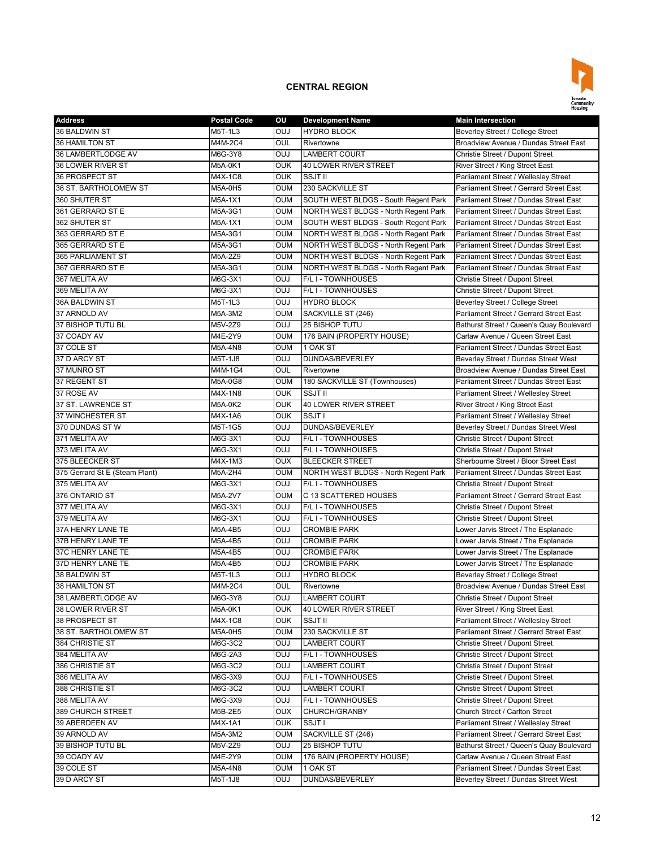

| <b>Address</b>                 | <b>Postal Code</b> | ΟU         | <b>Development Name</b>              | <b>Main Intersection</b>                 |
|--------------------------------|--------------------|------------|--------------------------------------|------------------------------------------|
| 36 BALDWIN ST                  | M5T-1L3            | OUJ        | <b>HYDRO BLOCK</b>                   | Beverley Street / College Street         |
| 36 HAMILTON ST                 | M4M-2C4            | OUL        | Rivertowne                           | Broadview Avenue / Dundas Street East    |
| 36 LAMBERTLODGE AV             | M6G-3Y8            | <b>OUJ</b> | <b>LAMBERT COURT</b>                 | Christie Street / Dupont Street          |
| 36 LOWER RIVER ST              | M5A-0K1            | OUK        | 40 LOWER RIVER STREET                | River Street / King Street East          |
| 36 PROSPECT ST                 | M4X-1C8            | <b>OUK</b> | SSJT II                              | Parliament Street / Wellesley Street     |
| 36 ST. BARTHOLOMEW ST          | M5A-0H5            | OUM        | 230 SACKVILLE ST                     | Parliament Street / Gerrard Street East  |
| 360 SHUTER ST                  | M5A-1X1            | OUM        | SOUTH WEST BLDGS - South Regent Park | Parliament Street / Dundas Street East   |
| 361 GERRARD ST E               | M5A-3G1            | oum        | NORTH WEST BLDGS - North Regent Park | Parliament Street / Dundas Street East   |
| 362 SHUTER ST                  | M5A-1X1            | OUM        | SOUTH WEST BLDGS - South Regent Park | Parliament Street / Dundas Street East   |
| 363 GERRARD ST E               | M5A-3G1            | oum        | NORTH WEST BLDGS - North Regent Park | Parliament Street / Dundas Street East   |
| 365 GERRARD ST E               | M5A-3G1            | oum        | NORTH WEST BLDGS - North Regent Park | Parliament Street / Dundas Street East   |
| 365 PARLIAMENT ST              | M5A-2Z9            | oum        | NORTH WEST BLDGS - North Regent Park | Parliament Street / Dundas Street East   |
|                                |                    | OUM        |                                      | Parliament Street / Dundas Street East   |
| 367 GERRARD ST E               | M5A-3G1            | <b>OUJ</b> | NORTH WEST BLDGS - North Regent Park |                                          |
| 367 MELITA AV                  | M6G-3X1            |            | F/L I - TOWNHOUSES                   | Christie Street / Dupont Street          |
| 369 MELITA AV                  | M6G-3X1            | OUJ        | F/L I - TOWNHOUSES                   | Christie Street / Dupont Street          |
| 36A BALDWIN ST                 | M5T-1L3            | OUJ        | <b>HYDRO BLOCK</b>                   | Beverley Street / College Street         |
| 37 ARNOLD AV                   | M5A-3M2            | <b>OUM</b> | SACKVILLE ST (246)                   | Parliament Street / Gerrard Street East  |
| 37 BISHOP TUTU BL              | M5V-2Z9            | <b>OUJ</b> | 25 BISHOP TUTU                       | Bathurst Street / Queen's Quay Boulevard |
| 37 COADY AV                    | M4E-2Y9            | oum        | 176 BAIN (PROPERTY HOUSE)            | Carlaw Avenue / Queen Street East        |
| 37 COLE ST                     | M5A-4N8            | oum        | 1 OAK ST                             | Parliament Street / Dundas Street East   |
| 37 D ARCY ST                   | M5T-1J8            | <b>DUO</b> | DUNDAS/BEVERLEY                      | Beverley Street / Dundas Street West     |
| 37 MUNRO ST                    | M4M-1G4            | OUL        | Rivertowne                           | Broadview Avenue / Dundas Street East    |
| 37 REGENT ST                   | M5A-0G8            | OUM        | 180 SACKVILLE ST (Townhouses)        | Parliament Street / Dundas Street East   |
| 37 ROSE AV                     | M4X-1N8            | OUK        | <b>SSJT II</b>                       | Parliament Street / Wellesley Street     |
| 37 ST. LAWRENCE ST             | M5A-0K2            | OUK        | <b>40 LOWER RIVER STREET</b>         | River Street / King Street East          |
| 37 WINCHESTER ST               | M4X-1A6            | OUK        | SSJT I                               | Parliament Street / Wellesley Street     |
| 370 DUNDAS ST W                | M5T-1G5            | <b>DUO</b> | DUNDAS/BEVERLEY                      | Beverley Street / Dundas Street West     |
| 371 MELITA AV                  | M6G-3X1            | OUJ        | F/L I - TOWNHOUSES                   | Christie Street / Dupont Street          |
| 373 MELITA AV                  | M6G-3X1            | ouJ        | F/L I - TOWNHOUSES                   | Christie Street / Dupont Street          |
| 375 BLEECKER ST                | M4X-1M3            | OUX        | <b>BLEECKER STREET</b>               | Sherbourne Street / Bloor Street East    |
| 375 Gerrard St E (Steam Plant) | M5A-2H4            | <b>OUM</b> | NORTH WEST BLDGS - North Regent Park | Parliament Street / Dundas Street East   |
| 375 MELITA AV                  | M6G-3X1            | OUJ        | F/L I - TOWNHOUSES                   | Christie Street / Dupont Street          |
| 376 ONTARIO ST                 | M5A-2V7            | oum        | C 13 SCATTERED HOUSES                | Parliament Street / Gerrard Street East  |
| 377 MELITA AV                  | M6G-3X1            | <b>OUJ</b> | F/L I - TOWNHOUSES                   | Christie Street / Dupont Street          |
| 379 MELITA AV                  | M6G-3X1            | OUJ        | F/L I - TOWNHOUSES                   | Christie Street / Dupont Street          |
| 37A HENRY LANE TE              | M5A-4B5            | <b>DUO</b> | <b>CROMBIE PARK</b>                  | Lower Jarvis Street / The Esplanade      |
| 37B HENRY LANE TE              | M5A-4B5            | OUJ        | <b>CROMBIE PARK</b>                  | Lower Jarvis Street / The Esplanade      |
| 37C HENRY LANE TE              | M5A-4B5            | OUJ        | <b>CROMBIE PARK</b>                  | Lower Jarvis Street / The Esplanade      |
| 37D HENRY LANE TE              | M5A-4B5            | OUJ        | <b>CROMBIE PARK</b>                  | Lower Jarvis Street / The Esplanade      |
| 38 BALDWIN ST                  | M5T-1L3            | <b>DUO</b> | <b>HYDRO BLOCK</b>                   | Beverley Street / College Street         |
| 38 HAMILTON ST                 | M4M-2C4            | OUL        | Rivertowne                           | Broadview Avenue / Dundas Street East    |
|                                |                    |            |                                      |                                          |
| 38 LAMBERTLODGE AV             | M6G-3Y8            | OUJ        | <b>LAMBERT COURT</b>                 | Christie Street / Dupont Street          |
| 38 LOWER RIVER ST              | M5A-0K1            | OUK        | <b>40 LOWER RIVER STREET</b>         | River Street / King Street East          |
| 38 PROSPECT ST                 | M4X-1C8            | OUK        | SSJT II                              | Parliament Street / Wellesley Street     |
| 38 ST. BARTHOLOMEW ST          | M5A-0H5            | oum        | 230 SACKVILLE ST                     | Parliament Street / Gerrard Street East  |
| 384 CHRISTIE ST                | M6G-3C2            | OUJ        | LAMBERT COURT                        | Christie Street / Dupont Street          |
| 384 MELITA AV                  | M6G-2A3            | OUJ        | F/L I - TOWNHOUSES                   | Christie Street / Dupont Street          |
| 386 CHRISTIE ST                | M6G-3C2            | OUJ        | <b>LAMBERT COURT</b>                 | Christie Street / Dupont Street          |
| 386 MELITA AV                  | M6G-3X9            | OUJ        | F/L I - TOWNHOUSES                   | Christie Street / Dupont Street          |
| 388 CHRISTIE ST                | M6G-3C2            | OUJ        | LAMBERT COURT                        | Christie Street / Dupont Street          |
| 388 MELITA AV                  | M6G-3X9            | UUO        | F/L I - TOWNHOUSES                   | Christie Street / Dupont Street          |
| 389 CHURCH STREET              | M5B-2E5            | OUX        | CHURCH/GRANBY                        | Church Street / Carlton Street           |
| 39 ABERDEEN AV                 | M4X-1A1            | OUK        | SSJT I                               | Parliament Street / Wellesley Street     |
| 39 ARNOLD AV                   | M5A-3M2            | oum        | SACKVILLE ST (246)                   | Parliament Street / Gerrard Street East  |
| 39 BISHOP TUTU BL              | M5V-2Z9            | <b>OUJ</b> | 25 BISHOP TUTU                       | Bathurst Street / Queen's Quay Boulevard |
| 39 COADY AV                    | M4E-2Y9            | oum        | 176 BAIN (PROPERTY HOUSE)            | Carlaw Avenue / Queen Street East        |
| 39 COLE ST                     | M5A-4N8            | oum        | 1 OAK ST                             | Parliament Street / Dundas Street East   |
| 39 D ARCY ST                   | M5T-1J8            | OUJ        | DUNDAS/BEVERLEY                      | Beverley Street / Dundas Street West     |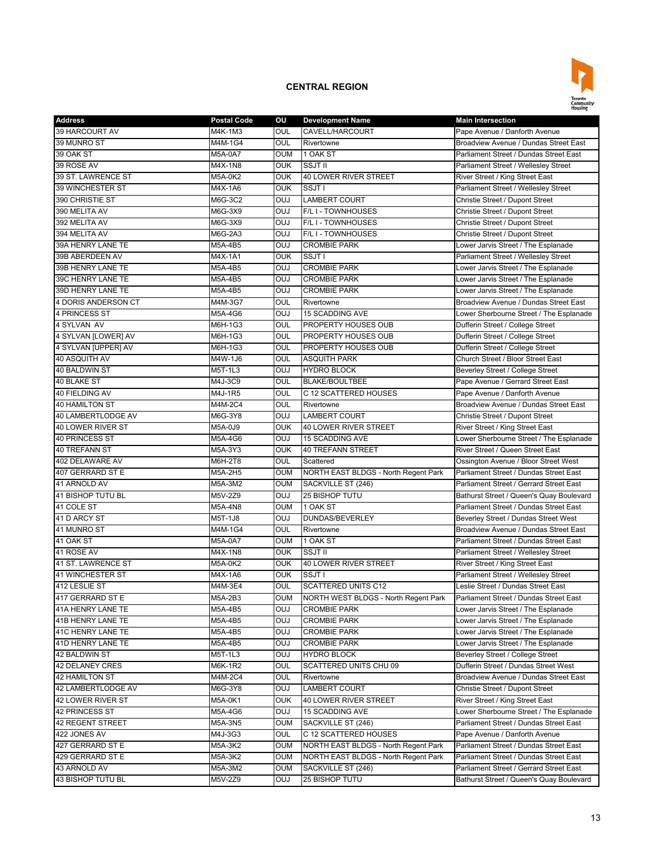

| <b>Address</b>          | <b>Postal Code</b> | ου         | <b>Development Name</b>              | <b>Main Intersection</b>                 |
|-------------------------|--------------------|------------|--------------------------------------|------------------------------------------|
| 39 HARCOURT AV          | M4K-1M3            | OUL        | CAVELL/HARCOURT                      | Pape Avenue / Danforth Avenue            |
| 39 MUNRO ST             | M4M-1G4            | OUL        | Rivertowne                           | Broadview Avenue / Dundas Street East    |
| 39 OAK ST               | M5A-0A7            | <b>OUM</b> | 1 OAK ST                             | Parliament Street / Dundas Street East   |
| 39 ROSE AV              | M4X-1N8            | <b>OUK</b> | <b>SSJT II</b>                       | Parliament Street / Wellesley Street     |
| 39 ST. LAWRENCE ST      | M5A-0K2            | <b>OUK</b> | <b>40 LOWER RIVER STREET</b>         | River Street / King Street East          |
| <b>39 WINCHESTER ST</b> | M4X-1A6            | <b>OUK</b> | SSJT I                               | Parliament Street / Wellesley Street     |
| 390 CHRISTIE ST         | M6G-3C2            | <b>OUJ</b> | <b>LAMBERT COURT</b>                 | Christie Street / Dupont Street          |
| 390 MELITA AV           | M6G-3X9            | <b>OUJ</b> | F/L I - TOWNHOUSES                   | Christie Street / Dupont Street          |
| 392 MELITA AV           | M6G-3X9            | <b>OUJ</b> | F/L I - TOWNHOUSES                   | Christie Street / Dupont Street          |
| 394 MELITA AV           | M6G-2A3            | <b>OUJ</b> | F/L I - TOWNHOUSES                   | Christie Street / Dupont Street          |
| 39A HENRY LANE TE       | M5A-4B5            | <b>OUJ</b> | <b>CROMBIE PARK</b>                  | Lower Jarvis Street / The Esplanade      |
| 39B ABERDEEN AV         | M4X-1A1            | <b>OUK</b> | SSJT I                               | Parliament Street / Wellesley Street     |
| 39B HENRY LANE TE       | M5A-4B5            | <b>OUJ</b> | <b>CROMBIE PARK</b>                  | Lower Jarvis Street / The Esplanade      |
| 39C HENRY LANE TE       | M5A-4B5            | <b>OUJ</b> | <b>CROMBIE PARK</b>                  | Lower Jarvis Street / The Esplanade      |
| 39D HENRY LANE TE       |                    | <b>OUJ</b> | <b>CROMBIE PARK</b>                  |                                          |
| 4 DORIS ANDERSON CT     | M5A-4B5            | OUL        | Rivertowne                           | Lower Jarvis Street / The Esplanade      |
|                         | M4M-3G7            | <b>OUJ</b> |                                      | Broadview Avenue / Dundas Street East    |
| 4 PRINCESS ST           | M5A-4G6            |            | <b>15 SCADDING AVE</b>               | Lower Sherbourne Street / The Esplanade  |
| 4 SYLVAN AV             | M6H-1G3            | <b>OUL</b> | PROPERTY HOUSES OUB                  | Dufferin Street / College Street         |
| 4 SYLVAN [LOWER] AV     | M6H-1G3            | OUL        | PROPERTY HOUSES OUB                  | Dufferin Street / College Street         |
| 4 SYLVAN [UPPER] AV     | M6H-1G3            | OUL        | PROPERTY HOUSES OUB                  | Dufferin Street / College Street         |
| 40 ASQUITH AV           | M4W-1J6            | OUL        | <b>ASQUITH PARK</b>                  | Church Street / Bloor Street East        |
| <b>40 BALDWIN ST</b>    | M5T-1L3            | <b>OUJ</b> | <b>HYDRO BLOCK</b>                   | <b>Beverley Street / College Street</b>  |
| 40 BLAKE ST             | M4J-3C9            | OUL        | <b>BLAKE/BOULTBEE</b>                | Pape Avenue / Gerrard Street East        |
| 40 FIELDING AV          | M4J-1R5            | OUL        | C 12 SCATTERED HOUSES                | Pape Avenue / Danforth Avenue            |
| <b>40 HAMILTON ST</b>   | M4M-2C4            | OUL        | Rivertowne                           | Broadview Avenue / Dundas Street East    |
| 40 LAMBERTLODGE AV      | M6G-3Y8            | <b>OUJ</b> | <b>LAMBERT COURT</b>                 | Christie Street / Dupont Street          |
| 40 LOWER RIVER ST       | M5A-0J9            | <b>OUK</b> | <b>40 LOWER RIVER STREET</b>         | River Street / King Street East          |
| 40 PRINCESS ST          | M5A-4G6            | <b>OUJ</b> | <b>15 SCADDING AVE</b>               | Lower Sherbourne Street / The Esplanade  |
| <b>40 TREFANN ST</b>    | M5A-3Y3            | <b>OUK</b> | <b>40 TREFANN STREET</b>             | River Street / Queen Street East         |
| 402 DELAWARE AV         | M6H-2T8            | OUL        | Scattered                            | Ossington Avenue / Bloor Street West     |
| 407 GERRARD ST E        | M5A-2H5            | <b>OUM</b> | NORTH EAST BLDGS - North Regent Park | Parliament Street / Dundas Street East   |
| 41 ARNOLD AV            | M5A-3M2            | <b>OUM</b> | SACKVILLE ST (246)                   | Parliament Street / Gerrard Street East  |
| 41 BISHOP TUTU BL       | M5V-2Z9            | <b>OUJ</b> | 25 BISHOP TUTU                       | Bathurst Street / Queen's Quay Boulevard |
| 41 COLE ST              | M5A-4N8            | <b>OUM</b> | 1 OAK ST                             | Parliament Street / Dundas Street East   |
| 41 D ARCY ST            | M5T-1J8            | <b>OUJ</b> | DUNDAS/BEVERLEY                      | Beverley Street / Dundas Street West     |
| 41 MUNRO ST             | M4M-1G4            | OUL        | Rivertowne                           | Broadview Avenue / Dundas Street East    |
| 41 OAK ST               | M5A-0A7            | <b>OUM</b> | 1 OAK ST                             | Parliament Street / Dundas Street East   |
| 41 ROSE AV              | M4X-1N8            | <b>OUK</b> | SSJT II                              | Parliament Street / Wellesley Street     |
| 41 ST. LAWRENCE ST      | M5A-0K2            | <b>OUK</b> | <b>40 LOWER RIVER STREET</b>         | River Street / King Street East          |
| <b>41 WINCHESTER ST</b> | M4X-1A6            | <b>OUK</b> | SSJT I                               | Parliament Street / Wellesley Street     |
| 412 LESLIE ST           | M4M-3E4            | OUL        | <b>SCATTERED UNITS C12</b>           | Leslie Street / Dundas Street East       |
| 417 GERRARD ST E        | M5A-2B3            | OUM        | NORTH WEST BLDGS - North Regent Park | Parliament Street / Dundas Street East   |
| 41A HENRY LANE TE       | M5A-4B5            | OUJ        | <b>CROMBIE PARK</b>                  | Lower Jarvis Street / The Esplanade      |
| 41B HENRY LANE TE       | M5A-4B5            | <b>OUJ</b> | <b>CROMBIE PARK</b>                  | Lower Jarvis Street / The Esplanade      |
| 41C HENRY LANE TE       | M5A-4B5            | <b>DUO</b> | <b>CROMBIE PARK</b>                  | Lower Jarvis Street / The Esplanade      |
| 41D HENRY LANE TE       | M5A-4B5            | <b>OUJ</b> | <b>CROMBIE PARK</b>                  | Lower Jarvis Street / The Esplanade      |
| 42 BALDWIN ST           | M5T-1L3            | <b>OUJ</b> | <b>HYDRO BLOCK</b>                   | Beverley Street / College Street         |
| <b>42 DELANEY CRES</b>  | M6K-1R2            | OUL        | SCATTERED UNITS CHU 09               | Dufferin Street / Dundas Street West     |
| 42 HAMILTON ST          | M4M-2C4            | OUL        | Rivertowne                           | Broadview Avenue / Dundas Street East    |
| 42 LAMBERTLODGE AV      | M6G-3Y8            | <b>CUO</b> | <b>LAMBERT COURT</b>                 | Christie Street / Dupont Street          |
| 42 LOWER RIVER ST       | M5A-0K1            | <b>OUK</b> | <b>40 LOWER RIVER STREET</b>         | River Street / King Street East          |
| 42 PRINCESS ST          |                    | <b>OUJ</b> | 15 SCADDING AVE                      | Lower Sherbourne Street / The Esplanade  |
| 42 REGENT STREET        | M5A-4G6            | OUM        | SACKVILLE ST (246)                   | Parliament Street / Dundas Street East   |
|                         | M5A-3N5            | OUL        |                                      |                                          |
| 422 JONES AV            | M4J-3G3            |            | C 12 SCATTERED HOUSES                | Pape Avenue / Danforth Avenue            |
| 427 GERRARD ST E        | M5A-3K2            | <b>OUM</b> | NORTH EAST BLDGS - North Regent Park | Parliament Street / Dundas Street East   |
| 429 GERRARD ST E        | M5A-3K2            | OUM        | NORTH EAST BLDGS - North Regent Park | Parliament Street / Dundas Street East   |
| 43 ARNOLD AV            | M5A-3M2            | OUM        | SACKVILLE ST (246)                   | Parliament Street / Gerrard Street East  |
| 43 BISHOP TUTU BL       | M5V-2Z9            | <b>LUO</b> | 25 BISHOP TUTU                       | Bathurst Street / Queen's Quay Boulevard |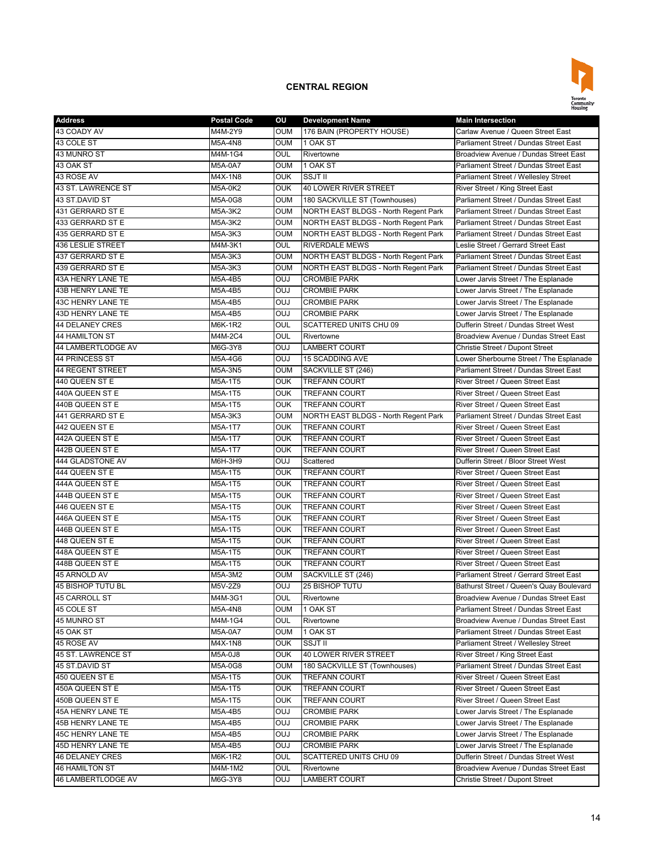

| <b>Address</b>        | <b>Postal Code</b> | ου         | <b>Development Name</b>              | <b>Main Intersection</b>                 |
|-----------------------|--------------------|------------|--------------------------------------|------------------------------------------|
| 43 COADY AV           | M4M-2Y9            | <b>OUM</b> | 176 BAIN (PROPERTY HOUSE)            | Carlaw Avenue / Queen Street East        |
| 43 COLE ST            | M5A-4N8            | <b>OUM</b> | 1 OAK ST                             | Parliament Street / Dundas Street East   |
| 43 MUNRO ST           | M4M-1G4            | OUL        | Rivertowne                           | Broadview Avenue / Dundas Street East    |
| 43 OAK ST             | M5A-0A7            | oum        | 1 OAK ST                             | Parliament Street / Dundas Street East   |
| 43 ROSE AV            | M4X-1N8            | OUK        | <b>SSJT II</b>                       | Parliament Street / Wellesley Street     |
| 43 ST. LAWRENCE ST    | M5A-0K2            | OUK        | 40 LOWER RIVER STREET                | River Street / King Street East          |
| 43 ST.DAVID ST        | M5A-0G8            | OUM        | 180 SACKVILLE ST (Townhouses)        | Parliament Street / Dundas Street East   |
| 431 GERRARD ST E      | M5A-3K2            | OUM        | NORTH EAST BLDGS - North Regent Park | Parliament Street / Dundas Street East   |
| 433 GERRARD ST E      | M5A-3K2            | oum        | NORTH EAST BLDGS - North Regent Park | Parliament Street / Dundas Street East   |
| 435 GERRARD ST E      | M5A-3K3            | oum        | NORTH EAST BLDGS - North Regent Park | Parliament Street / Dundas Street East   |
| 436 LESLIE STREET     | M4M-3K1            | OUL        | <b>RIVERDALE MEWS</b>                | Leslie Street / Gerrard Street East      |
| 437 GERRARD ST E      | M5A-3K3            | <b>OUM</b> | NORTH EAST BLDGS - North Regent Park | Parliament Street / Dundas Street East   |
| 439 GERRARD ST E      | M5A-3K3            | oum        | NORTH EAST BLDGS - North Regent Park | Parliament Street / Dundas Street East   |
| 43A HENRY LANE TE     | M5A-4B5            | OUJ        | <b>CROMBIE PARK</b>                  | Lower Jarvis Street / The Esplanade      |
| 43B HENRY LANE TE     | M5A-4B5            | <b>OUJ</b> | <b>CROMBIE PARK</b>                  | Lower Jarvis Street / The Esplanade      |
| 43C HENRY LANE TE     |                    | OUJ        |                                      |                                          |
|                       | M5A-4B5            |            | <b>CROMBIE PARK</b>                  | Lower Jarvis Street / The Esplanade      |
| 43D HENRY LANE TE     | M5A-4B5            | OUJ        | <b>CROMBIE PARK</b>                  | Lower Jarvis Street / The Esplanade      |
| 44 DELANEY CRES       | M6K-1R2            | OUL        | <b>SCATTERED UNITS CHU 09</b>        | Dufferin Street / Dundas Street West     |
| <b>44 HAMILTON ST</b> | M4M-2C4            | OUL        | Rivertowne                           | Broadview Avenue / Dundas Street East    |
| 44 LAMBERTLODGE AV    | M6G-3Y8            | LUO        | <b>LAMBERT COURT</b>                 | Christie Street / Dupont Street          |
| 44 PRINCESS ST        | M5A-4G6            | OUJ        | <b>15 SCADDING AVE</b>               | Lower Sherbourne Street / The Esplanade  |
| 44 REGENT STREET      | M5A-3N5            | oum        | SACKVILLE ST (246)                   | Parliament Street / Dundas Street East   |
| 440 QUEEN ST E        | M5A-1T5            | <b>OUK</b> | <b>TREFANN COURT</b>                 | River Street / Queen Street East         |
| 440A QUEEN ST E       | M5A-1T5            | <b>OUK</b> | <b>TREFANN COURT</b>                 | River Street / Queen Street East         |
| 440B QUEEN ST E       | M5A-1T5            | OUK        | <b>TREFANN COURT</b>                 | River Street / Queen Street East         |
| 441 GERRARD ST E      | M5A-3K3            | oum        | NORTH EAST BLDGS - North Regent Park | Parliament Street / Dundas Street East   |
| 442 QUEEN ST E        | M5A-1T7            | OUK        | <b>TREFANN COURT</b>                 | River Street / Queen Street East         |
| 442A QUEEN ST E       | M5A-1T7            | <b>OUK</b> | <b>TREFANN COURT</b>                 | River Street / Queen Street East         |
| 442B QUEEN ST E       | M5A-1T7            | <b>OUK</b> | <b>TREFANN COURT</b>                 | River Street / Queen Street East         |
| 444 GLADSTONE AV      | M6H-3H9            | LUO        | Scattered                            | Dufferin Street / Bloor Street West      |
| 444 QUEEN ST E        | M5A-1T5            | OUK        | <b>TREFANN COURT</b>                 | River Street / Queen Street East         |
| 444A QUEEN ST E       | M5A-1T5            | OUK        | <b>TREFANN COURT</b>                 | River Street / Queen Street East         |
| 444B QUEEN ST E       | M5A-1T5            | OUK        | <b>TREFANN COURT</b>                 | River Street / Queen Street East         |
| 446 QUEEN ST E        | M5A-1T5            | <b>OUK</b> | <b>TREFANN COURT</b>                 | River Street / Queen Street East         |
| 446A QUEEN ST E       | M5A-1T5            | OUK        | <b>TREFANN COURT</b>                 | River Street / Queen Street East         |
| 446B QUEEN ST E       | M5A-1T5            | OUK        | <b>TREFANN COURT</b>                 | River Street / Queen Street East         |
| 448 QUEEN ST E        | M5A-1T5            | OUK        | <b>TREFANN COURT</b>                 | River Street / Queen Street East         |
| 448A QUEEN ST E       | M5A-1T5            | <b>OUK</b> | <b>TREFANN COURT</b>                 | River Street / Queen Street East         |
| 448B QUEEN ST E       | M5A-1T5            | <b>OUK</b> | <b>TREFANN COURT</b>                 | River Street / Queen Street East         |
| 45 ARNOLD AV          | M5A-3M2            | OUM        | SACKVILLE ST (246)                   | Parliament Street / Gerrard Street East  |
| 45 BISHOP TUTU BL     | M5V-2Z9            | <b>CUO</b> | <b>25 BISHOP TUTU</b>                | Bathurst Street / Queen's Quay Boulevard |
| <b>45 CARROLL ST</b>  | M4M-3G1            | OUL        | Rivertowne                           | Broadview Avenue / Dundas Street East    |
| 45 COLE ST            | M5A-4N8            | OUM        | 1 OAK ST                             | Parliament Street / Dundas Street East   |
| 45 MUNRO ST           | M4M-1G4            | OUL        | Rivertowne                           | Broadview Avenue / Dundas Street East    |
| 45 OAK ST             | M5A-0A7            | oum        | 1 OAK ST                             | Parliament Street / Dundas Street East   |
| 45 ROSE AV            | M4X-1N8            | OUK        | SSJT II                              | Parliament Street / Wellesley Street     |
| 45 ST. LAWRENCE ST    | M5A-0J8            | OUK        | 40 LOWER RIVER STREET                | River Street / King Street East          |
| 45 ST.DAVID ST        | M5A-0G8            | oum        | 180 SACKVILLE ST (Townhouses)        | Parliament Street / Dundas Street East   |
| 450 QUEEN ST E        | M5A-1T5            | OUK        | <b>TREFANN COURT</b>                 | River Street / Queen Street East         |
| 450A QUEEN ST E       | M5A-1T5            | OUK        | <b>TREFANN COURT</b>                 | River Street / Queen Street East         |
| 450B QUEEN ST E       | M5A-1T5            | <b>OUK</b> | <b>TREFANN COURT</b>                 | River Street / Queen Street East         |
|                       |                    |            |                                      |                                          |
| 45A HENRY LANE TE     | M5A-4B5            | <b>CUO</b> | <b>CROMBIE PARK</b>                  | Lower Jarvis Street / The Esplanade      |
| 45B HENRY LANE TE     | M5A-4B5            | <b>CUO</b> | <b>CROMBIE PARK</b>                  | Lower Jarvis Street / The Esplanade      |
| 45C HENRY LANE TE     | M5A-4B5            | <b>CUO</b> | <b>CROMBIE PARK</b>                  | Lower Jarvis Street / The Esplanade      |
| 45D HENRY LANE TE     | M5A-4B5            | <b>CUO</b> | <b>CROMBIE PARK</b>                  | Lower Jarvis Street / The Esplanade      |
| 46 DELANEY CRES       | M6K-1R2            | OUL        | SCATTERED UNITS CHU 09               | Dufferin Street / Dundas Street West     |
| <b>46 HAMILTON ST</b> | M4M-1M2            | OUL        | Rivertowne                           | Broadview Avenue / Dundas Street East    |
| 46 LAMBERTLODGE AV    | M6G-3Y8            | <b>LUO</b> | LAMBERT COURT                        | Christie Street / Dupont Street          |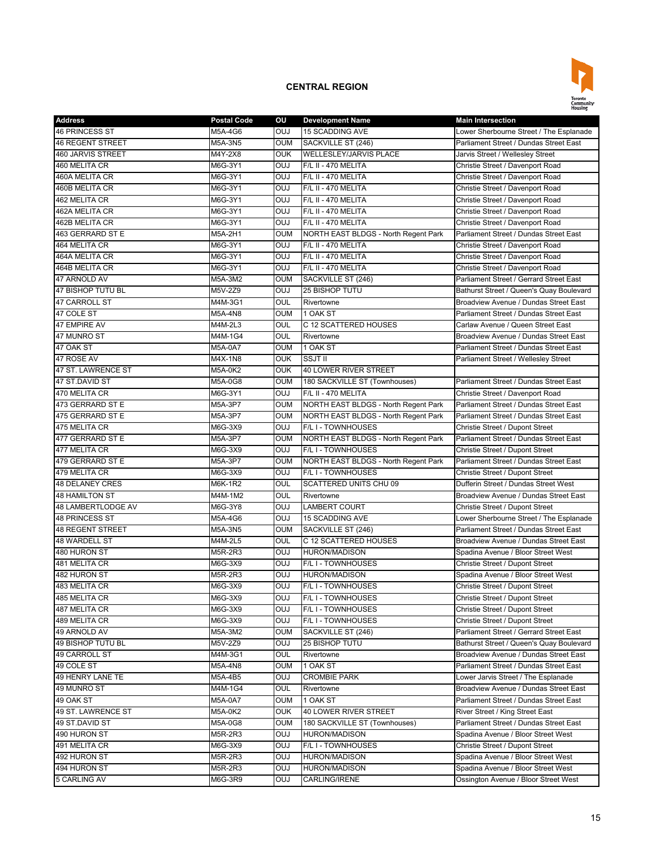

| <b>Address</b>          | <b>Postal Code</b> | ου                       | <b>Development Name</b>              | <b>Main Intersection</b>                 |
|-------------------------|--------------------|--------------------------|--------------------------------------|------------------------------------------|
| <b>46 PRINCESS ST</b>   | M5A-4G6            | <b>OUJ</b>               | <b>15 SCADDING AVE</b>               | Lower Sherbourne Street / The Esplanade  |
| 46 REGENT STREET        | M5A-3N5            | <b>OUM</b>               | SACKVILLE ST (246)                   | Parliament Street / Dundas Street East   |
| 460 JARVIS STREET       | M4Y-2X8            | <b>OUK</b>               | <b>WELLESLEY/JARVIS PLACE</b>        | Jarvis Street / Wellesley Street         |
| 460 MELITA CR           | M6G-3Y1            | <b>OUJ</b>               | F/L II - 470 MELITA                  | Christie Street / Davenport Road         |
| 460A MELITA CR          | M6G-3Y1            | <b>OUJ</b>               | F/L II - 470 MELITA                  | Christie Street / Davenport Road         |
| 460B MELITA CR          | M6G-3Y1            | <b>OUJ</b>               | F/L II - 470 MELITA                  | Christie Street / Davenport Road         |
| 462 MELITA CR           | M6G-3Y1            | <b>OUJ</b>               | F/L II - 470 MELITA                  | Christie Street / Davenport Road         |
| 462A MELITA CR          | M6G-3Y1            | <b>OUJ</b>               | F/L II - 470 MELITA                  | Christie Street / Davenport Road         |
| 462B MELITA CR          | M6G-3Y1            | OUJ                      | F/L II - 470 MELITA                  | Christie Street / Davenport Road         |
| 463 GERRARD ST E        | M5A-2H1            | OUM                      | NORTH EAST BLDGS - North Regent Park | Parliament Street / Dundas Street East   |
| 464 MELITA CR           | M6G-3Y1            | <b>CUO</b>               | F/L II - 470 MELITA                  | Christie Street / Davenport Road         |
| 464A MELITA CR          | M6G-3Y1            | <b>OUJ</b>               | F/L II - 470 MELITA                  | Christie Street / Davenport Road         |
| 464B MELITA CR          | M6G-3Y1            | <b>OUJ</b>               | F/L II - 470 MELITA                  | Christie Street / Davenport Road         |
| 47 ARNOLD AV            | M5A-3M2            | <b>OUM</b>               | SACKVILLE ST (246)                   | Parliament Street / Gerrard Street East  |
| 47 BISHOP TUTU BL       | M5V-2Z9            | <b>OUJ</b>               | <b>25 BISHOP TUTU</b>                | Bathurst Street / Queen's Quay Boulevard |
| 47 CARROLL ST           | M4M-3G1            | <b>OUL</b>               | Rivertowne                           | Broadview Avenue / Dundas Street East    |
| 47 COLE ST              | M5A-4N8            | <b>OUM</b>               | 1 OAK ST                             | Parliament Street / Dundas Street East   |
| 47 EMPIRE AV            | M4M-2L3            | OUL                      | C 12 SCATTERED HOUSES                | Carlaw Avenue / Queen Street East        |
| 47 MUNRO ST             | M4M-1G4            | OUL                      | Rivertowne                           | Broadview Avenue / Dundas Street East    |
| 47 OAK ST               | M5A-0A7            | <b>OUM</b>               | 1 OAK ST                             | Parliament Street / Dundas Street East   |
| 47 ROSE AV              | M4X-1N8            | <b>OUK</b>               | SSJT II                              | Parliament Street / Wellesley Street     |
| 47 ST. LAWRENCE ST      | M5A-0K2            | <b>OUK</b>               | <b>40 LOWER RIVER STREET</b>         |                                          |
| 47 ST.DAVID ST          | M5A-0G8            | <b>OUM</b>               | 180 SACKVILLE ST (Townhouses)        | Parliament Street / Dundas Street East   |
| 470 MELITA CR           |                    | LUO                      | F/L II - 470 MELITA                  | Christie Street / Davenport Road         |
| 473 GERRARD ST E        | M6G-3Y1            |                          |                                      | Parliament Street / Dundas Street East   |
| 475 GERRARD ST E        | M5A-3P7            | <b>OUM</b><br><b>OUM</b> | NORTH EAST BLDGS - North Regent Park | Parliament Street / Dundas Street East   |
|                         | M5A-3P7            |                          | NORTH EAST BLDGS - North Regent Park |                                          |
| 475 MELITA CR           | M6G-3X9            | <b>OUJ</b>               | F/L I - TOWNHOUSES                   | <b>Christie Street / Dupont Street</b>   |
| 477 GERRARD ST E        | M5A-3P7            | <b>OUM</b>               | NORTH EAST BLDGS - North Regent Park | Parliament Street / Dundas Street East   |
| 477 MELITA CR           | M6G-3X9            | <b>CUO</b>               | F/L I - TOWNHOUSES                   | Christie Street / Dupont Street          |
| 479 GERRARD ST E        | M5A-3P7            | <b>OUM</b>               | NORTH EAST BLDGS - North Regent Park | Parliament Street / Dundas Street East   |
| 479 MELITA CR           | M6G-3X9            | <b>OUJ</b>               | F/L I - TOWNHOUSES                   | Christie Street / Dupont Street          |
| <b>48 DELANEY CRES</b>  | M6K-1R2            | OUL                      | SCATTERED UNITS CHU 09               | Dufferin Street / Dundas Street West     |
| <b>48 HAMILTON ST</b>   | M4M-1M2            | OUL                      | Rivertowne                           | Broadview Avenue / Dundas Street East    |
| 48 LAMBERTLODGE AV      | M6G-3Y8            | <b>OUJ</b>               | <b>LAMBERT COURT</b>                 | Christie Street / Dupont Street          |
| <b>48 PRINCESS ST</b>   | M5A-4G6            | <b>OUJ</b>               | <b>15 SCADDING AVE</b>               | Lower Sherbourne Street / The Esplanade  |
| <b>48 REGENT STREET</b> | M5A-3N5            | <b>OUM</b>               | SACKVILLE ST (246)                   | Parliament Street / Dundas Street East   |
| <b>48 WARDELL ST</b>    | M4M-2L5            | OUL                      | C 12 SCATTERED HOUSES                | Broadview Avenue / Dundas Street East    |
| 480 HURON ST            | M5R-2R3            | <b>OUJ</b>               | <b>HURON/MADISON</b>                 | Spadina Avenue / Bloor Street West       |
| 481 MELITA CR           | M6G-3X9            | <b>OUJ</b>               | F/L I - TOWNHOUSES                   | Christie Street / Dupont Street          |
| 482 HURON ST            | M5R-2R3            | OUJ                      | <b>HURON/MADISON</b>                 | Spadina Avenue / Bloor Street West       |
| 483 MELITA CR           | M6G-3X9            | <b>CUO</b>               | F/L I - TOWNHOUSES                   | Christie Street / Dupont Street          |
| 485 MELITA CR           | M6G-3X9            | OUJ                      | <b>F/L I - TOWNHOUSES</b>            | Christie Street / Dupont Street          |
| 487 MELITA CR           | M6G-3X9            | <b>OUJ</b>               | F/L I - TOWNHOUSES                   | Christie Street / Dupont Street          |
| 489 MELITA CR           | M6G-3X9            | <b>DUO</b>               | F/L I - TOWNHOUSES                   | Christie Street / Dupont Street          |
| 49 ARNOLD AV            | M5A-3M2            | OUM                      | SACKVILLE ST (246)                   | Parliament Street / Gerrard Street East  |
| 49 BISHOP TUTU BL       | M5V-2Z9            | <b>OUJ</b>               | 25 BISHOP TUTU                       | Bathurst Street / Queen's Quay Boulevard |
| 49 CARROLL ST           | M4M-3G1            | OUL                      | Rivertowne                           | Broadview Avenue / Dundas Street East    |
| 49 COLE ST              | M5A-4N8            | OUM                      | 1 OAK ST                             | Parliament Street / Dundas Street East   |
| 49 HENRY LANE TE        | M5A-4B5            | <b>OUJ</b>               | <b>CROMBIE PARK</b>                  | Lower Jarvis Street / The Esplanade      |
| 49 MUNRO ST             | M4M-1G4            | OUL                      | Rivertowne                           | Broadview Avenue / Dundas Street East    |
| 49 OAK ST               | M5A-0A7            | OUM                      | 1 OAK ST                             | Parliament Street / Dundas Street East   |
| 49 ST. LAWRENCE ST      | M5A-0K2            | <b>OUK</b>               | 40 LOWER RIVER STREET                | River Street / King Street East          |
| 49 ST.DAVID ST          | M5A-0G8            | OUM                      | 180 SACKVILLE ST (Townhouses)        | Parliament Street / Dundas Street East   |
| 490 HURON ST            | M5R-2R3            | <b>OUJ</b>               | <b>HURON/MADISON</b>                 | Spadina Avenue / Bloor Street West       |
| 491 MELITA CR           | M6G-3X9            | <b>DUO</b>               | F/L I - TOWNHOUSES                   | Christie Street / Dupont Street          |
| 492 HURON ST            | M5R-2R3            | <b>OUJ</b>               | <b>HURON/MADISON</b>                 | Spadina Avenue / Bloor Street West       |
| 494 HURON ST            | M5R-2R3            | <b>OUJ</b>               | <b>HURON/MADISON</b>                 | Spadina Avenue / Bloor Street West       |
| 5 CARLING AV            | M6G-3R9            | <b>LUO</b>               | CARLING/IRENE                        | Ossington Avenue / Bloor Street West     |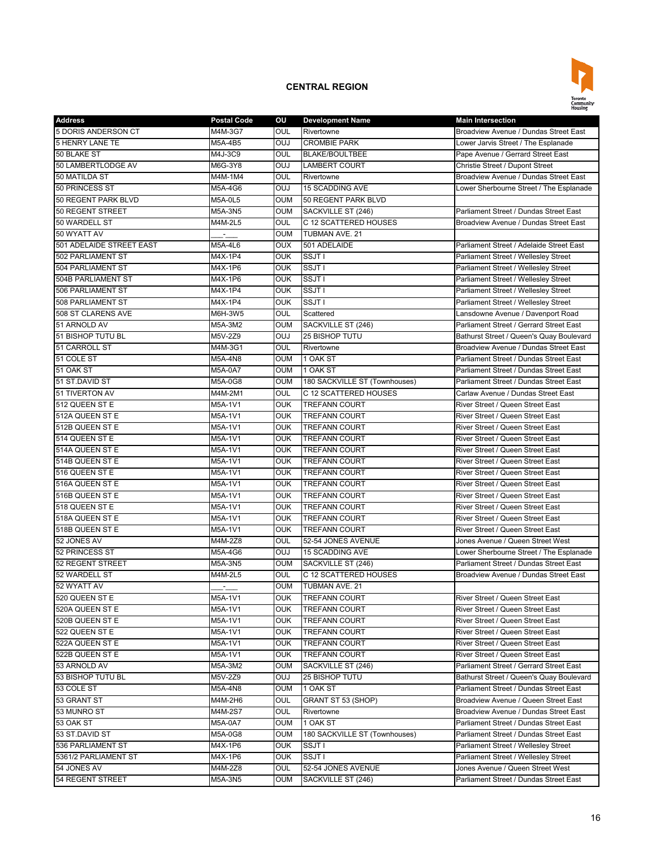

| <b>Address</b>                | <b>Postal Code</b> | ου         | <b>Development Name</b>                     | <b>Main Intersection</b>                                                        |
|-------------------------------|--------------------|------------|---------------------------------------------|---------------------------------------------------------------------------------|
| 5 DORIS ANDERSON CT           | M4M-3G7            | OUL        | Rivertowne                                  | Broadview Avenue / Dundas Street East                                           |
| <b>5 HENRY LANE TE</b>        | M5A-4B5            | OUJ        | <b>CROMBIE PARK</b>                         | Lower Jarvis Street / The Esplanade                                             |
| 50 BLAKE ST                   | M4J-3C9            | <b>OUL</b> | <b>BLAKE/BOULTBEE</b>                       | Pape Avenue / Gerrard Street East                                               |
| 50 LAMBERTLODGE AV            | M6G-3Y8            | OUJ        | LAMBERT COURT                               | Christie Street / Dupont Street                                                 |
| 50 MATILDA ST                 | M4M-1M4            | OUL        | Rivertowne                                  | Broadview Avenue / Dundas Street East                                           |
| 50 PRINCESS ST                | M5A-4G6            | <b>OUJ</b> | <b>15 SCADDING AVE</b>                      | Lower Sherbourne Street / The Esplanade                                         |
| 50 REGENT PARK BLVD           | M5A-0L5            | <b>OUM</b> | 50 REGENT PARK BLVD                         |                                                                                 |
| 50 REGENT STREET              | M5A-3N5            | <b>OUM</b> | SACKVILLE ST (246)                          | Parliament Street / Dundas Street East                                          |
| 50 WARDELL ST                 | M4M-2L5            | OUL        | C 12 SCATTERED HOUSES                       | Broadview Avenue / Dundas Street East                                           |
| 50 WYATT AV                   | ÷.                 | <b>OUM</b> | TUBMAN AVE. 21                              |                                                                                 |
| 501 ADELAIDE STREET EAST      | M5A-4L6            | <b>OUX</b> | 501 ADELAIDE                                | Parliament Street / Adelaide Street East                                        |
| 502 PARLIAMENT ST             | M4X-1P4            | <b>OUK</b> | SSJT I                                      | Parliament Street / Wellesley Street                                            |
| 504 PARLIAMENT ST             | M4X-1P6            | <b>OUK</b> | SSJT I                                      | Parliament Street / Wellesley Street                                            |
| 504B PARLIAMENT ST            | M4X-1P6            | <b>OUK</b> | SSJT I                                      | Parliament Street / Wellesley Street                                            |
| 506 PARLIAMENT ST             | M4X-1P4            | <b>OUK</b> | SSJT I                                      | Parliament Street / Wellesley Street                                            |
| 508 PARLIAMENT ST             | M4X-1P4            | <b>OUK</b> | SSJT I                                      | Parliament Street / Wellesley Street                                            |
| 508 ST CLARENS AVE            | M6H-3W5            | OUL        | Scattered                                   | Lansdowne Avenue / Davenport Road                                               |
| 51 ARNOLD AV                  | M5A-3M2            | <b>OUM</b> | SACKVILLE ST (246)                          | Parliament Street / Gerrard Street East                                         |
| 51 BISHOP TUTU BL             | M5V-2Z9            | <b>OUJ</b> | 25 BISHOP TUTU                              | Bathurst Street / Queen's Quay Boulevard                                        |
| 51 CARROLL ST                 | M4M-3G1            | OUL        | Rivertowne                                  | Broadview Avenue / Dundas Street East                                           |
| 51 COLE ST                    | M5A-4N8            | <b>OUM</b> | 1 OAK ST                                    | Parliament Street / Dundas Street East                                          |
| 51 OAK ST                     | <b>M5A-0A7</b>     | <b>OUM</b> | 1 OAK ST                                    | Parliament Street / Dundas Street East                                          |
| 51 ST.DAVID ST                | M5A-0G8            | <b>OUM</b> | 180 SACKVILLE ST (Townhouses)               | Parliament Street / Dundas Street East                                          |
| 51 TIVERTON AV                | M4M-2M1            | OUL        | C 12 SCATTERED HOUSES                       | Carlaw Avenue / Dundas Street East                                              |
| 512 QUEEN ST E                | M5A-1V1            | <b>OUK</b> | <b>TREFANN COURT</b>                        | River Street / Queen Street East                                                |
| 512A QUEEN ST E               | M5A-1V1            | <b>OUK</b> | <b>TREFANN COURT</b>                        | River Street / Queen Street East                                                |
| 512B QUEEN ST E               | M5A-1V1            | <b>OUK</b> | <b>TREFANN COURT</b>                        | River Street / Queen Street East                                                |
| 514 QUEEN ST E                | M5A-1V1            | <b>OUK</b> | <b>TREFANN COURT</b>                        | River Street / Queen Street East                                                |
| 514A QUEEN ST E               | M5A-1V1            | <b>OUK</b> | <b>TREFANN COURT</b>                        | River Street / Queen Street East                                                |
| 514B QUEEN ST E               | M5A-1V1            | <b>OUK</b> | <b>TREFANN COURT</b>                        | River Street / Queen Street East                                                |
| 516 QUEEN ST E                | M5A-1V1            | <b>OUK</b> | <b>TREFANN COURT</b>                        | River Street / Queen Street East                                                |
| 516A QUEEN ST E               | M5A-1V1            | <b>OUK</b> | <b>TREFANN COURT</b>                        | River Street / Queen Street East                                                |
| 516B QUEEN ST E               | M5A-1V1            | <b>OUK</b> | <b>TREFANN COURT</b>                        | River Street / Queen Street East                                                |
| 518 QUEEN ST E                | M5A-1V1            | <b>OUK</b> | <b>TREFANN COURT</b>                        | River Street / Queen Street East                                                |
| 518A QUEEN ST E               | M5A-1V1            | <b>OUK</b> | <b>TREFANN COURT</b>                        | River Street / Queen Street East                                                |
| 518B QUEEN ST E               | M5A-1V1            | <b>OUK</b> | <b>TREFANN COURT</b>                        | River Street / Queen Street East                                                |
|                               |                    |            |                                             | Jones Avenue / Queen Street West                                                |
| 52 JONES AV<br>52 PRINCESS ST | M4M-2Z8            | OUL        | 52-54 JONES AVENUE                          | Lower Sherbourne Street / The Esplanade                                         |
| 52 REGENT STREET              | M5A-4G6<br>M5A-3N5 | <b>OUJ</b> | 15 SCADDING AVE                             |                                                                                 |
| 52 WARDELL ST                 |                    | <b>OUM</b> | SACKVILLE ST (246)<br>C 12 SCATTERED HOUSES | Parliament Street / Dundas Street East<br>Broadview Avenue / Dundas Street East |
|                               | M4M-2L5            | OUL        |                                             |                                                                                 |
| 52 WYATT AV                   |                    | <b>OUM</b> | TUBMAN AVE. 21                              |                                                                                 |
| 520 QUEEN ST E                | M5A-1V1            | <b>OUK</b> | <b>TREFANN COURT</b>                        | River Street / Queen Street East                                                |
| 520A QUEEN ST E               | M5A-1V1            | <b>OUK</b> | <b>TREFANN COURT</b>                        | River Street / Queen Street East                                                |
| 520B QUEEN ST E               | M5A-1V1            | <b>OUK</b> | <b>TREFANN COURT</b>                        | River Street / Queen Street East                                                |
| 522 QUEEN ST E                | M5A-1V1            | <b>OUK</b> | TREFANN COURT                               | River Street / Queen Street East                                                |
| 522A QUEEN ST E               | M5A-1V1            | OUK        | <b>TREFANN COURT</b>                        | River Street / Queen Street East                                                |
| 522B QUEEN ST E               | M5A-1V1            | <b>OUK</b> | <b>TREFANN COURT</b>                        | River Street / Queen Street East                                                |
| 53 ARNOLD AV                  | M5A-3M2            | <b>OUM</b> | SACKVILLE ST (246)                          | Parliament Street / Gerrard Street East                                         |
| 53 BISHOP TUTU BL             | M5V-2Z9            | <b>OUJ</b> | 25 BISHOP TUTU                              | Bathurst Street / Queen's Quay Boulevard                                        |
| 53 COLE ST                    | M5A-4N8            | OUM        | 1 OAK ST                                    | Parliament Street / Dundas Street East                                          |
| 53 GRANT ST                   | M4M-2H6            | OUL        | GRANT ST 53 (SHOP)                          | Broadview Avenue / Queen Street East                                            |
| 53 MUNRO ST                   | M4M-2S7            | OUL        | Rivertowne                                  | Broadview Avenue / Dundas Street East                                           |
| 53 OAK ST                     | M5A-0A7            | OUM        | 1 OAK ST                                    | Parliament Street / Dundas Street East                                          |
| 53 ST.DAVID ST                | M5A-0G8            | oum        | 180 SACKVILLE ST (Townhouses)               | Parliament Street / Dundas Street East                                          |
| 536 PARLIAMENT ST             | M4X-1P6            | <b>OUK</b> | SSJT I                                      | Parliament Street / Wellesley Street                                            |
| 5361/2 PARLIAMENT ST          | M4X-1P6            | <b>OUK</b> | SSJT I                                      | Parliament Street / Wellesley Street                                            |
| 54 JONES AV                   | M4M-2Z8            | OUL        | 52-54 JONES AVENUE                          | Jones Avenue / Queen Street West                                                |
| 54 REGENT STREET              | M5A-3N5            | OUM        | SACKVILLE ST (246)                          | Parliament Street / Dundas Street East                                          |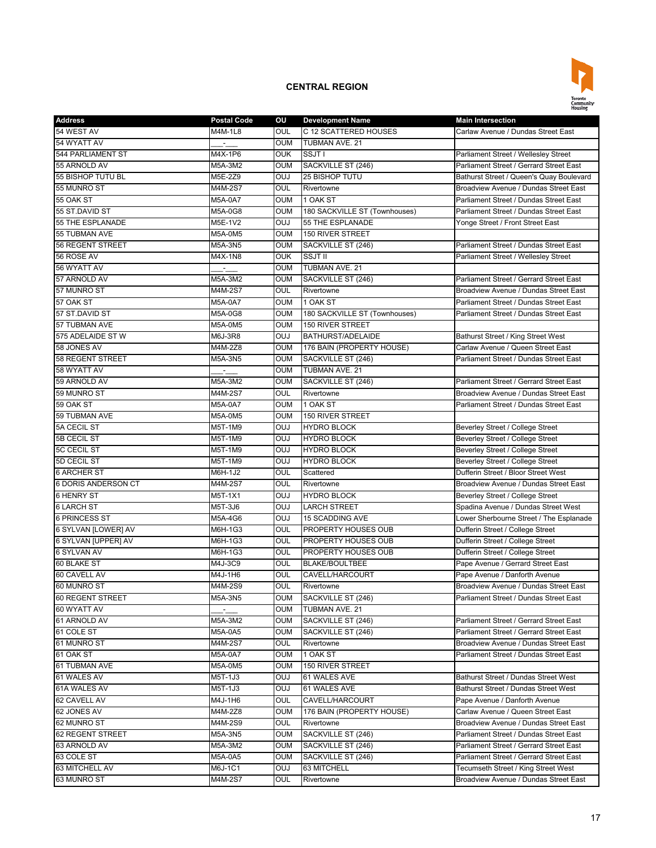

| <b>Address</b>                  | <b>Postal Code</b>              | ου         | <b>Development Name</b>       | <b>Main Intersection</b>                  |
|---------------------------------|---------------------------------|------------|-------------------------------|-------------------------------------------|
| 54 WEST AV                      | M4M-1L8                         | OUL        | C 12 SCATTERED HOUSES         | Carlaw Avenue / Dundas Street East        |
| 54 WYATT AV                     |                                 | <b>OUM</b> | TUBMAN AVE. 21                |                                           |
| 544 PARLIAMENT ST               | M4X-1P6                         | <b>OUK</b> | SSJT I                        | Parliament Street / Wellesley Street      |
| 55 ARNOLD AV                    | M5A-3M2                         | OUM        | SACKVILLE ST (246)            | Parliament Street / Gerrard Street East   |
| 55 BISHOP TUTU BL               | M5E-2Z9                         | <b>OUJ</b> | 25 BISHOP TUTU                | Bathurst Street / Queen's Quay Boulevard  |
| 55 MUNRO ST                     | M4M-2S7                         | OUL        | Rivertowne                    | Broadview Avenue / Dundas Street East     |
| 55 OAK ST                       | M5A-0A7                         | <b>OUM</b> | 1 OAK ST                      | Parliament Street / Dundas Street East    |
| 55 ST.DAVID ST                  | M5A-0G8                         | <b>OUM</b> | 180 SACKVILLE ST (Townhouses) | Parliament Street / Dundas Street East    |
| 55 THE ESPLANADE                | M5E-1V2                         | OUJ        | 55 THE ESPLANADE              | Yonge Street / Front Street East          |
| 55 TUBMAN AVE                   | M5A-0M5                         | <b>OUM</b> | <b>150 RIVER STREET</b>       |                                           |
| <b>56 REGENT STREET</b>         | M5A-3N5                         | <b>OUM</b> | SACKVILLE ST (246)            | Parliament Street / Dundas Street East    |
| 56 ROSE AV                      | M4X-1N8                         | <b>OUK</b> | <b>SSJT II</b>                | Parliament Street / Wellesley Street      |
| 56 WYATT AV                     | $\blacksquare$                  | <b>OUM</b> | <b>TUBMAN AVE, 21</b>         |                                           |
| 57 ARNOLD AV                    | M5A-3M2                         | OUM        | SACKVILLE ST (246)            | Parliament Street / Gerrard Street East   |
| 57 MUNRO ST                     | M4M-2S7                         | OUL        | Rivertowne                    | Broadview Avenue / Dundas Street East     |
| 57 OAK ST                       | M5A-0A7                         | <b>OUM</b> | 1 OAK ST                      | Parliament Street / Dundas Street East    |
| 57 ST.DAVID ST                  | M5A-0G8                         | <b>OUM</b> | 180 SACKVILLE ST (Townhouses) | Parliament Street / Dundas Street East    |
| 57 TUBMAN AVE                   | M5A-0M5                         | <b>OUM</b> | 150 RIVER STREET              |                                           |
| 575 ADELAIDE ST W               | M6J-3R8                         | <b>OUJ</b> | <b>BATHURST/ADELAIDE</b>      | <b>Bathurst Street / King Street West</b> |
| 58 JONES AV                     | M4M-2Z8                         | <b>OUM</b> | 176 BAIN (PROPERTY HOUSE)     | Carlaw Avenue / Queen Street East         |
| <b>58 REGENT STREET</b>         | M5A-3N5                         | <b>OUM</b> | SACKVILLE ST (246)            | Parliament Street / Dundas Street East    |
| 58 WYATT AV                     | $\sim$                          | <b>OUM</b> | TUBMAN AVE. 21                |                                           |
| 59 ARNOLD AV                    | $M5A-3M2$                       | <b>OUM</b> | SACKVILLE ST (246)            | Parliament Street / Gerrard Street East   |
| 59 MUNRO ST                     | M4M-2S7                         | OUL        | Rivertowne                    | Broadview Avenue / Dundas Street East     |
| 59 OAK ST                       | M5A-0A7                         | <b>OUM</b> | 1 OAK ST                      | Parliament Street / Dundas Street East    |
| 59 TUBMAN AVE                   | M5A-0M5                         | <b>OUM</b> | 150 RIVER STREET              |                                           |
| 5A CECIL ST                     | M5T-1M9                         | <b>OUJ</b> | <b>HYDRO BLOCK</b>            | Beverley Street / College Street          |
| 5B CECIL ST                     | M5T-1M9                         | <b>OUJ</b> | <b>HYDRO BLOCK</b>            | Beverley Street / College Street          |
| <b>5C CECIL ST</b>              | M5T-1M9                         | OUJ        | <b>HYDRO BLOCK</b>            | Beverley Street / College Street          |
| 5D CECIL ST                     | M5T-1M9                         | <b>OUJ</b> | <b>HYDRO BLOCK</b>            | Beverley Street / College Street          |
| <b>6 ARCHER ST</b>              | M6H-1J2                         | OUL        | Scattered                     | Dufferin Street / Bloor Street West       |
| 6 DORIS ANDERSON CT             | M4M-2S7                         | OUL        | Rivertowne                    | Broadview Avenue / Dundas Street East     |
| <b>6 HENRY ST</b>               | M5T-1X1                         | <b>OUJ</b> | <b>HYDRO BLOCK</b>            | Beverley Street / College Street          |
| <b>6 LARCH ST</b>               | M5T-3J6                         | <b>OUJ</b> | <b>LARCH STREET</b>           | Spadina Avenue / Dundas Street West       |
| <b>6 PRINCESS ST</b>            | M5A-4G6                         | OUJ        | <b>15 SCADDING AVE</b>        | Lower Sherbourne Street / The Esplanade   |
| 6 SYLVAN [LOWER] AV             | M6H-1G3                         | OUL        | PROPERTY HOUSES OUB           | Dufferin Street / College Street          |
| 6 SYLVAN [UPPER] AV             | M6H-1G3                         | OUL        | PROPERTY HOUSES OUB           | Dufferin Street / College Street          |
| <b>6 SYLVAN AV</b>              | M6H-1G3                         | OUL        | PROPERTY HOUSES OUB           | Dufferin Street / College Street          |
| 60 BLAKE ST                     | M4J-3C9                         | OUL        | <b>BLAKE/BOULTBEE</b>         | Pape Avenue / Gerrard Street East         |
| 60 CAVELL AV                    | M4J-1H6                         | OUL        | CAVELL/HARCOURT               | Pape Avenue / Danforth Avenue             |
| 60 MUNRO ST                     | M4M-2S9                         | OUL        | Rivertowne                    | Broadview Avenue / Dundas Street East     |
|                                 | M5A-3N5                         | <b>OUM</b> | SACKVILLE ST (246)            | Parliament Street / Dundas Street East    |
| 60 REGENT STREET<br>60 WYATT AV |                                 | OUM        | TUBMAN AVE. 21                |                                           |
|                                 | $\frac{1}{\sqrt{2}}$<br>M5A-3M2 | <b>OUM</b> |                               | Parliament Street / Gerrard Street East   |
| 61 ARNOLD AV<br>61 COLE ST      |                                 | OUM        | SACKVILLE ST (246)            | Parliament Street / Gerrard Street East   |
|                                 | M5A-0A5                         |            | SACKVILLE ST (246)            |                                           |
| 61 MUNRO ST                     | M4M-2S7                         | OUL        | Rivertowne                    | Broadview Avenue / Dundas Street East     |
| 61 OAK ST                       | M5A-0A7                         | OUM        | 1 OAK ST                      | Parliament Street / Dundas Street East    |
| 61 TUBMAN AVE                   | M5A-0M5                         | <b>OUM</b> | 150 RIVER STREET              |                                           |
| 61 WALES AV                     | M5T-1J3                         | <b>OUJ</b> | 61 WALES AVE                  | Bathurst Street / Dundas Street West      |
| 61A WALES AV                    | M5T-1J3                         | <b>OUJ</b> | 61 WALES AVE                  | Bathurst Street / Dundas Street West      |
| 62 CAVELL AV                    | M4J-1H6                         | OUL        | CAVELL/HARCOURT               | Pape Avenue / Danforth Avenue             |
| 62 JONES AV                     | M4M-2Z8                         | <b>OUM</b> | 176 BAIN (PROPERTY HOUSE)     | Carlaw Avenue / Queen Street East         |
| 62 MUNRO ST                     | M4M-2S9                         | OUL        | Rivertowne                    | Broadview Avenue / Dundas Street East     |
| 62 REGENT STREET                | M5A-3N5                         | <b>OUM</b> | SACKVILLE ST (246)            | Parliament Street / Dundas Street East    |
| 63 ARNOLD AV                    | M5A-3M2                         | OUM        | SACKVILLE ST (246)            | Parliament Street / Gerrard Street East   |
| 63 COLE ST                      | M5A-0A5                         | OUM        | SACKVILLE ST (246)            | Parliament Street / Gerrard Street East   |
| 63 MITCHELL AV                  | M6J-1C1                         | <b>OUJ</b> | 63 MITCHELL                   | Tecumseth Street / King Street West       |
| 63 MUNRO ST                     | M4M-2S7                         | OUL        | Rivertowne                    | Broadview Avenue / Dundas Street East     |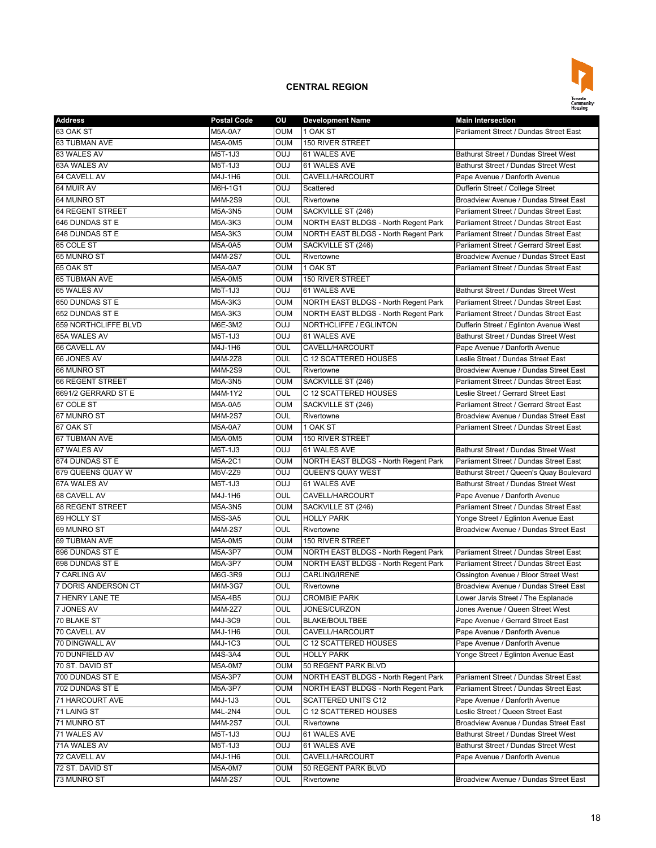

| <b>Address</b>          | <b>Postal Code</b> | ου                | <b>Development Name</b>              | <b>Main Intersection</b>                 |
|-------------------------|--------------------|-------------------|--------------------------------------|------------------------------------------|
| 63 OAK ST               | M5A-0A7            | <b>OUM</b>        | 1 OAK ST                             | Parliament Street / Dundas Street East   |
| 63 TUBMAN AVE           | M5A-0M5            | <b>OUM</b>        | 150 RIVER STREET                     |                                          |
| 63 WALES AV             | M5T-1J3            | OUJ               | 61 WALES AVE                         | Bathurst Street / Dundas Street West     |
| 63A WALES AV            | M5T-1J3            | <b>OUJ</b>        | 61 WALES AVE                         | Bathurst Street / Dundas Street West     |
| 64 CAVELL AV            | M4J-1H6            | OUL               | CAVELL/HARCOURT                      | Pape Avenue / Danforth Avenue            |
| 64 MUIR AV              | M6H-1G1            | <b>OUJ</b>        | Scattered                            | Dufferin Street / College Street         |
| 64 MUNRO ST             | M4M-2S9            | OUL               | Rivertowne                           | Broadview Avenue / Dundas Street East    |
| <b>64 REGENT STREET</b> | M5A-3N5            | <b>OUM</b>        | SACKVILLE ST (246)                   | Parliament Street / Dundas Street East   |
| 646 DUNDAS ST E         | M5A-3K3            | <b>OUM</b>        | NORTH EAST BLDGS - North Regent Park | Parliament Street / Dundas Street East   |
| 648 DUNDAS ST E         | M5A-3K3            | <b>OUM</b>        | NORTH EAST BLDGS - North Regent Park | Parliament Street / Dundas Street East   |
| 65 COLE ST              | M5A-0A5            | OUM               | SACKVILLE ST (246)                   | Parliament Street / Gerrard Street East  |
| 65 MUNRO ST             | M4M-2S7            | OUL               | Rivertowne                           | Broadview Avenue / Dundas Street East    |
| 65 OAK ST               | M5A-0A7            | <b>OUM</b>        | 1 OAK ST                             | Parliament Street / Dundas Street East   |
| <b>65 TUBMAN AVE</b>    | M5A-0M5            | <b>OUM</b>        | 150 RIVER STREET                     |                                          |
| 65 WALES AV             | M5T-1J3            | OUJ               | 61 WALES AVE                         | Bathurst Street / Dundas Street West     |
| 650 DUNDAS ST E         | M5A-3K3            | <b>OUM</b>        | NORTH EAST BLDGS - North Regent Park | Parliament Street / Dundas Street East   |
| 652 DUNDAS ST E         | M5A-3K3            | <b>OUM</b>        | NORTH EAST BLDGS - North Regent Park | Parliament Street / Dundas Street East   |
| 659 NORTHCLIFFE BLVD    | M6E-3M2            | OUJ               | NORTHCLIFFE / EGLINTON               | Dufferin Street / Eglinton Avenue West   |
| 65A WALES AV            | M5T-1J3            | <b>OUJ</b>        | 61 WALES AVE                         | Bathurst Street / Dundas Street West     |
| 66 CAVELL AV            | M4J-1H6            | OUL               | CAVELL/HARCOURT                      | Pape Avenue / Danforth Avenue            |
| 66 JONES AV             | M4M-2Z8            | OUL               | C 12 SCATTERED HOUSES                | Leslie Street / Dundas Street East       |
| 66 MUNRO ST             | M4M-2S9            | OUL               | Rivertowne                           | Broadview Avenue / Dundas Street East    |
| <b>66 REGENT STREET</b> | M5A-3N5            | <b>OUM</b>        | SACKVILLE ST (246)                   | Parliament Street / Dundas Street East   |
| 6691/2 GERRARD ST E     | M4M-1Y2            | OUL               | C 12 SCATTERED HOUSES                | Leslie Street / Gerrard Street East      |
| 67 COLE ST              | M5A-0A5            | <b>OUM</b>        | SACKVILLE ST (246)                   | Parliament Street / Gerrard Street East  |
| 67 MUNRO ST             | M4M-2S7            | OUL               | Rivertowne                           | Broadview Avenue / Dundas Street East    |
| 67 OAK ST               |                    | <b>OUM</b>        | 1 OAK ST                             | Parliament Street / Dundas Street East   |
| 67 TUBMAN AVE           | M5A-0A7            | <b>OUM</b>        | 150 RIVER STREET                     |                                          |
| 67 WALES AV             | M5A-0M5<br>M5T-1J3 | OUJ               | 61 WALES AVE                         | Bathurst Street / Dundas Street West     |
|                         |                    |                   |                                      |                                          |
| 674 DUNDAS ST E         | M5A-2C1            | <b>OUM</b>        | NORTH EAST BLDGS - North Regent Park | Parliament Street / Dundas Street East   |
| 679 QUEENS QUAY W       | M5V-2Z9            | OUJ<br><b>OUJ</b> | <b>QUEEN'S QUAY WEST</b>             | Bathurst Street / Queen's Quay Boulevard |
| 67A WALES AV            | M5T-1J3            |                   | 61 WALES AVE                         | Bathurst Street / Dundas Street West     |
| 68 CAVELL AV            | M4J-1H6            | OUL               | CAVELL/HARCOURT                      | Pape Avenue / Danforth Avenue            |
| <b>68 REGENT STREET</b> | M5A-3N5            | <b>OUM</b>        | SACKVILLE ST (246)                   | Parliament Street / Dundas Street East   |
| 69 HOLLY ST             | M5S-3A5            | OUL               | <b>HOLLY PARK</b>                    | Yonge Street / Eglinton Avenue East      |
| 69 MUNRO ST             | M4M-2S7            | OUL               | Rivertowne                           | Broadview Avenue / Dundas Street East    |
| 69 TUBMAN AVE           | M5A-0M5            | <b>OUM</b>        | 150 RIVER STREET                     |                                          |
| 696 DUNDAS ST E         | M5A-3P7            | <b>OUM</b>        | NORTH EAST BLDGS - North Regent Park | Parliament Street / Dundas Street East   |
| 698 DUNDAS ST E         | M5A-3P7            | <b>OUM</b>        | NORTH EAST BLDGS - North Regent Park | Parliament Street / Dundas Street East   |
| 7 CARLING AV            | M6G-3R9            | OUJ               | CARLING/IRENE                        | Ossington Avenue / Bloor Street West     |
| 7 DORIS ANDERSON CT     | M4M-3G7            | OUL               | Rivertowne                           | Broadview Avenue / Dundas Street East    |
| 7 HENRY LANE TE         | M5A-4B5            | <b>OUJ</b>        | CROMBIE PARK                         | Lower Jarvis Street / The Esplanade      |
| 7 JONES AV              | M4M-2Z7            | OUL               | JONES/CURZON                         | Jones Avenue / Queen Street West         |
| 70 BLAKE ST             | M4J-3C9            | OUL               | BLAKE/BOULTBEE                       | Pape Avenue / Gerrard Street East        |
| 70 CAVELL AV            | M4J-1H6            | OUL               | CAVELL/HARCOURT                      | Pape Avenue / Danforth Avenue            |
| 70 DINGWALL AV          | M4J-1C3            | OUL               | C 12 SCATTERED HOUSES                | Pape Avenue / Danforth Avenue            |
| 70 DUNFIELD AV          | M4S-3A4            | OUL               | <b>HOLLY PARK</b>                    | Yonge Street / Eglinton Avenue East      |
| 70 ST. DAVID ST         | M5A-0M7            | <b>OUM</b>        | 50 REGENT PARK BLVD                  |                                          |
| 700 DUNDAS ST E         | M5A-3P7            | <b>OUM</b>        | NORTH EAST BLDGS - North Regent Park | Parliament Street / Dundas Street East   |
| 702 DUNDAS ST E         | M5A-3P7            | OUM               | NORTH EAST BLDGS - North Regent Park | Parliament Street / Dundas Street East   |
| 71 HARCOURT AVE         | M4J-1J3            | OUL               | SCATTERED UNITS C12                  | Pape Avenue / Danforth Avenue            |
| 71 LAING ST             | M4L-2N4            | OUL               | C 12 SCATTERED HOUSES                | Leslie Street / Queen Street East        |
| 71 MUNRO ST             | M4M-2S7            | OUL               | Rivertowne                           | Broadview Avenue / Dundas Street East    |
| 71 WALES AV             | M5T-1J3            | <b>OUJ</b>        | 61 WALES AVE                         | Bathurst Street / Dundas Street West     |
| 71A WALES AV            | M5T-1J3            | <b>OUJ</b>        | 61 WALES AVE                         | Bathurst Street / Dundas Street West     |
| 72 CAVELL AV            | M4J-1H6            | OUL               | CAVELL/HARCOURT                      | Pape Avenue / Danforth Avenue            |
| 72 ST. DAVID ST         | M5A-0M7            | <b>OUM</b>        | 50 REGENT PARK BLVD                  |                                          |
| 73 MUNRO ST             | M4M-2S7            | OUL               | Rivertowne                           | Broadview Avenue / Dundas Street East    |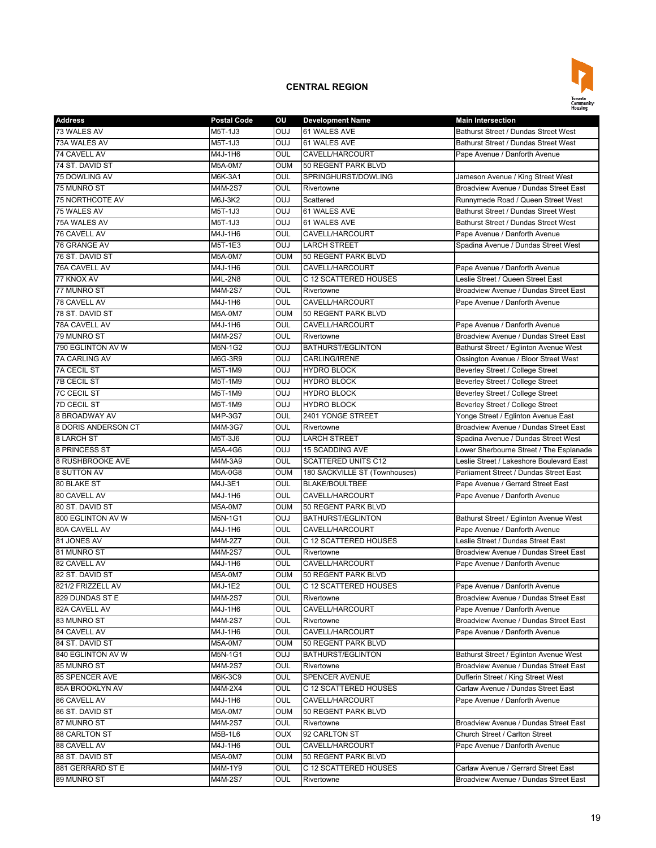

| <b>Address</b>         | <b>Postal Code</b> | ΟU         | <b>Development Name</b>                                | <b>Main Intersection</b>                 |
|------------------------|--------------------|------------|--------------------------------------------------------|------------------------------------------|
| 73 WALES AV            | M5T-1J3            | <b>OUJ</b> | 61 WALES AVE                                           | Bathurst Street / Dundas Street West     |
| 73A WALES AV           | M5T-1J3            | <b>OUJ</b> | 61 WALES AVE                                           | Bathurst Street / Dundas Street West     |
| 74 CAVELL AV           | M4J-1H6            | OUL        | CAVELL/HARCOURT                                        | Pape Avenue / Danforth Avenue            |
| 74 ST. DAVID ST        | M5A-0M7            | <b>OUM</b> | 50 REGENT PARK BLVD                                    |                                          |
| 75 DOWLING AV          | M6K-3A1            | OUL        | SPRINGHURST/DOWLING                                    | Jameson Avenue / King Street West        |
| 75 MUNRO ST            | M4M-2S7            | OUL        | Rivertowne                                             | Broadview Avenue / Dundas Street East    |
| <b>75 NORTHCOTE AV</b> | M6J-3K2            | OUJ        | Scattered                                              | Runnymede Road / Queen Street West       |
| 75 WALES AV            | M5T-1J3            | <b>OUJ</b> | 61 WALES AVE                                           | Bathurst Street / Dundas Street West     |
| 75A WALES AV           | M5T-1J3            | <b>OUJ</b> | 61 WALES AVE                                           | Bathurst Street / Dundas Street West     |
| 76 CAVELL AV           | M4J-1H6            | OUL        | CAVELL/HARCOURT                                        | Pape Avenue / Danforth Avenue            |
| 76 GRANGE AV           | M5T-1E3            | <b>OUJ</b> | <b>LARCH STREET</b>                                    | Spadina Avenue / Dundas Street West      |
| 76 ST. DAVID ST        | M5A-0M7            | <b>OUM</b> | 50 REGENT PARK BLVD                                    |                                          |
| 76A CAVELL AV          | M4J-1H6            | OUL        | CAVELL/HARCOURT                                        | Pape Avenue / Danforth Avenue            |
| 77 KNOX AV             | M4L-2N8            | OUL        | C 12 SCATTERED HOUSES                                  | Leslie Street / Queen Street East        |
| 77 MUNRO ST            | M4M-2S7            | OUL        | Rivertowne                                             | Broadview Avenue / Dundas Street East    |
| 78 CAVELL AV           | M4J-1H6            | OUL        | CAVELL/HARCOURT                                        | Pape Avenue / Danforth Avenue            |
| 78 ST. DAVID ST        | M5A-0M7            | <b>OUM</b> | 50 REGENT PARK BLVD                                    |                                          |
| 78A CAVELL AV          | M4J-1H6            | OUL        | CAVELL/HARCOURT                                        | Pape Avenue / Danforth Avenue            |
| 79 MUNRO ST            | M4M-2S7            | OUL        | Rivertowne                                             | Broadview Avenue / Dundas Street East    |
| 790 EGLINTON AV W      | M5N-1G2            | OUJ        | BATHURST/EGLINTON                                      | Bathurst Street / Eglinton Avenue West   |
| <b>7A CARLING AV</b>   | M6G-3R9            | <b>OUJ</b> | <b>CARLING/IRENE</b>                                   | Ossington Avenue / Bloor Street West     |
| <b>7A CECIL ST</b>     | M5T-1M9            | OUJ        | <b>HYDRO BLOCK</b>                                     | Beverley Street / College Street         |
| <b>7B CECIL ST</b>     | M5T-1M9            | OUJ        | <b>HYDRO BLOCK</b>                                     | Beverley Street / College Street         |
| <b>7C CECIL ST</b>     | M5T-1M9            | <b>OUJ</b> | <b>HYDRO BLOCK</b>                                     | Beverley Street / College Street         |
| <b>7D CECIL ST</b>     | M5T-1M9            | OUJ        | <b>HYDRO BLOCK</b>                                     | Beverley Street / College Street         |
| 8 BROADWAY AV          | M4P-3G7            | OUL        | 2401 YONGE STREET                                      | Yonge Street / Eglinton Avenue East      |
| 8 DORIS ANDERSON CT    | M4M-3G7            | OUL        | Rivertowne                                             | Broadview Avenue / Dundas Street East    |
| 8 LARCH ST             | M5T-3J6            | <b>OUJ</b> | <b>LARCH STREET</b>                                    | Spadina Avenue / Dundas Street West      |
| 8 PRINCESS ST          | M5A-4G6            | OUJ        | <b>15 SCADDING AVE</b>                                 | Lower Sherbourne Street / The Esplanade  |
| 8 RUSHBROOKE AVE       | M4M-3A9            | OUL        | <b>SCATTERED UNITS C12</b>                             | Leslie Street / Lakeshore Boulevard East |
| 8 SUTTON AV            | M5A-0G8            | <b>OUM</b> |                                                        | Parliament Street / Dundas Street East   |
| 80 BLAKE ST            | M4J-3E1            | OUL        | 180 SACKVILLE ST (Townhouses)<br><b>BLAKE/BOULTBEE</b> | Pape Avenue / Gerrard Street East        |
| 80 CAVELL AV           | M4J-1H6            | OUL        | CAVELL/HARCOURT                                        | Pape Avenue / Danforth Avenue            |
| 80 ST. DAVID ST        |                    | <b>OUM</b> |                                                        |                                          |
| 800 EGLINTON AV W      | M5A-0M7            | <b>OUJ</b> | 50 REGENT PARK BLVD<br>BATHURST/EGLINTON               |                                          |
| 80A CAVELL AV          | M5N-1G1            |            |                                                        | Bathurst Street / Eglinton Avenue West   |
|                        | M4J-1H6            | OUL        | CAVELL/HARCOURT                                        | Pape Avenue / Danforth Avenue            |
| 81 JONES AV            | M4M-2Z7            | OUL        | C 12 SCATTERED HOUSES                                  | Leslie Street / Dundas Street East       |
| 81 MUNRO ST            | M4M-2S7            | OUL        | Rivertowne                                             | Broadview Avenue / Dundas Street East    |
| 82 CAVELL AV           | M4J-1H6            | OUL        | CAVELL/HARCOURT                                        | Pape Avenue / Danforth Avenue            |
| 82 ST. DAVID ST        | M5A-0M7            | <b>OUM</b> | 50 REGENT PARK BLVD                                    |                                          |
| 821/2 FRIZZELL AV      | M4J-1E2            | OUL        | C 12 SCATTERED HOUSES                                  | Pape Avenue / Danforth Avenue            |
| 829 DUNDAS ST E        | M4M-2S7            | OUL        | Rivertowne                                             | Broadview Avenue / Dundas Street East    |
| 82A CAVELL AV          | M4J-1H6            | OUL        | CAVELL/HARCOURT                                        | Pape Avenue / Danforth Avenue            |
| 83 MUNRO ST            | M4M-2S7            | OUL        | Rivertowne                                             | Broadview Avenue / Dundas Street East    |
| 84 CAVELL AV           | M4J-1H6            | OUL        | CAVELL/HARCOURT                                        | Pape Avenue / Danforth Avenue            |
| 84 ST. DAVID ST        | M5A-0M7            | <b>OUM</b> | 50 REGENT PARK BLVD                                    |                                          |
| 840 EGLINTON AV W      | M5N-1G1            | <b>OUJ</b> | BATHURST/EGLINTON                                      | Bathurst Street / Eglinton Avenue West   |
| 85 MUNRO ST            | M4M-2S7            | <b>OUL</b> | Rivertowne                                             | Broadview Avenue / Dundas Street East    |
| <b>85 SPENCER AVE</b>  | M6K-3C9            | OUL        | <b>SPENCER AVENUE</b>                                  | Dufferin Street / King Street West       |
| 85A BROOKLYN AV        | M4M-2X4            | <b>OUL</b> | C 12 SCATTERED HOUSES                                  | Carlaw Avenue / Dundas Street East       |
| 86 CAVELL AV           | M4J-1H6            | <b>OUL</b> | CAVELL/HARCOURT                                        | Pape Avenue / Danforth Avenue            |
| 86 ST. DAVID ST        | M5A-0M7            | OUM        | 50 REGENT PARK BLVD                                    |                                          |
| 87 MUNRO ST            | M4M-2S7            | OUL        | Rivertowne                                             | Broadview Avenue / Dundas Street East    |
| <b>88 CARLTON ST</b>   | M5B-1L6            | <b>OUX</b> | 92 CARLTON ST                                          | Church Street / Carlton Street           |
| 88 CAVELL AV           | M4J-1H6            | OUL        | CAVELL/HARCOURT                                        | Pape Avenue / Danforth Avenue            |
| 88 ST. DAVID ST        | M5A-0M7            | <b>OUM</b> | 50 REGENT PARK BLVD                                    |                                          |
| 881 GERRARD ST E       | M4M-1Y9            | OUL        | C 12 SCATTERED HOUSES                                  | Carlaw Avenue / Gerrard Street East      |
| 89 MUNRO ST            | M4M-2S7            | OUL        | Rivertowne                                             | Broadview Avenue / Dundas Street East    |